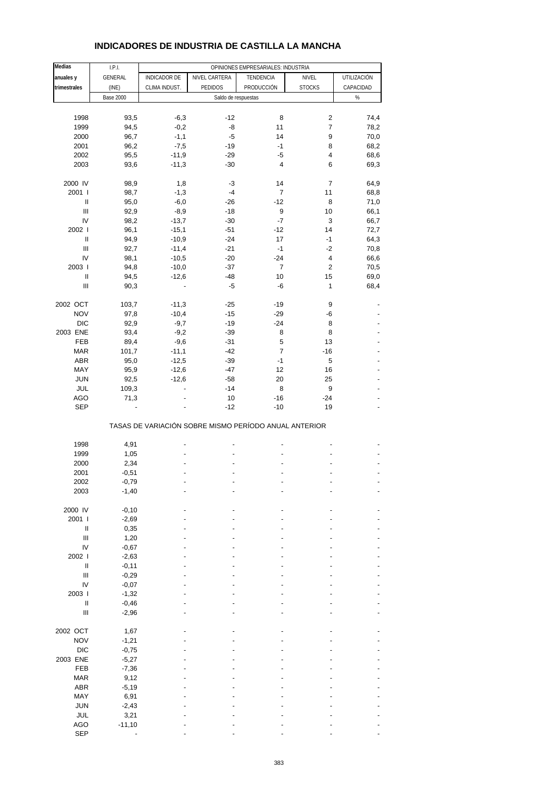| Medias                             | I.P.I.           |                     |                                                       | OPINIONES EMPRESARIALES: INDUSTRIA |                      |              |
|------------------------------------|------------------|---------------------|-------------------------------------------------------|------------------------------------|----------------------|--------------|
| anuales y                          | GENERAL          | <b>INDICADOR DE</b> | NIVEL CARTERA                                         | TENDENCIA                          | NIVEL                | UTILIZACIÓN  |
| trimestrales                       | (INE)            | CLIMA INDUST.       | PEDIDOS                                               | PRODUCCIÓN                         | <b>STOCKS</b>        | CAPACIDAD    |
|                                    | <b>Base 2000</b> |                     | Saldo de respuestas                                   |                                    |                      | $\%$         |
|                                    |                  |                     |                                                       |                                    |                      |              |
| 1998                               | 93,5             | $-6,3$              | $-12$                                                 | 8                                  | $\overline{c}$       | 74,4         |
| 1999                               | 94,5             | $-0,2$              | -8                                                    | 11                                 | $\overline{7}$       | 78,2         |
| 2000                               | 96,7             | $-1,1$              | $-5$                                                  | 14                                 | 9                    | 70,0         |
| 2001                               | 96,2             | $-7,5$              | $-19$                                                 | $-1$                               | 8                    | 68,2         |
| 2002                               | 95,5             | $-11,9$             | $-29$                                                 | -5                                 | 4                    | 68,6         |
| 2003                               | 93,6             | $-11,3$             | $-30$                                                 | 4                                  | 6                    | 69,3         |
| 2000 IV                            | 98,9             | 1,8                 | -3                                                    | 14                                 | 7                    | 64,9         |
| 2001 l                             | 98,7             | $-1,3$              | $-4$                                                  | $\overline{7}$                     | 11                   | 68,8         |
| $\sf II$                           | 95,0             | $-6,0$              | $-26$                                                 | $-12$                              | 8                    | 71,0         |
| Ш                                  | 92,9             | $-8,9$              | $-18$                                                 | 9                                  | 10                   | 66,1         |
| IV                                 | 98,2             | $-13,7$             | $-30$                                                 | $-7$                               | 3                    | 66,7         |
| 2002                               | 96,1             | $-15,1$             | $-51$                                                 | $-12$                              | 14                   | 72,7         |
| $\mathsf{I}$                       | 94,9             | $-10,9$             | $-24$                                                 | 17                                 | $-1$                 | 64,3         |
| $\mathbf{III}$                     | 92,7             | $-11,4$             | $-21$                                                 | $-1$                               | $-2$                 | 70,8         |
| IV                                 | 98,1             | $-10,5$             | $-20$                                                 | $-24$                              | 4                    | 66,6         |
| 2003  <br>$\sf II$                 | 94,8             | $-10,0$             | $-37$                                                 | 7<br>10                            | $\overline{2}$<br>15 | 70,5         |
| Ш                                  | 94,5<br>90,3     | $-12,6$             | $-48$<br>$-5$                                         | -6                                 | 1                    | 69,0<br>68,4 |
|                                    |                  |                     |                                                       |                                    |                      |              |
| 2002 OCT                           | 103,7            | $-11,3$             | $-25$                                                 | $-19$                              | 9                    |              |
| <b>NOV</b>                         | 97,8             | $-10,4$             | $-15$                                                 | $-29$                              | -6                   |              |
| <b>DIC</b>                         | 92,9             | $-9,7$              | $-19$                                                 | $-24$                              | 8                    |              |
| 2003 ENE                           | 93,4             | $-9,2$              | $-39$                                                 | 8                                  | 8                    |              |
| FEB                                | 89,4             | $-9,6$              | $-31$                                                 | 5                                  | 13                   |              |
| <b>MAR</b>                         | 101,7            | $-11,1$             | $-42$                                                 | $\overline{7}$                     | $-16$                |              |
| ABR                                | 95,0             | $-12,5$             | $-39$                                                 | $-1$                               | 5                    |              |
| MAY                                | 95,9             | $-12,6$             | $-47$                                                 | 12                                 | 16                   |              |
| <b>JUN</b>                         | 92,5             | $-12,6$             | $-58$                                                 | 20                                 | 25                   |              |
| JUL<br>AGO                         | 109,3<br>71,3    |                     | $-14$<br>10                                           | 8<br>$-16$                         | 9<br>$-24$           |              |
| <b>SEP</b>                         |                  |                     | $-12$                                                 | $-10$                              | 19                   |              |
|                                    |                  |                     | TASAS DE VARIACIÓN SOBRE MISMO PERÍODO ANUAL ANTERIOR |                                    |                      |              |
| 1998                               | 4,91             |                     | ÷,                                                    |                                    |                      |              |
| 1999                               | 1,05             |                     |                                                       |                                    |                      |              |
| 2000                               | 2,34             |                     |                                                       |                                    |                      |              |
| 2001                               | $-0,51$          |                     | $\overline{a}$                                        |                                    | Ē,                   |              |
| 2002                               | $-0,79$          |                     |                                                       |                                    |                      |              |
| 2003                               | $-1,40$          |                     |                                                       |                                    |                      |              |
|                                    |                  |                     |                                                       |                                    |                      |              |
| 2000 IV                            | $-0,10$          |                     |                                                       |                                    |                      |              |
| 2001 l<br>$\sf II$                 | $-2,69$<br>0,35  |                     |                                                       |                                    |                      |              |
| $\ensuremath{\mathsf{III}}\xspace$ | 1,20             |                     |                                                       |                                    |                      |              |
| IV                                 | $-0,67$          |                     |                                                       |                                    |                      |              |
| 2002 l                             | $-2,63$          |                     |                                                       |                                    |                      |              |
| $\ensuremath{\mathsf{II}}$         | $-0,11$          |                     |                                                       |                                    |                      |              |
| $\mathbf{III}$                     | $-0,29$          |                     |                                                       |                                    |                      |              |
| IV                                 | $-0,07$          |                     |                                                       |                                    |                      |              |
| 2003                               | $-1,32$          |                     |                                                       |                                    |                      |              |
| Ш                                  | $-0,46$          |                     |                                                       |                                    |                      |              |
| $\begin{array}{c} \Pi \end{array}$ | $-2,96$          |                     |                                                       |                                    |                      |              |
| 2002 OCT                           | 1,67             |                     |                                                       |                                    |                      |              |
| <b>NOV</b>                         | $-1,21$          |                     |                                                       |                                    |                      |              |
| $DIC$                              | $-0,75$          |                     |                                                       |                                    |                      |              |
| 2003 ENE                           | $-5,27$          |                     |                                                       |                                    |                      |              |
| FEB                                | $-7,36$          |                     |                                                       |                                    |                      |              |
| <b>MAR</b>                         | 9,12             |                     |                                                       |                                    |                      |              |
| ABR                                | $-5,19$          |                     |                                                       |                                    |                      |              |
| MAY                                | 6,91             |                     |                                                       |                                    |                      |              |
| <b>JUN</b>                         | $-2,43$          |                     |                                                       |                                    |                      |              |
| JUL                                | 3,21             |                     |                                                       |                                    |                      |              |
| AGO                                | $-11,10$         |                     |                                                       |                                    |                      |              |
| SEP                                |                  |                     |                                                       |                                    |                      |              |

## **INDICADORES DE INDUSTRIA DE CASTILLA LA MANCHA**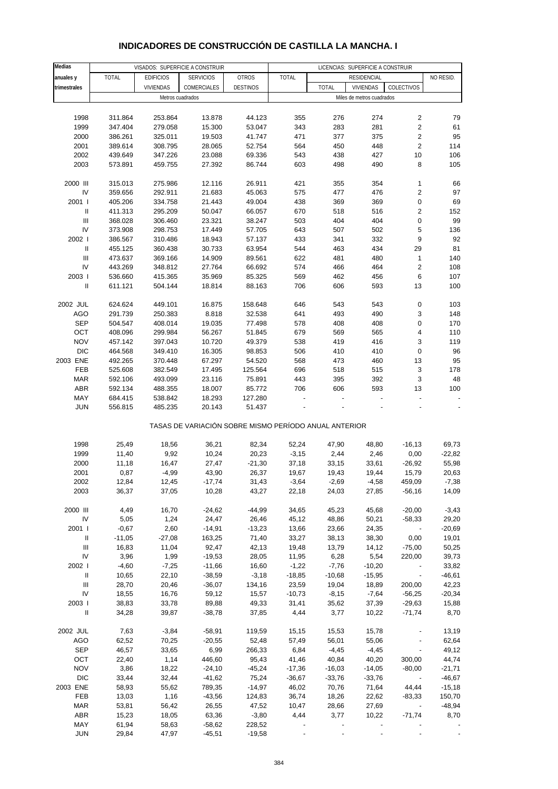# **INDICADORES DE CONSTRUCCIÓN DE CASTILLA LA MANCHA. I**

| Medias                     |              |                    | VISADOS: SUPERFICIE A CONSTRUIR                       |                 |          |              | LICENCIAS: SUPERFICIE A CONSTRUIR |                              |           |
|----------------------------|--------------|--------------------|-------------------------------------------------------|-----------------|----------|--------------|-----------------------------------|------------------------------|-----------|
| anuales y                  | <b>TOTAL</b> | <b>EDIFICIOS</b>   | <b>SERVICIOS</b>                                      | <b>OTROS</b>    | TOTAL    |              | RESIDENCIAL                       |                              | NO RESID. |
| trimestrales               |              | <b>VIVIENDAS</b>   | COMERCIALES                                           | <b>DESTINOS</b> |          | <b>TOTAL</b> | <b>VIVIENDAS</b>                  | COLECTIVOS                   |           |
|                            |              | Metros cuadrados   |                                                       |                 |          |              | Miles de metros cuadrados         |                              |           |
|                            |              |                    |                                                       |                 |          |              |                                   |                              |           |
| 1998                       | 311.864      | 253.864            | 13.878                                                | 44.123          | 355      | 276          | 274                               | 2                            | 79        |
| 1999                       | 347.404      | 279.058            | 15.300                                                | 53.047          | 343      | 283          | 281                               | $\sqrt{2}$                   | 61        |
| 2000                       | 386.261      | 325.011            | 19.503                                                | 41.747          | 471      | 377          | 375                               | $\sqrt{2}$                   | 95        |
| 2001                       | 389.614      | 308.795            | 28.065                                                | 52.754          | 564      | 450          | 448                               | $\sqrt{2}$                   | 114       |
|                            |              |                    |                                                       |                 |          |              |                                   |                              |           |
| 2002                       | 439.649      | 347.226            | 23.088                                                | 69.336          | 543      | 438          | 427                               | 10                           | 106       |
| 2003                       | 573.891      | 459.755            | 27.392                                                | 86.744          | 603      | 498          | 490                               | 8                            | 105       |
| 2000 III                   |              |                    |                                                       |                 |          |              |                                   |                              |           |
| IV                         | 315.013      | 275.986<br>292.911 | 12.116                                                | 26.911          | 421      | 355          | 354                               | 1<br>$\overline{\mathbf{c}}$ | 66<br>97  |
|                            | 359.656      |                    | 21.683                                                | 45.063          | 575      | 477          | 476                               |                              |           |
| 2001 l                     | 405.206      | 334.758            | 21.443                                                | 49.004          | 438      | 369          | 369                               | 0                            | 69        |
| $\ensuremath{\mathsf{II}}$ | 411.313      | 295.209            | 50.047                                                | 66.057          | 670      | 518          | 516                               | $\overline{\mathbf{c}}$      | 152       |
| Ш                          | 368.028      | 306.460            | 23.321                                                | 38.247          | 503      | 404          | 404                               | 0                            | 99        |
| IV                         | 373.908      | 298.753            | 17.449                                                | 57.705          | 643      | 507          | 502                               | 5                            | 136       |
| 2002                       | 386.567      | 310.486            | 18.943                                                | 57.137          | 433      | 341          | 332                               | 9                            | 92        |
| Ш                          | 455.125      | 360.438            | 30.733                                                | 63.954          | 544      | 463          | 434                               | 29                           | 81        |
| Ш                          | 473.637      | 369.166            | 14.909                                                | 89.561          | 622      | 481          | 480                               | $\mathbf{1}$                 | 140       |
| IV                         | 443.269      | 348.812            | 27.764                                                | 66.692          | 574      | 466          | 464                               | $\overline{\mathbf{c}}$      | 108       |
| 2003                       | 536.660      | 415.365            | 35.969                                                | 85.325          | 569      | 462          | 456                               | 6                            | 107       |
| Ш                          | 611.121      | 504.144            | 18.814                                                | 88.163          | 706      | 606          | 593                               | 13                           | 100       |
|                            |              |                    |                                                       |                 |          |              |                                   |                              |           |
| 2002 JUL                   | 624.624      | 449.101            | 16.875                                                | 158.648         | 646      | 543          | 543                               | 0                            | 103       |
| AGO                        | 291.739      | 250.383            | 8.818                                                 | 32.538          | 641      | 493          | 490                               | 3                            | 148       |
| <b>SEP</b>                 | 504.547      | 408.014            | 19.035                                                | 77.498          | 578      | 408          | 408                               | 0                            | 170       |
| OCT                        | 408.096      | 299.984            | 56.267                                                | 51.845          | 679      | 569          | 565                               | 4                            | 110       |
| <b>NOV</b>                 | 457.142      | 397.043            | 10.720                                                | 49.379          | 538      | 419          | 416                               | 3                            | 119       |
| <b>DIC</b>                 | 464.568      | 349.410            | 16.305                                                | 98.853          | 506      | 410          | 410                               | 0                            | 96        |
| 2003 ENE                   | 492.265      | 370.448            | 67.297                                                | 54.520          | 568      | 473          | 460                               | 13                           | 95        |
| FEB                        | 525.608      | 382.549            | 17.495                                                | 125.564         | 696      | 518          | 515                               | 3                            | 178       |
| <b>MAR</b>                 | 592.106      | 493.099            | 23.116                                                | 75.891          | 443      | 395          | 392                               | 3                            | 48        |
| <b>ABR</b>                 | 592.134      | 488.355            | 18.007                                                | 85.772          | 706      | 606          | 593                               | 13                           | 100       |
| MAY                        | 684.415      | 538.842            | 18.293                                                | 127.280         |          |              |                                   |                              |           |
| <b>JUN</b>                 | 556.815      | 485.235            | 20.143                                                | 51.437          |          |              |                                   |                              |           |
|                            |              |                    | TASAS DE VARIACIÓN SOBRE MISMO PERÍODO ANUAL ANTERIOR |                 |          |              |                                   |                              |           |
|                            |              |                    |                                                       |                 |          |              |                                   |                              |           |
| 1998                       | 25,49        | 18,56              | 36,21                                                 | 82,34           | 52,24    | 47,90        | 48,80                             | $-16, 13$                    | 69,73     |
| 1999                       | 11,40        | 9,92               | 10,24                                                 | 20,23           | $-3,15$  | 2,44         | 2,46                              | 0,00                         | $-22,82$  |
| 2000                       | 11,18        | 16,47              | 27,47                                                 | $-21,30$        | 37,18    | 33,15        | 33,61                             | $-26,92$                     | 55,98     |
| 2001                       | 0,87         | $-4,99$            | 43,90                                                 | 26,37           | 19,67    | 19,43        | 19,44                             | 15,79                        | 20,63     |
| 2002                       | 12,84        | 12,45              | $-17,74$                                              | 31,43           | $-3,64$  | $-2,69$      | $-4,58$                           | 459,09                       | $-7,38$   |
| 2003                       | 36,37        | 37,05              | 10,28                                                 | 43,27           | 22,18    | 24,03        | 27,85                             | $-56,16$                     | 14,09     |
|                            |              |                    |                                                       |                 |          |              |                                   |                              |           |
| 2000 III                   | 4,49         | 16,70              | $-24,62$                                              | $-44,99$        | 34,65    | 45,23        | 45,68                             | $-20,00$                     | $-3,43$   |
| IV                         | 5,05         | 1,24               | 24,47                                                 | 26,46           | 45,12    | 48,86        | 50,21                             | $-58,33$                     | 29,20     |
| 2001 l                     | $-0,67$      | 2,60               | $-14,91$                                              | $-13,23$        | 13,66    | 23,66        | 24,35                             | $\sim$                       | $-20,69$  |
| Ш                          | $-11,05$     | $-27,08$           | 163,25                                                | 71,40           | 33,27    | 38,13        | 38,30                             | 0,00                         | 19,01     |
| Ш                          | 16,83        | 11,04              | 92,47                                                 | 42,13           | 19,48    | 13,79        | 14,12                             | $-75,00$                     | 50,25     |
| IV                         | 3,96         | 1,99               | $-19,53$                                              | 28,05           | 11,95    | 6,28         | 5,54                              | 220,00                       | 39,73     |
|                            |              |                    |                                                       |                 |          |              |                                   |                              |           |
| 2002                       | $-4,60$      | $-7,25$            | $-11,66$                                              | 16,60           | $-1,22$  | $-7,76$      | $-10,20$                          | $\sim 100$ km s $^{-1}$      | 33,82     |
| Ш                          | 10,65        | 22,10              | $-38,59$                                              | $-3,18$         | $-18,85$ | $-10,68$     | $-15,95$                          | $\overline{\phantom{a}}$     | $-46,61$  |
| Ш                          | 28,70        | 20,46              | $-36,07$                                              | 134,16          | 23,59    | 19,04        | 18,89                             | 200,00                       | 42,23     |
| IV                         | 18,55        | 16,76              | 59,12                                                 | 15,57           | $-10,73$ | $-8,15$      | $-7,64$                           | $-56,25$                     | $-20,34$  |
| 2003                       | 38,83        | 33,78              | 89,88                                                 | 49,33           | 31,41    | 35,62        | 37,39                             | $-29,63$                     | 15,88     |
| $\mathbf{II}$              | 34,28        | 39,87              | $-38,78$                                              | 37,85           | 4,44     | 3,77         | 10,22                             | $-71,74$                     | 8,70      |
| 2002 JUL                   | 7,63         | $-3,84$            | $-58,91$                                              | 119,59          | 15, 15   | 15,53        | 15,78                             | $\overline{\phantom{a}}$     | 13,19     |
| AGO                        | 62,52        | 70,25              | $-20,55$                                              | 52,48           | 57,49    | 56,01        | 55,06                             | $\blacksquare$               | 62,64     |
| <b>SEP</b>                 | 46,57        | 33,65              | 6,99                                                  | 266,33          | 6,84     | $-4,45$      | $-4,45$                           | $\overline{\phantom{a}}$     | 49,12     |
| OCT                        | 22,40        | 1,14               | 446,60                                                | 95,43           | 41,46    | 40,84        | 40,20                             | 300,00                       | 44,74     |
| <b>NOV</b>                 | 3,86         | 18,22              | $-24,10$                                              | $-45,24$        | $-17,36$ | $-16,03$     | $-14,05$                          | $-80,00$                     | $-21,71$  |
| <b>DIC</b>                 | 33,44        | 32,44              | $-41,62$                                              | 75,24           | $-36,67$ | $-33,76$     | $-33,76$                          | $\sim 100$ km s $^{-1}$      | $-46,67$  |
| 2003 ENE                   | 58,93        | 55,62              | 789,35                                                | $-14,97$        | 46,02    | 70,76        | 71,64                             | 44,44                        | $-15,18$  |
| FEB                        | 13,03        | 1,16               | $-43,56$                                              | 124,83          | 36,74    | 18,26        | 22,62                             | $-83,33$                     | 150,70    |
| <b>MAR</b>                 | 53,81        | 56,42              | 26,55                                                 | 47,52           | 10,47    | 28,66        | 27,69                             | $\sim 100$ km s $^{-1}$      | $-48,94$  |
| ABR                        | 15,23        | 18,05              | 63,36                                                 | $-3,80$         | 4,44     | 3,77         | 10,22                             | $-71,74$                     | 8,70      |
| MAY                        | 61,94        | 58,63              | $-58,62$                                              | 228,52          |          |              |                                   |                              |           |
| <b>JUN</b>                 | 29,84        | 47,97              | $-45,51$                                              | $-19,58$        |          |              |                                   |                              |           |
|                            |              |                    |                                                       |                 |          |              |                                   |                              |           |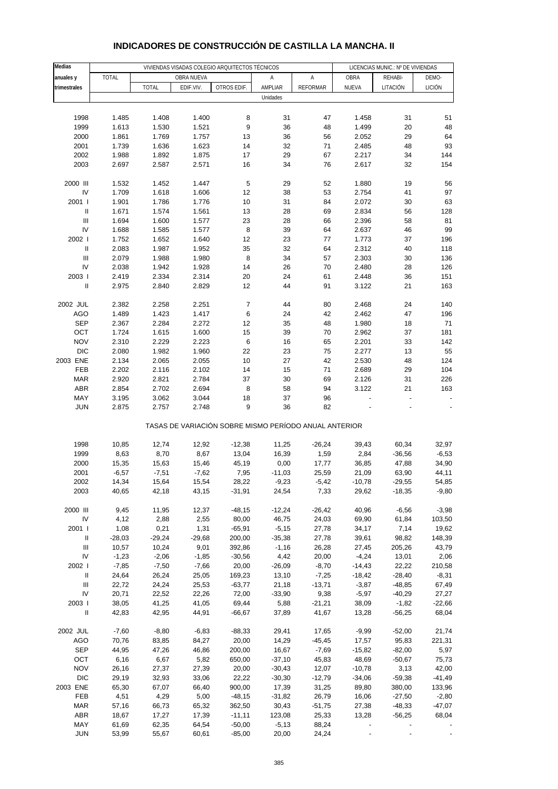| Medias                                  |                 |                   |                  | VIVIENDAS VISADAS COLEGIO ARQUITECTOS TÉCNICOS        |                     | LICENCIAS MUNIC.: Nº DE VIVIENDAS |                |                      |                     |  |
|-----------------------------------------|-----------------|-------------------|------------------|-------------------------------------------------------|---------------------|-----------------------------------|----------------|----------------------|---------------------|--|
| anuales y                               | <b>TOTAL</b>    |                   | OBRA NUEVA       |                                                       | Α                   | Α                                 | OBRA           | REHABI-              | DEMO-               |  |
| trimestrales                            |                 | <b>TOTAL</b>      | EDIF.VIV.        | OTROS EDIF.                                           | AMPLIAR             | <b>REFORMAR</b>                   | NUEVA          | LITACIÓN             | <b>LICIÓN</b>       |  |
|                                         |                 |                   |                  |                                                       | Unidades            |                                   |                |                      |                     |  |
|                                         |                 |                   |                  |                                                       |                     |                                   |                |                      |                     |  |
| 1998                                    | 1.485           | 1.408             | 1.400            | 8                                                     | 31                  | 47                                | 1.458          | 31                   | 51                  |  |
| 1999                                    | 1.613           | 1.530             | 1.521            | 9                                                     | 36                  | 48                                | 1.499          | 20                   | 48                  |  |
| 2000                                    | 1.861           | 1.769             | 1.757            | 13                                                    | 36                  | 56                                | 2.052          | 29                   | 64                  |  |
| 2001                                    | 1.739           | 1.636             | 1.623            | 14                                                    | 32                  | 71                                | 2.485          | 48                   | 93                  |  |
| 2002                                    | 1.988           | 1.892             | 1.875            | 17                                                    | 29                  | 67                                | 2.217          | 34                   | 144                 |  |
| 2003                                    | 2.697           | 2.587             | 2.571            | 16                                                    | 34                  | 76                                | 2.617          | 32                   | 154                 |  |
| 2000 III                                | 1.532           | 1.452             | 1.447            | 5                                                     | 29                  | 52                                | 1.880          | 19                   | 56                  |  |
| IV                                      | 1.709           | 1.618             | 1.606            | 12                                                    | 38                  | 53                                | 2.754          | 41                   | 97                  |  |
| 2001 l                                  | 1.901           | 1.786             | 1.776            | 10                                                    | 31                  | 84                                | 2.072          | 30                   | 63                  |  |
| $\ensuremath{\mathsf{II}}$              | 1.671           | 1.574             | 1.561            | 13                                                    | 28                  | 69                                | 2.834          | 56                   | 128                 |  |
| Ш                                       | 1.694           | 1.600             | 1.577            | 23                                                    | 28                  | 66                                | 2.396          | 58                   | 81                  |  |
| IV                                      | 1.688           | 1.585             | 1.577            | 8                                                     | 39                  | 64                                | 2.637          | 46                   | 99                  |  |
| 2002                                    | 1.752           | 1.652             | 1.640            | 12                                                    | 23                  | 77                                | 1.773          | 37                   | 196                 |  |
| Ш                                       | 2.083           | 1.987             | 1.952            | 35                                                    | 32                  | 64                                | 2.312          | 40                   | 118                 |  |
| $\mathbf{III}$                          | 2.079           | 1.988             | 1.980            | 8                                                     | 34                  | 57                                | 2.303          | 30                   | 136                 |  |
| IV                                      | 2.038           | 1.942             | 1.928            | 14                                                    | 26                  | 70                                | 2.480          | 28                   | 126                 |  |
| 2003                                    | 2.419           | 2.334             | 2.314            | 20                                                    | 24                  | 61                                | 2.448          | 36                   | 151                 |  |
| Ш                                       | 2.975           | 2.840             | 2.829            | 12                                                    | 44                  | 91                                | 3.122          | 21                   | 163                 |  |
| 2002 JUL                                | 2.382           | 2.258             | 2.251            | $\boldsymbol{7}$                                      | 44                  | 80                                | 2.468          | 24                   | 140                 |  |
| <b>AGO</b>                              | 1.489           | 1.423             | 1.417            | 6                                                     | 24                  | 42                                | 2.462          | 47                   | 196                 |  |
| <b>SEP</b>                              | 2.367           | 2.284             | 2.272            | 12                                                    | 35                  | 48                                | 1.980          | 18                   | 71                  |  |
| OCT                                     | 1.724           | 1.615             | 1.600            | 15                                                    | 39                  | 70                                | 2.962          | 37                   | 181                 |  |
| <b>NOV</b>                              | 2.310           | 2.229             | 2.223            | 6                                                     | 16                  | 65                                | 2.201          | 33                   | 142                 |  |
| <b>DIC</b>                              | 2.080           | 1.982             | 1.960            | 22                                                    | 23                  | 75                                | 2.277          | 13                   | 55                  |  |
| 2003 ENE                                | 2.134           | 2.065             | 2.055            | 10                                                    | 27                  | 42                                | 2.530          | 48                   | 124                 |  |
| FEB                                     | 2.202           | 2.116             | 2.102            | 14                                                    | 15                  | 71                                | 2.689          | 29                   | 104                 |  |
| <b>MAR</b>                              | 2.920           | 2.821             | 2.784            | 37                                                    | 30                  | 69                                | 2.126          | 31                   | 226                 |  |
| ABR                                     | 2.854           | 2.702             | 2.694            | 8                                                     | 58                  | 94                                | 3.122          | 21                   | 163                 |  |
| MAY                                     | 3.195           | 3.062             | 3.044            | 18                                                    | 37                  | 96                                |                | $\frac{1}{2}$        |                     |  |
| <b>JUN</b>                              | 2.875           | 2.757             | 2.748            | 9                                                     | 36                  | 82                                |                |                      |                     |  |
|                                         |                 |                   |                  | TASAS DE VARIACIÓN SOBRE MISMO PERÍODO ANUAL ANTERIOR |                     |                                   |                |                      |                     |  |
| 1998                                    | 10,85           | 12,74             | 12,92            | $-12,38$                                              | 11,25               | $-26,24$                          | 39,43          | 60,34                | 32,97               |  |
| 1999                                    | 8,63            | 8,70              | 8,67             | 13,04                                                 | 16,39               | 1,59                              | 2,84           | $-36,56$             | $-6,53$             |  |
| 2000                                    | 15,35           | 15,63             | 15,46            | 45,19                                                 | 0,00                | 17,77                             | 36,85          | 47,88                | 34,90               |  |
| 2001                                    | $-6,57$         | $-7,51$           | $-7,62$          | 7,95                                                  | $-11,03$            | 25,59                             | 21,09          | 63,90                | 44,11               |  |
| 2002                                    | 14,34           | 15,64             | 15,54            | 28,22                                                 | $-9,23$             | $-5,42$                           | $-10,78$       | $-29,55$             | 54,85               |  |
| 2003                                    | 40,65           | 42,18             | 43,15            | $-31,91$                                              | 24,54               | 7,33                              | 29,62          | $-18,35$             | $-9,80$             |  |
|                                         |                 |                   |                  |                                                       |                     |                                   |                |                      |                     |  |
| 2000 III                                | 9,45            | 11,95             | 12,37            | $-48,15$                                              | $-12,24$            | $-26,42$                          | 40,96          | $-6,56$              | $-3,98$             |  |
| IV                                      | 4,12            | 2,88              | 2,55             | 80,00                                                 | 46,75               | 24,03                             | 69,90          | 61,84                | 103,50              |  |
| 2001 l                                  | 1,08            | 0,21              | 1,31             | $-65,91$                                              | $-5,15$             | 27,78                             | 34,17          | 7,14                 | 19,62               |  |
| Ш<br>$\ensuremath{\mathsf{III}}\xspace$ | -28,03<br>10,57 | $-29,24$<br>10,24 | $-29,68$<br>9,01 | 200,00<br>392,86                                      | $-35,38$<br>$-1,16$ | 27,78<br>26,28                    | 39,61<br>27,45 | 98,82<br>205,26      | 148,39<br>43,79     |  |
| IV                                      | $-1,23$         | $-2,06$           | $-1,85$          | $-30,56$                                              | 4,42                | 20,00                             | $-4,24$        | 13,01                | 2,06                |  |
| 2002 l                                  | $-7,85$         | $-7,50$           | $-7,66$          | 20,00                                                 | $-26,09$            | $-8,70$                           | $-14,43$       | 22,22                | 210,58              |  |
| $\ensuremath{\mathsf{II}}$              | 24,64           | 26,24             | 25,05            | 169,23                                                | 13,10               | $-7,25$                           | $-18,42$       | $-28,40$             | $-8,31$             |  |
| $\ensuremath{\mathsf{III}}\xspace$      | 22,72           | 24,24             | 25,53            | $-63,77$                                              | 21,18               | $-13,71$                          | $-3,87$        | $-48,85$             | 67,49               |  |
| IV                                      | 20,71           | 22,52             | 22,26            | 72,00                                                 | $-33,90$            | 9,38                              | $-5,97$        | $-40,29$             | 27,27               |  |
| 2003                                    | 38,05           | 41,25             | 41,05            | 69,44                                                 | 5,88                | $-21,21$                          | 38,09          | $-1,82$              | $-22,66$            |  |
| $\ensuremath{\mathsf{II}}$              | 42,83           | 42,95             | 44,91            | $-66,67$                                              | 37,89               | 41,67                             | 13,28          | $-56,25$             | 68,04               |  |
|                                         |                 |                   |                  |                                                       |                     |                                   |                |                      |                     |  |
| 2002 JUL                                | $-7,60$         | $-8,80$           | $-6,83$          | $-88,33$                                              | 29,41               | 17,65                             | $-9,99$        | $-52,00$             | 21,74               |  |
| <b>AGO</b>                              | 70,76           | 83,85             | 84,27            | 20,00                                                 | 14,29               | $-45,45$                          | 17,57          | 95,83                | 221,31              |  |
| <b>SEP</b>                              | 44,95           | 47,26             | 46,86            | 200,00                                                | 16,67               | $-7,69$                           | $-15,82$       | $-82,00$             | 5,97                |  |
| OCT                                     | 6,16            | 6,67              | 5,82             | 650,00                                                | $-37,10$            | 45,83                             | 48,69          | $-50,67$             | 75,73               |  |
| <b>NOV</b>                              | 26,16           | 27,37             | 27,39            | 20,00                                                 | $-30,43$            | 12,07                             | $-10,78$       | 3,13                 | 42,00               |  |
| <b>DIC</b>                              | 29,19           | 32,93             | 33,06            | 22,22                                                 | $-30,30$            | $-12,79$                          | $-34,06$       | $-59,38$             | $-41,49$            |  |
| 2003 ENE                                | 65,30           | 67,07             | 66,40            | 900,00                                                | 17,39               | 31,25<br>26,79                    | 89,80          | 380,00               | 133,96              |  |
| FEB<br><b>MAR</b>                       | 4,51<br>57,16   | 4,29<br>66,73     | 5,00<br>65,32    | $-48,15$<br>362,50                                    | $-31,82$<br>30,43   | $-51,75$                          | 16,06<br>27,38 | $-27,50$<br>$-48,33$ | $-2,80$<br>$-47,07$ |  |
| <b>ABR</b>                              | 18,67           | 17,27             | 17,39            | $-11,11$                                              | 123,08              | 25,33                             | 13,28          | $-56,25$             | 68,04               |  |
| MAY                                     | 61,69           | 62,35             | 64,54            | $-50,00$                                              | $-5,13$             | 88,24                             |                |                      |                     |  |
| <b>JUN</b>                              | 53,99           | 55,67             | 60,61            | $-85,00$                                              | 20,00               | 24,24                             |                |                      |                     |  |

## **INDICADORES DE CONSTRUCCIÓN DE CASTILLA LA MANCHA. II**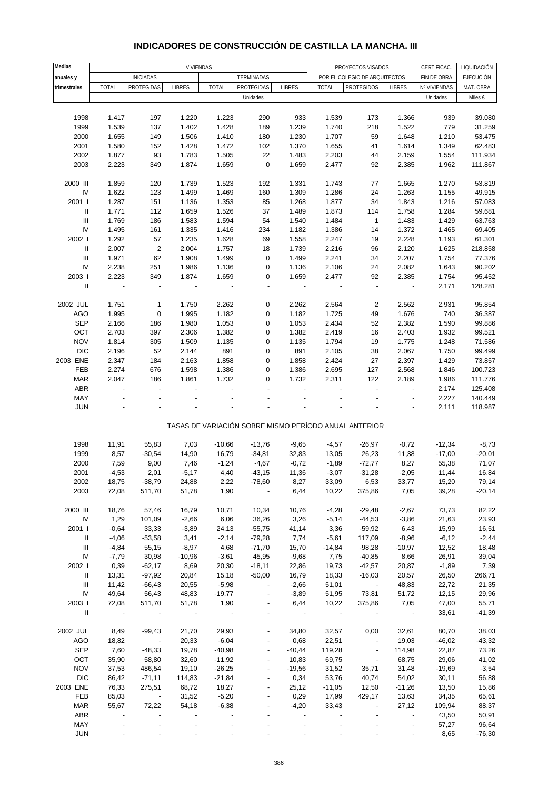# **INDICADORES DE CONSTRUCCIÓN DE CASTILLA LA MANCHA. III**

| Medias                             |                |                          | VIVIENDAS                |                |                          |                          |                | PROYECTOS VISADOS                                     |                          | CERTIFICAC.    | LIQUIDACIÓN       |
|------------------------------------|----------------|--------------------------|--------------------------|----------------|--------------------------|--------------------------|----------------|-------------------------------------------------------|--------------------------|----------------|-------------------|
| anuales y                          |                | <b>INICIADAS</b>         |                          |                | TERMINADAS               |                          |                | POR EL COLEGIO DE ARQUITECTOS                         |                          | FIN DE OBRA    | <b>EJECUCIÓN</b>  |
| trimestrales                       | <b>TOTAL</b>   | PROTEGIDAS               | <b>LIBRES</b>            | <b>TOTAL</b>   | PROTEGIDAS               | <b>LIBRES</b>            | <b>TOTAL</b>   | <b>PROTEGIDOS</b>                                     | <b>LIBRES</b>            | Nº VIVIENDAS   | MAT. OBRA         |
|                                    |                |                          |                          |                | Unidades                 |                          |                |                                                       |                          | Unidades       | Miles €           |
|                                    |                |                          |                          |                |                          |                          |                |                                                       |                          |                |                   |
| 1998                               | 1.417          | 197                      | 1.220                    | 1.223          | 290                      | 933                      | 1.539          | 173                                                   | 1.366                    | 939            | 39.080            |
| 1999                               | 1.539          | 137                      | 1.402                    | 1.428          | 189                      | 1.239                    | 1.740          | 218                                                   | 1.522                    | 779            | 31.259            |
| 2000                               | 1.655          | 149                      | 1.506                    | 1.410          | 180                      | 1.230                    | 1.707          | 59                                                    | 1.648                    | 1.210          | 53.475            |
| 2001                               | 1.580          | 152                      | 1.428                    | 1.472          | 102                      | 1.370                    | 1.655          | 41                                                    | 1.614                    | 1.349          | 62.483            |
| 2002                               | 1.877          | 93                       | 1.783                    | 1.505          | 22                       | 1.483                    | 2.203          | 44                                                    | 2.159                    | 1.554          | 111.934           |
| 2003                               | 2.223          | 349                      | 1.874                    | 1.659          | $\mathbf 0$              | 1.659                    | 2.477          | 92                                                    | 2.385                    | 1.962          | 111.867           |
|                                    |                |                          |                          |                |                          |                          |                |                                                       |                          |                |                   |
| 2000 III                           | 1.859          | 120                      | 1.739                    | 1.523          | 192                      | 1.331                    | 1.743          | 77                                                    | 1.665                    | 1.270          | 53.819            |
| ${\sf IV}$                         | 1.622          | 123                      | 1.499                    | 1.469          | 160                      | 1.309                    | 1.286          | 24                                                    | 1.263                    | 1.155          | 49.915            |
| 2001 l                             | 1.287          | 151                      | 1.136                    | 1.353          | 85                       | 1.268                    | 1.877          | 34                                                    | 1.843                    | 1.216          | 57.083            |
| $\, \parallel$                     | 1.771          | 112                      | 1.659                    | 1.526          | 37                       | 1.489                    | 1.873          | 114                                                   | 1.758                    | 1.284          | 59.681            |
| $\ensuremath{\mathsf{III}}\xspace$ | 1.769          | 186                      | 1.583                    | 1.594          | 54                       | 1.540                    | 1.484          | $\mathbf{1}$                                          | 1.483                    | 1.429          | 63.763            |
| IV                                 | 1.495          | 161                      | 1.335                    | 1.416          | 234                      | 1.182                    | 1.386          | 14                                                    | 1.372                    | 1.465          | 69.405            |
| 2002                               | 1.292          | 57                       | 1.235                    | 1.628          | 69                       | 1.558                    | 2.247          | 19                                                    | 2.228                    | 1.193          | 61.301            |
| $\mathbf{II}$                      | 2.007          | $\sqrt{2}$               | 2.004                    | 1.757          | 18                       | 1.739                    | 2.216          | 96                                                    | 2.120                    | 1.625          | 218.858           |
| $\ensuremath{\mathsf{III}}\xspace$ | 1.971          | 62                       | 1.908                    | 1.499          | 0                        | 1.499                    | 2.241          | 34                                                    | 2.207                    | 1.754          | 77.376            |
| ${\sf IV}$                         | 2.238          | 251                      | 1.986                    | 1.136          | 0                        | 1.136                    | 2.106          | 24                                                    | 2.082                    | 1.643          | 90.202            |
| 2003                               | 2.223          | 349                      | 1.874                    | 1.659          | 0                        | 1.659                    | 2.477          | 92                                                    | 2.385                    | 1.754          | 95.452            |
| $\mathbf{II}$                      | $\blacksquare$ | ÷,                       |                          |                | $\blacksquare$           | $\overline{\phantom{a}}$ |                | $\overline{\phantom{a}}$                              | $\overline{\phantom{a}}$ | 2.171          | 128.281           |
|                                    |                |                          |                          |                |                          |                          |                |                                                       |                          |                |                   |
| 2002 JUL                           | 1.751          | 1                        | 1.750                    | 2.262          | 0                        | 2.262                    | 2.564          | $\overline{2}$                                        | 2.562                    | 2.931          | 95.854            |
| AGO<br><b>SEP</b>                  | 1.995<br>2.166 | $\pmb{0}$                | 1.995<br>1.980           | 1.182<br>1.053 | 0                        | 1.182<br>1.053           | 1.725          | 49                                                    | 1.676<br>2.382           | 740            | 36.387            |
| OCT                                | 2.703          | 186<br>397               | 2.306                    | 1.382          | 0<br>0                   | 1.382                    | 2.434<br>2.419 | 52                                                    | 2.403                    | 1.590          | 99.886<br>99.521  |
| <b>NOV</b>                         | 1.814          | 305                      | 1.509                    | 1.135          | 0                        | 1.135                    | 1.794          | 16<br>19                                              | 1.775                    | 1.932<br>1.248 | 71.586            |
| <b>DIC</b>                         | 2.196          | 52                       | 2.144                    | 891            | 0                        | 891                      | 2.105          | 38                                                    | 2.067                    | 1.750          | 99.499            |
| 2003 ENE                           | 2.347          | 184                      | 2.163                    | 1.858          | 0                        | 1.858                    | 2.424          | 27                                                    | 2.397                    | 1.429          | 73.857            |
| FEB                                | 2.274          | 676                      | 1.598                    | 1.386          | 0                        | 1.386                    | 2.695          | 127                                                   | 2.568                    | 1.846          | 100.723           |
| <b>MAR</b>                         | 2.047          | 186                      | 1.861                    | 1.732          | 0                        | 1.732                    | 2.311          | 122                                                   | 2.189                    | 1.986          | 111.776           |
| ABR                                | $\blacksquare$ | $\overline{\phantom{a}}$ | ÷,                       | ÷,             |                          | $\overline{\phantom{a}}$ | ÷,             | $\overline{\phantom{a}}$                              | $\overline{\phantom{a}}$ | 2.174          | 125.408           |
| MAY                                |                |                          |                          |                |                          |                          |                |                                                       |                          | 2.227          | 140.449           |
| <b>JUN</b>                         |                |                          |                          |                |                          |                          |                |                                                       |                          | 2.111          | 118.987           |
|                                    |                |                          |                          |                |                          |                          |                |                                                       |                          |                |                   |
|                                    |                |                          |                          |                |                          |                          |                | TASAS DE VARIACIÓN SOBRE MISMO PERÍODO ANUAL ANTERIOR |                          |                |                   |
|                                    |                |                          |                          |                |                          |                          |                |                                                       |                          |                |                   |
| 1998                               | 11,91          | 55,83                    | 7,03                     | $-10,66$       | $-13,76$                 | $-9,65$                  | $-4,57$        | $-26,97$                                              | $-0,72$                  | $-12,34$       | $-8,73$           |
| 1999                               | 8,57           | $-30,54$                 | 14,90                    | 16,79          | $-34,81$                 | 32,83                    | 13,05          | 26,23                                                 | 11,38                    | $-17,00$       | $-20,01$          |
| 2000                               | 7,59           | 9,00                     | 7,46                     | $-1,24$        | $-4,67$                  | $-0,72$                  | $-1,89$        | $-72,77$                                              | 8,27                     | 55,38          | 71,07             |
| 2001                               | $-4,53$        | 2,01                     | $-5,17$                  | 4,40           | $-43,15$                 | 11,36                    | $-3,07$        | $-31,28$                                              | $-2,05$                  | 11,44          | 16,84             |
| 2002<br>2003                       | 18,75<br>72,08 | $-38,79$<br>511,70       | 24,88<br>51,78           | 2,22<br>1,90   | -78,60                   | 8,27<br>6,44             | 33,09<br>10,22 | 6,53<br>375,86                                        | 33,77<br>7,05            | 15,20<br>39,28 | 79,14<br>$-20,14$ |
|                                    |                |                          |                          |                |                          |                          |                |                                                       |                          |                |                   |
| 2000 III                           | 18,76          | 57,46                    | 16,79                    | 10,71          | 10,34                    | 10,76                    | $-4,28$        | $-29,48$                                              | $-2,67$                  | 73,73          | 82,22             |
| IV                                 | 1,29           | 101,09                   | $-2,66$                  | 6,06           | 36,26                    | 3,26                     | $-5,14$        | $-44,53$                                              | $-3,86$                  | 21,63          | 23,93             |
| 2001 l                             | $-0,64$        | 33,33                    | $-3,89$                  | 24,13          | $-55,75$                 | 41,14                    | 3,36           | $-59,92$                                              | 6,43                     | 15,99          | 16,51             |
| Ш                                  | $-4,06$        | $-53,58$                 | 3,41                     | $-2,14$        | $-79,28$                 | 7,74                     | $-5,61$        | 117,09                                                | $-8,96$                  | $-6,12$        | $-2,44$           |
| Ш                                  | $-4,84$        | 55,15                    | $-8,97$                  | 4,68           | $-71,70$                 | 15,70                    | $-14,84$       | $-98,28$                                              | $-10,97$                 | 12,52          | 18,48             |
| IV                                 | $-7,79$        | 30,98                    | $-10,96$                 | $-3,61$        | 45,95                    | $-9,68$                  | 7,75           | $-40,85$                                              | 8,66                     | 26,91          | 39,04             |
| 2002                               | 0,39           | $-62,17$                 | 8,69                     | 20,30          | $-18,11$                 | 22,86                    | 19,73          | $-42,57$                                              | 20,87                    | $-1,89$        | 7,39              |
| Ш                                  | 13,31          | $-97,92$                 | 20,84                    | 15,18          | $-50,00$                 | 16,79                    | 18,33          | $-16,03$                                              | 20,57                    | 26,50          | 266,71            |
| Ш                                  | 11,42          | $-66,43$                 | 20,55                    | $-5,98$        | $\overline{\phantom{a}}$ | $-2,66$                  | 51,01          | $\sim 100$                                            | 48,83                    | 22,72          | 21,35             |
| IV                                 | 49,64          | 56,43                    | 48,83                    | $-19,77$       |                          | $-3,89$                  | 51,95          | 73,81                                                 | 51,72                    | 12,15          | 29,96             |
| 2003                               | 72,08          | 511,70                   | 51,78                    | 1,90           | $\overline{\phantom{a}}$ | 6,44                     | 10,22          | 375,86                                                | 7,05                     | 47,00          | 55,71             |
| $\mathbf{II}$                      | $\sim$ $-$     | $\blacksquare$           | $\overline{\phantom{a}}$ | $\sim$ $-$     |                          |                          | $\sim$ $-$     |                                                       | $\overline{\phantom{a}}$ | 33,61          | $-41,39$          |
|                                    |                |                          |                          |                |                          |                          |                |                                                       |                          |                |                   |
| 2002 JUL                           | 8,49           | $-99,43$                 | 21,70                    | 29,93          |                          | 34,80                    | 32,57          | 0,00                                                  | 32,61                    | 80,70          | 38,03             |
| AGO                                | 18,82          | $\sim$ $\sim$            | 20,33                    | $-6,04$        | $\overline{\phantom{a}}$ | 0,68                     | 22,51          | $\overline{\phantom{a}}$                              | 19,03                    | $-46,02$       | $-43,32$          |
| <b>SEP</b>                         | 7,60           | $-48,33$                 | 19,78                    | $-40,98$       |                          | $-40,44$                 | 119,28         | $\overline{\phantom{a}}$                              | 114,98                   | 22,87          | 73,26             |
| OCT                                | 35,90          | 58,80                    | 32,60                    | $-11,92$       | $\overline{\phantom{a}}$ | 10,83                    | 69,75          | $\overline{\phantom{a}}$                              | 68,75                    | 29,06          | 41,02             |
| <b>NOV</b>                         | 37,53          | 486,54                   | 19,10                    | $-26,25$       | $\overline{\phantom{a}}$ | $-19,56$                 | 31,52          | 35,71                                                 | 31,48                    | $-19,69$       | $-3,54$           |
| DIC                                | 86,42          | $-71,11$                 | 114,83                   | $-21,84$       |                          | 0,34                     | 53,76          | 40,74                                                 | 54,02                    | 30,11          | 56,88             |
| 2003 ENE                           | 76,33          | 275,51                   | 68,72                    | 18,27          |                          | 25,12                    | $-11,05$       | 12,50                                                 | $-11,26$                 | 13,50          | 15,86             |
| FEB                                | 85,03          | $\sim 100$ km $^{-1}$    | 31,52                    | $-5,20$        | $\overline{\phantom{a}}$ | 0,29                     | 17,99          | 429,17                                                | 13,63                    | 34,35          | 65,61             |
| <b>MAR</b>                         | 55,67          | 72,22                    | 54,18                    | $-6,38$        |                          | $-4,20$                  | 33,43          |                                                       | 27,12                    | 109,94         | 88,37             |
| ABR                                |                |                          |                          |                |                          |                          |                |                                                       | $\overline{\phantom{a}}$ | 43,50          | 50,91             |
| MAY<br><b>JUN</b>                  |                |                          |                          |                |                          |                          |                |                                                       | $\overline{\phantom{a}}$ | 57,27<br>8,65  | 96,64<br>$-76,30$ |
|                                    |                |                          |                          |                |                          |                          |                |                                                       |                          |                |                   |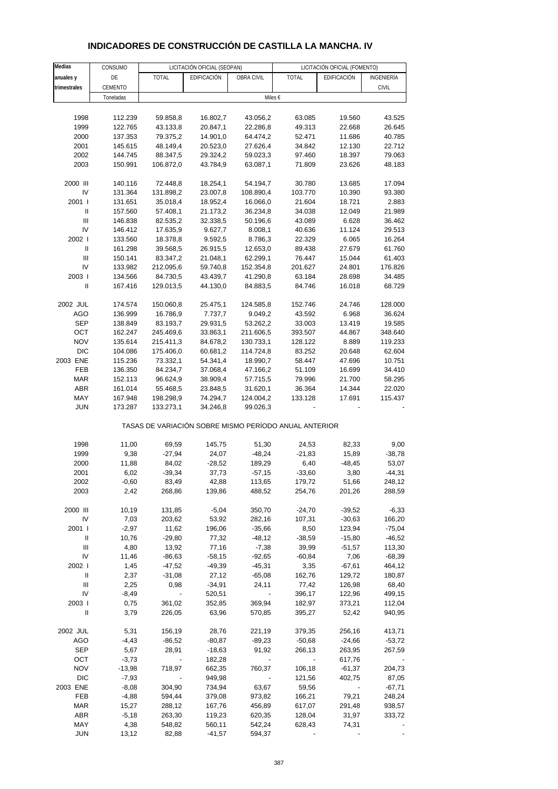| Medias                             | CONSUMO   |                          | LICITACIÓN OFICIAL (SEOPAN)                           |            |              | LICITACIÓN OFICIAL (FOMENTO) |              |
|------------------------------------|-----------|--------------------------|-------------------------------------------------------|------------|--------------|------------------------------|--------------|
| anuales y                          | DE        | <b>TOTAL</b>             | EDIFICACIÓN                                           | OBRA CIVIL | <b>TOTAL</b> | EDIFICACIÓN                  | INGENIERÍA   |
| trimestrales                       | CEMENTO   |                          |                                                       |            |              |                              | <b>CIVIL</b> |
|                                    |           |                          |                                                       |            |              |                              |              |
|                                    | Toneladas |                          |                                                       | Miles €    |              |                              |              |
|                                    |           |                          |                                                       |            |              |                              |              |
| 1998                               | 112.239   | 59.858,8                 | 16.802,7                                              | 43.056,2   | 63.085       | 19.560                       | 43.525       |
| 1999                               | 122.765   | 43.133,8                 | 20.847,1                                              | 22.286,8   | 49.313       | 22.668                       | 26.645       |
| 2000                               | 137.353   | 79.375,2                 | 14.901,0                                              | 64.474,2   | 52.471       | 11.686                       | 40.785       |
| 2001                               | 145.615   | 48.149,4                 | 20.523,0                                              | 27.626,4   | 34.842       | 12.130                       | 22.712       |
| 2002                               | 144.745   | 88.347,5                 | 29.324,2                                              | 59.023,3   | 97.460       | 18.397                       | 79.063       |
| 2003                               | 150.991   | 106.872,0                | 43.784,9                                              | 63.087,1   | 71.809       | 23.626                       | 48.183       |
| 2000 III                           | 140.116   | 72.448,8                 | 18.254,1                                              | 54.194,7   | 30.780       | 13.685                       | 17.094       |
| IV                                 | 131.364   | 131.898,2                | 23.007,8                                              | 108.890,4  | 103.770      | 10.390                       | 93.380       |
| 2001 l                             | 131.651   | 35.018,4                 | 18.952,4                                              | 16.066,0   | 21.604       | 18.721                       | 2.883        |
| $\ensuremath{\mathsf{II}}$         | 157.560   | 57.408,1                 | 21.173,2                                              | 36.234,8   | 34.038       | 12.049                       | 21.989       |
| III                                | 146.838   | 82.535,2                 | 32.338,5                                              | 50.196,6   | 43.089       | 6.628                        | 36.462       |
| IV                                 | 146.412   | 17.635,9                 | 9.627,7                                               | 8.008,1    | 40.636       | 11.124                       | 29.513       |
| 2002                               | 133.560   | 18.378,8                 | 9.592,5                                               | 8.786,3    | 22.329       | 6.065                        | 16.264       |
| $\ensuremath{\mathsf{II}}$         | 161.298   | 39.568,5                 | 26.915,5                                              | 12.653,0   | 89.438       | 27.679                       | 61.760       |
| Ш                                  | 150.141   | 83.347,2                 | 21.048,1                                              | 62.299,1   | 76.447       | 15.044                       | 61.403       |
| IV                                 | 133.982   | 212.095,6                | 59.740,8                                              | 152.354,8  | 201.627      | 24.801                       | 176.826      |
| 2003                               | 134.566   | 84.730,5                 | 43.439,7                                              | 41.290,8   | 63.184       | 28.698                       | 34.485       |
| $\mathbf{I}$                       | 167.416   | 129.013,5                | 44.130,0                                              | 84.883,5   | 84.746       | 16.018                       | 68.729       |
| 2002 JUL                           | 174.574   | 150.060,8                | 25.475,1                                              | 124.585,8  | 152.746      | 24.746                       | 128.000      |
| AGO                                | 136.999   | 16.786,9                 | 7.737,7                                               | 9.049,2    | 43.592       | 6.968                        | 36.624       |
| <b>SEP</b>                         | 138.849   | 83.193,7                 | 29.931,5                                              | 53.262,2   | 33.003       | 13.419                       | 19.585       |
| OCT                                | 162.247   | 245.469,6                | 33.863,1                                              | 211.606,5  | 393.507      | 44.867                       | 348.640      |
| <b>NOV</b>                         | 135.614   | 215.411,3                | 84.678,2                                              | 130.733,1  | 128.122      | 8.889                        | 119.233      |
| <b>DIC</b>                         | 104.086   | 175.406,0                | 60.681,2                                              | 114.724,8  | 83.252       | 20.648                       | 62.604       |
| 2003 ENE                           | 115.236   | 73.332,1                 | 54.341,4                                              | 18.990,7   | 58.447       | 47.696                       | 10.751       |
| FEB                                | 136.350   | 84.234,7                 | 37.068,4                                              | 47.166,2   | 51.109       | 16.699                       | 34.410       |
| MAR                                | 152.113   | 96.624,9                 | 38.909,4                                              | 57.715,5   | 79.996       | 21.700                       | 58.295       |
| ABR                                | 161.014   | 55.468,5                 | 23.848,5                                              | 31.620,1   | 36.364       | 14.344                       | 22.020       |
| MAY                                | 167.948   | 198.298,9                | 74.294,7                                              | 124.004,2  | 133.128      | 17.691                       | 115.437      |
| <b>JUN</b>                         | 173.287   | 133.273,1                | 34.246,8                                              | 99.026,3   |              |                              |              |
|                                    |           |                          | TASAS DE VARIACIÓN SOBRE MISMO PERÍODO ANUAL ANTERIOR |            |              |                              |              |
| 1998                               | 11,00     | 69,59                    | 145,75                                                | 51,30      | 24,53        | 82,33                        | 9,00         |
| 1999                               | 9,38      | $-27,94$                 | 24,07                                                 | $-48,24$   | $-21,83$     | 15,89                        | $-38,78$     |
| 2000                               | 11,88     | 84,02                    | $-28,52$                                              | 189,29     | 6,40         | $-48,45$                     | 53,07        |
| 2001                               | 6,02      | $-39,34$                 | 37,73                                                 | $-57,15$   | $-33,60$     | 3,80                         | $-44,31$     |
| 2002                               | $-0,60$   | 83,49                    | 42,88                                                 | 113,65     | 179,72       | 51,66                        | 248,12       |
| 2003                               | 2,42      | 268,86                   | 139,86                                                | 488,52     | 254,76       | 201,26                       | 288,59       |
| 2000 III                           | 10,19     | 131,85                   | $-5,04$                                               | 350,70     | $-24,70$     | $-39,52$                     | $-6,33$      |
| IV                                 | 7,03      | 203,62                   | 53,92                                                 | 282,16     | 107,31       | $-30,63$                     | 166,20       |
| 2001 l                             | $-2,97$   | 11,62                    | 196,06                                                | $-35,66$   | 8,50         | 123,94                       | $-75,04$     |
| Ш                                  | 10,76     | $-29,80$                 | 77,32                                                 | -48,12     | $-38,59$     | $-15,80$                     | $-46,52$     |
| Ш                                  | 4,80      | 13,92                    | 77,16                                                 | $-7,38$    | 39,99        | $-51,57$                     | 113,30       |
| IV                                 | 11,46     | $-86,63$                 | $-58,15$                                              | $-92,65$   | $-60,84$     | 7,06                         | $-68,39$     |
| 2002                               | 1,45      | $-47,52$                 | $-49,39$                                              | $-45,31$   | 3,35         | $-67,61$                     | 464,12       |
| Ш                                  | 2,37      | $-31,08$                 | 27,12                                                 | $-65,08$   | 162,76       | 129,72                       | 180,87       |
| $\ensuremath{\mathsf{III}}\xspace$ | 2,25      | 0,98                     | $-34,91$                                              | 24,11      | 77,42        | 126,98                       | 68,40        |
| IV                                 | $-8,49$   | $\overline{\phantom{a}}$ | 520,51                                                |            | 396,17       | 122,96                       | 499,15       |
| 2003                               | 0,75      | 361,02                   | 352,85                                                | 369,94     | 182,97       | 373,21                       | 112,04       |
| Ш                                  | 3,79      | 226,05                   | 63,96                                                 | 570,85     | 395,27       | 52,42                        | 940,95       |
|                                    |           |                          |                                                       |            |              |                              |              |
| 2002 JUL                           | 5,31      | 156,19                   | 28,76                                                 | 221,19     | 379,35       | 256,16                       | 413,71       |
| AGO                                | $-4,43$   | $-86,52$                 | $-80,87$                                              | $-89,23$   | $-50,68$     | $-24,66$                     | $-53,72$     |
| SEP                                | 5,67      | 28,91                    | $-18,63$                                              | 91,92      | 266,13       | 263,95                       | 267,59       |
| OCT                                | $-3,73$   | $\overline{\phantom{a}}$ | 182,28                                                |            |              | 617,76                       |              |
| <b>NOV</b>                         | $-13,98$  | 718,97                   | 662,35                                                | 760,37     | 106,18       | $-61,37$                     | 204,73       |
| <b>DIC</b>                         | $-7,93$   |                          | 949,98                                                |            | 121,56       | 402,75                       | 87,05        |
| 2003 ENE                           | $-8,08$   | 304,90                   | 734,94                                                | 63,67      | 59,56        |                              | $-67,71$     |
| FEB                                | $-4,88$   | 594,44                   | 379,08                                                | 973,82     | 166,21       | 79,21                        | 248,24       |
| <b>MAR</b>                         | 15,27     | 288,12                   | 167,76                                                | 456,89     | 617,07       | 291,48                       | 938,57       |
| ABR                                | $-5,18$   | 263,30                   | 119,23                                                | 620,35     | 128,04       | 31,97                        | 333,72       |

#### **INDICADORES DE CONSTRUCCIÓN DE CASTILLA LA MANCHA. IV**

 MAY 4,38 548,82 560,11 542,24 628,43 74,31 - JUN 13,12 82,88 -41,57 594,37 - - -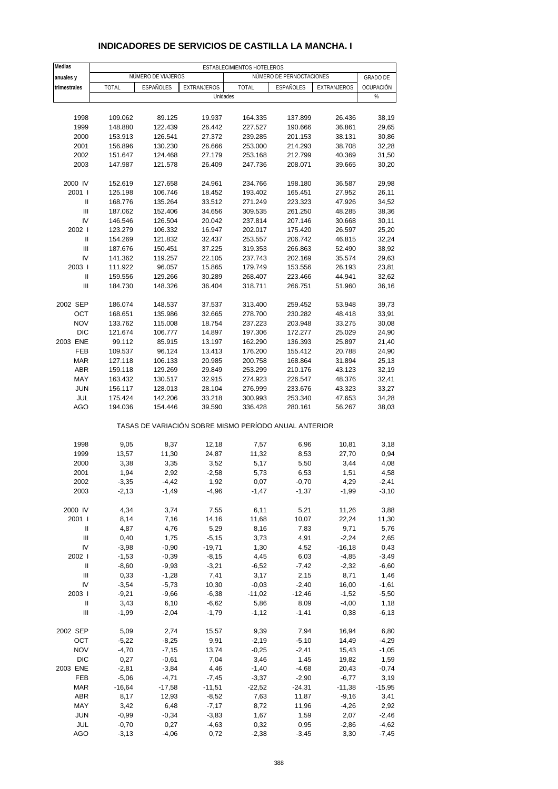| <b>Medias</b>                           |                    |                    |                                                       | ESTABLECIMIENTOS HOTELEROS |                          |                  |                 |
|-----------------------------------------|--------------------|--------------------|-------------------------------------------------------|----------------------------|--------------------------|------------------|-----------------|
| anuales y                               |                    | NÚMERO DE VIAJEROS |                                                       |                            | NÚMERO DE PERNOCTACIONES |                  | <b>GRADO DE</b> |
| trimestrales                            | <b>TOTAL</b>       | <b>ESPAÑOLES</b>   | <b>EXTRANJEROS</b>                                    | <b>TOTAL</b>               | ESPAÑOLES                | EXTRANJEROS      | OCUPACIÓN       |
|                                         |                    |                    | Unidades                                              |                            |                          |                  | %               |
|                                         |                    |                    |                                                       |                            |                          |                  |                 |
| 1998                                    | 109.062            | 89.125             | 19.937                                                | 164.335                    | 137.899                  | 26.436           | 38,19           |
| 1999                                    | 148.880            | 122.439            | 26.442                                                | 227.527                    | 190.666                  | 36.861           | 29,65           |
| 2000                                    | 153.913            | 126.541            | 27.372                                                | 239.285                    | 201.153                  | 38.131           | 30,86           |
| 2001                                    | 156.896            | 130.230            | 26.666                                                | 253.000                    | 214.293                  | 38.708           | 32,28           |
| 2002                                    | 151.647            | 124.468            | 27.179                                                | 253.168                    | 212.799                  | 40.369           | 31,50           |
| 2003                                    | 147.987            | 121.578            | 26.409                                                | 247.736                    | 208.071                  | 39.665           | 30,20           |
| 2000 IV                                 | 152.619            | 127.658            | 24.961                                                | 234.766                    | 198.180                  | 36.587           | 29,98           |
| 2001 l                                  | 125.198            | 106.746            | 18.452                                                | 193.402                    | 165.451                  | 27.952           | 26,11           |
| Ш                                       | 168.776            | 135.264            | 33.512                                                | 271.249                    | 223.323                  | 47.926           | 34,52           |
| $\mathbf{III}$                          | 187.062            | 152.406            | 34.656                                                | 309.535                    | 261.250                  | 48.285           | 38,36           |
| IV                                      | 146.546            | 126.504            | 20.042                                                | 237.814                    | 207.146                  | 30.668           | 30,11           |
| 2002 l                                  | 123.279            | 106.332            | 16.947                                                | 202.017                    | 175.420                  | 26.597           | 25,20           |
| $\ensuremath{\mathsf{II}}$              | 154.269            | 121.832            | 32.437                                                | 253.557                    | 206.742                  | 46.815           | 32,24           |
| Ш                                       | 187.676            | 150.451            | 37.225                                                | 319.353                    | 266.863                  | 52.490           | 38,92           |
| IV                                      | 141.362            | 119.257            | 22.105                                                | 237.743                    | 202.169                  | 35.574           | 29,63           |
| 2003  <br>$\ensuremath{\mathsf{II}}$    | 111.922            | 96.057             | 15.865                                                | 179.749                    | 153.556                  | 26.193           | 23,81           |
| III                                     | 159.556<br>184.730 | 129.266<br>148.326 | 30.289<br>36.404                                      | 268.407<br>318.711         | 223.466<br>266.751       | 44.941<br>51.960 | 32,62<br>36,16  |
|                                         |                    |                    |                                                       |                            |                          |                  |                 |
| 2002 SEP                                | 186.074            | 148.537            | 37.537                                                | 313.400                    | 259.452                  | 53.948           | 39,73           |
| OCT                                     | 168.651            | 135.986            | 32.665                                                | 278.700                    | 230.282                  | 48.418           | 33,91           |
| <b>NOV</b>                              | 133.762            | 115.008            | 18.754                                                | 237.223                    | 203.948                  | 33.275           | 30,08           |
| <b>DIC</b>                              | 121.674            | 106.777            | 14.897                                                | 197.306                    | 172.277                  | 25.029           | 24,90           |
| 2003 ENE                                | 99.112             | 85.915             | 13.197                                                | 162.290                    | 136.393                  | 25.897           | 21,40           |
| FEB                                     | 109.537            | 96.124             | 13.413                                                | 176.200                    | 155.412                  | 20.788           | 24,90           |
| <b>MAR</b>                              | 127.118            | 106.133            | 20.985                                                | 200.758                    | 168.864                  | 31.894           | 25,13           |
| <b>ABR</b>                              | 159.118            | 129.269            | 29.849                                                | 253.299                    | 210.176                  | 43.123           | 32,19           |
| MAY<br><b>JUN</b>                       | 163.432<br>156.117 | 130.517<br>128.013 | 32.915<br>28.104                                      | 274.923<br>276.999         | 226.547<br>233.676       | 48.376<br>43.323 | 32,41<br>33,27  |
| JUL                                     | 175.424            | 142.206            | 33.218                                                | 300.993                    | 253.340                  | 47.653           | 34,28           |
| AGO                                     | 194.036            | 154.446            | 39.590                                                | 336.428                    | 280.161                  | 56.267           | 38,03           |
|                                         |                    |                    | TASAS DE VARIACIÓN SOBRE MISMO PERÍODO ANUAL ANTERIOR |                            |                          |                  |                 |
|                                         |                    |                    |                                                       |                            |                          |                  |                 |
| 1998<br>1999                            | 9,05<br>13,57      | 8,37<br>11,30      | 12,18<br>24,87                                        | 7,57<br>11,32              | 6,96<br>8,53             | 10,81<br>27,70   | 3,18<br>0,94    |
| 2000                                    | 3,38               | 3,35               | 3,52                                                  | 5,17                       | 5,50                     | 3,44             | 4,08            |
| 2001                                    | 1,94               | 2,92               | $-2,58$                                               | 5,73                       | 6,53                     | 1,51             | 4,58            |
| 2002                                    | $-3,35$            | $-4,42$            | 1,92                                                  | 0,07                       | $-0,70$                  | 4,29             | -2,41           |
| 2003                                    | $-2, 13$           | $-1,49$            | $-4,96$                                               | $-1,47$                    | $-1,37$                  | $-1,99$          | $-3,10$         |
|                                         |                    |                    |                                                       |                            |                          |                  |                 |
| 2000 IV<br>2001 l                       | 4,34               | 3,74               | 7,55                                                  | 6,11                       | 5,21                     | 11,26            | 3,88            |
|                                         | 8,14               | 7,16               | 14,16                                                 | 11,68                      | 10,07                    | 22,24            | 11,30           |
| Ш<br>$\ensuremath{\mathsf{III}}\xspace$ | 4,87<br>0,40       | 4,76<br>1,75       | 5,29<br>$-5,15$                                       | 8,16<br>3,73               | 7,83<br>4,91             | 9,71<br>$-2,24$  | 5,76<br>2,65    |
| IV                                      | $-3,98$            | $-0,90$            | $-19,71$                                              | 1,30                       | 4,52                     | $-16,18$         | 0,43            |
| 2002 l                                  | $-1,53$            | $-0,39$            | $-8,15$                                               | 4,45                       | 6,03                     | $-4,85$          | $-3,49$         |
| Ш                                       | $-8,60$            | $-9,93$            | $-3,21$                                               | $-6,52$                    | $-7,42$                  | $-2,32$          | $-6,60$         |
| Ш                                       | 0,33               | $-1,28$            | 7,41                                                  | 3,17                       | 2,15                     | 8,71             | 1,46            |
| IV                                      | $-3,54$            | $-5,73$            | 10,30                                                 | $-0,03$                    | $-2,40$                  | 16,00            | $-1,61$         |
| 2003                                    | $-9,21$            | $-9,66$            | $-6,38$                                               | $-11,02$                   | $-12,46$                 | $-1,52$          | $-5,50$         |
| Ш                                       | 3,43               | 6,10               | $-6,62$                                               | 5,86                       | 8,09                     | $-4,00$          | 1,18            |
| $\ensuremath{\mathsf{III}}\xspace$      | $-1,99$            | $-2,04$            | $-1,79$                                               | $-1,12$                    | $-1,41$                  | 0,38             | $-6, 13$        |
| 2002 SEP                                | 5,09               | 2,74               | 15,57                                                 | 9,39                       | 7,94                     | 16,94            | 6,80            |
| OCT                                     | $-5,22$            | $-8,25$            | 9,91                                                  | $-2,19$                    | $-5,10$                  | 14,49            | $-4,29$         |
| <b>NOV</b>                              | $-4,70$            | $-7,15$            | 13,74                                                 | $-0,25$                    | $-2,41$                  | 15,43            | $-1,05$         |
| <b>DIC</b>                              | 0,27               | $-0,61$            | 7,04                                                  | 3,46                       | 1,45                     | 19,82            | 1,59            |
| 2003 ENE                                | $-2,81$            | $-3,84$            | 4,46                                                  | $-1,40$                    | $-4,68$                  | 20,43            | $-0,74$         |
| FEB                                     | $-5,06$            | $-4,71$            | $-7,45$                                               | $-3,37$                    | $-2,90$                  | $-6,77$          | 3,19            |
| <b>MAR</b>                              | $-16,64$           | $-17,58$           | $-11,51$                                              | $-22,52$                   | $-24,31$                 | $-11,38$         | $-15,95$        |
| ABR                                     | 8,17               | 12,93              | $-8,52$                                               | 7,63                       | 11,87                    | $-9,16$          | 3,41            |
| MAY<br>JUN                              | 3,42<br>$-0,99$    | 6,48<br>$-0,34$    | $-7,17$<br>$-3,83$                                    | 8,72<br>1,67               | 11,96<br>1,59            | $-4,26$<br>2,07  | 2,92<br>$-2,46$ |
| JUL                                     | $-0,70$            | 0,27               | $-4,63$                                               | 0,32                       | 0,95                     | $-2,86$          | $-4,62$         |
| AGO                                     | $-3,13$            | $-4,06$            | 0,72                                                  | $-2,38$                    | $-3,45$                  | 3,30             | $-7,45$         |

### **INDICADORES DE SERVICIOS DE CASTILLA LA MANCHA. I**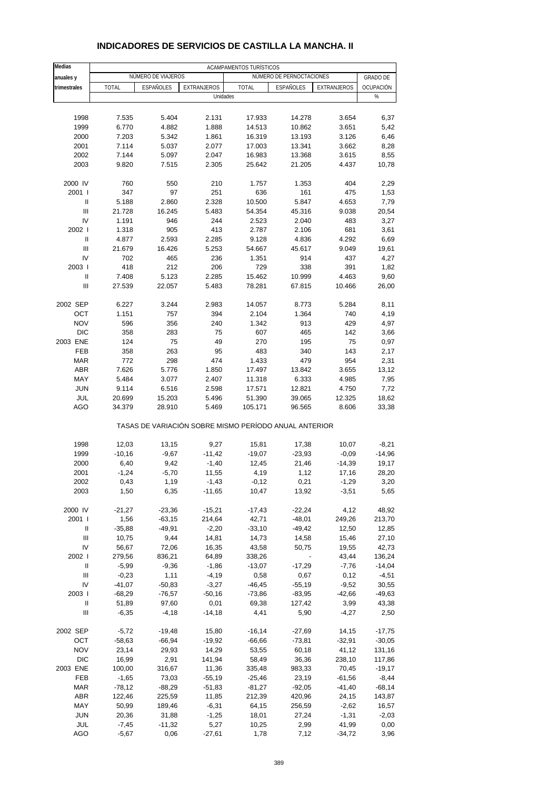| Medias                   |                  |                    |                    | ACAMPAMENTOS TURÍSTICOS                               |                          |                  |                 |
|--------------------------|------------------|--------------------|--------------------|-------------------------------------------------------|--------------------------|------------------|-----------------|
| anuales y                |                  | NÚMERO DE VIAJEROS |                    |                                                       | NÚMERO DE PERNOCTACIONES |                  | <b>GRADO DE</b> |
| trimestrales             | <b>TOTAL</b>     | ESPAÑOLES          | <b>EXTRANJEROS</b> | <b>TOTAL</b>                                          | ESPAÑOLES                | EXTRANJEROS      | OCUPACIÓN       |
|                          |                  |                    | Unidades           |                                                       |                          |                  | $\%$            |
|                          |                  |                    |                    |                                                       |                          |                  |                 |
| 1998                     | 7.535            | 5.404              | 2.131              | 17.933                                                | 14.278                   | 3.654            | 6,37            |
| 1999                     | 6.770            | 4.882              | 1.888              | 14.513                                                | 10.862                   | 3.651            | 5,42            |
| 2000                     | 7.203            | 5.342              | 1.861              | 16.319                                                | 13.193                   | 3.126            | 6,46            |
| 2001                     | 7.114            | 5.037              | 2.077              | 17.003                                                | 13.341                   | 3.662            | 8,28            |
| 2002                     | 7.144            | 5.097              | 2.047              | 16.983                                                | 13.368                   | 3.615            | 8,55            |
| 2003                     | 9.820            | 7.515              | 2.305              | 25.642                                                | 21.205                   | 4.437            | 10,78           |
| 2000 IV                  | 760              | 550                | 210                | 1.757                                                 | 1.353                    | 404              | 2,29            |
| 2001 l                   | 347              | 97                 | 251                | 636                                                   | 161                      | 475              | 1,53            |
| Ш                        | 5.188            | 2.860              | 2.328              | 10.500                                                | 5.847                    | 4.653            | 7,79            |
| Ш                        | 21.728           | 16.245             | 5.483              | 54.354                                                | 45.316                   | 9.038            | 20,54           |
| IV                       | 1.191            | 946                | 244                | 2.523                                                 | 2.040                    | 483              | 3,27            |
| 2002 l                   | 1.318            | 905                | 413                | 2.787                                                 | 2.106                    | 681              | 3,61            |
| Ш                        | 4.877            | 2.593              | 2.285              | 9.128                                                 | 4.836                    | 4.292            | 6,69            |
| Ш<br>IV                  | 21.679<br>702    | 16.426             | 5.253              | 54.667                                                | 45.617<br>914            | 9.049<br>437     | 19,61           |
| 2003                     | 418              | 465<br>212         | 236<br>206         | 1.351<br>729                                          | 338                      | 391              | 4,27            |
| Ш                        | 7.408            | 5.123              | 2.285              | 15.462                                                | 10.999                   | 4.463            | 1,82<br>9,60    |
| Ш                        | 27.539           | 22.057             | 5.483              | 78.281                                                | 67.815                   | 10.466           | 26,00           |
|                          |                  |                    |                    |                                                       |                          |                  |                 |
| 2002 SEP                 | 6.227            | 3.244              | 2.983              | 14.057                                                | 8.773                    | 5.284            | 8,11            |
| OCT                      | 1.151            | 757                | 394                | 2.104                                                 | 1.364                    | 740              | 4,19            |
| <b>NOV</b>               | 596              | 356                | 240                | 1.342                                                 | 913                      | 429              | 4,97            |
| <b>DIC</b>               | 358              | 283                | 75                 | 607                                                   | 465                      | 142              | 3,66            |
| 2003 ENE                 | 124              | 75                 | 49                 | 270                                                   | 195                      | 75               | 0,97            |
| <b>FEB</b><br><b>MAR</b> | 358              | 263                | 95                 | 483                                                   | 340                      | 143              | 2,17            |
|                          | 772              | 298                | 474                | 1.433                                                 | 479                      | 954              | 2,31            |
| <b>ABR</b><br>MAY        | 7.626            | 5.776              | 1.850              | 17.497                                                | 13.842                   | 3.655            | 13,12           |
| <b>JUN</b>               | 5.484<br>9.114   | 3.077<br>6.516     | 2.407<br>2.598     | 11.318<br>17.571                                      | 6.333<br>12.821          | 4.985<br>4.750   | 7,95            |
| JUL                      | 20.699           | 15.203             | 5.496              | 51.390                                                | 39.065                   | 12.325           | 7,72<br>18,62   |
| AGO                      | 34.379           | 28.910             | 5.469              | 105.171                                               | 96.565                   | 8.606            | 33,38           |
|                          |                  |                    |                    | TASAS DE VARIACIÓN SOBRE MISMO PERÍODO ANUAL ANTERIOR |                          |                  |                 |
| 1998                     | 12,03            | 13,15              | 9,27               | 15,81                                                 | 17,38                    | 10,07            | $-8,21$         |
| 1999                     | $-10,16$         | $-9,67$            | $-11,42$           | $-19,07$                                              | $-23,93$                 | $-0,09$          | $-14,96$        |
| 2000                     | 6,40             | 9,42               | $-1,40$            | 12,45                                                 | 21,46                    | $-14,39$         | 19,17           |
| 2001                     | $-1,24$          | $-5,70$            | 11,55              | 4,19                                                  | 1,12                     | 17,16            | 28,20           |
| 2002                     | 0,43             | 1,19               | $-1,43$            | $-0,12$                                               | 0,21                     | $-1,29$          | 3,20            |
| 2003                     | 1,50             | 6,35               | $-11,65$           | 10,47                                                 | 13,92                    | $-3,51$          | 5,65            |
| 2000 IV                  | $-21,27$         | $-23,36$           | $-15,21$           | $-17,43$                                              | $-22,24$                 | 4,12             | 48,92           |
| 2001 l                   | 1,56             | $-63,15$           | 214,64             | 42,71                                                 | $-48,01$                 | 249,26           | 213,70          |
| Ш                        | $-35,88$         | $-49,91$           | $-2,20$            | $-33,10$                                              | $-49,42$                 | 12,50            | 12,85           |
| Ш                        | 10,75            | 9,44               | 14,81              | 14,73                                                 | 14,58                    | 15,46            | 27,10           |
| IV                       | 56,67            | 72,06              | 16,35              | 43,58                                                 | 50,75                    | 19,55            | 42,73           |
| 2002                     | 279,56           | 836,21             | 64,89              | 338,26                                                |                          | 43,44            | 136,24          |
| Ш                        | $-5,99$          | $-9,36$            | $-1,86$            | $-13,07$                                              | $-17,29$                 | $-7,76$          | $-14,04$        |
| Ш                        | $-0,23$          | 1,11               | $-4,19$            | 0,58                                                  | 0,67                     | 0,12             | $-4,51$         |
| IV                       | $-41,07$         | $-50,83$           | $-3,27$            | $-46,45$                                              | $-55,19$                 | $-9,52$          | 30,55           |
| 2003                     | $-68,29$         | $-76,57$           | $-50,16$           | $-73,86$                                              | $-83,95$                 | $-42,66$         | $-49,63$        |
| Ш                        | 51,89            | 97,60              | 0,01               | 69,38                                                 | 127,42                   | 3,99             | 43,38           |
| Ш                        | $-6,35$          | $-4,18$            | $-14,18$           | 4,41                                                  | 5,90                     | $-4,27$          | 2,50            |
| 2002 SEP                 | $-5,72$          | $-19,48$           | 15,80              | $-16,14$                                              | $-27,69$                 | 14,15            | $-17,75$        |
| OCT                      | $-58,63$         | $-66,94$           | $-19,92$           | $-66,66$                                              | $-73,81$                 | $-32,91$         | $-30,05$        |
| <b>NOV</b>               | 23,14            | 29,93              | 14,29              | 53,55                                                 | 60,18                    | 41,12            | 131,16          |
| <b>DIC</b>               | 16,99            | 2,91               | 141,94             | 58,49                                                 | 36,36                    | 238,10           | 117,86          |
| 2003 ENE                 | 100,00           | 316,67             | 11,36              | 335,48                                                | 983,33                   | 70,45            | $-19,17$        |
| FEB                      | $-1,65$          | 73,03              | $-55,19$           | $-25,46$                                              | 23,19                    | $-61,56$         | $-8,44$         |
| <b>MAR</b>               | $-78,12$         | $-88,29$           | $-51,83$           | $-81,27$                                              | $-92,05$                 | $-41,40$         | $-68,14$        |
| ABR                      | 122,46           | 225,59             | 11,85              | 212,39                                                | 420,96                   | 24,15            | 143,87          |
| MAY                      | 50,99            | 189,46             | $-6,31$            | 64,15                                                 | 256,59                   | $-2,62$          | 16,57           |
| <b>JUN</b><br>JUL        | 20,36<br>$-7,45$ | 31,88<br>$-11,32$  | $-1,25$<br>5,27    | 18,01<br>10,25                                        | 27,24<br>2,99            | $-1,31$<br>41,99 | $-2,03$<br>0,00 |
| AGO                      | $-5,67$          | 0,06               | $-27,61$           | 1,78                                                  | 7,12                     | $-34,72$         | 3,96            |
|                          |                  |                    |                    |                                                       |                          |                  |                 |

## **INDICADORES DE SERVICIOS DE CASTILLA LA MANCHA. II**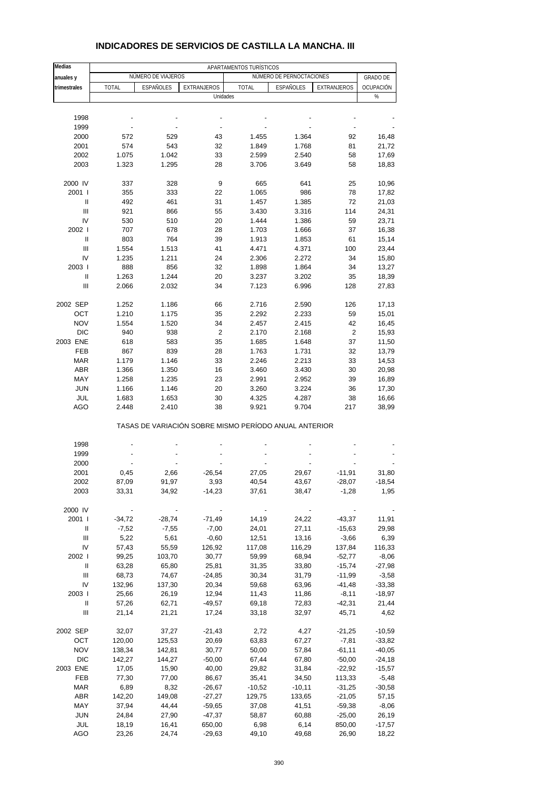| NÚMERO DE VIAJEROS<br>NÚMERO DE PERNOCTACIONES<br>anuales y<br>trimestrales<br><b>TOTAL</b><br>ESPAÑOLES<br><b>EXTRANJEROS</b><br><b>TOTAL</b><br><b>ESPAÑOLES</b><br>EXTRANJEROS<br>Unidades<br>%<br>1998<br>1999<br>2000<br>572<br>529<br>43<br>1.455<br>1.364<br>92<br>2001<br>574<br>543<br>1.849<br>1.768<br>81<br>32<br>2002<br>1.042<br>33<br>2.599<br>2.540<br>58<br>1.075<br>2003<br>1.323<br>1.295<br>28<br>3.706<br>58<br>3.649<br>2000 IV<br>328<br>9<br>25<br>337<br>665<br>641<br>2001 l<br>333<br>22<br>986<br>78<br>355<br>1.065<br>$\mathbf{I}$<br>492<br>461<br>31<br>1.457<br>1.385<br>72<br>21,03<br>Ш<br>921<br>866<br>55<br>3.430<br>3.316<br>114<br>24,31<br>IV<br>530<br>510<br>20<br>1.444<br>1.386<br>59<br>2002 l<br>707<br>678<br>28<br>1.703<br>1.666<br>37<br>Ш<br>803<br>764<br>39<br>1.913<br>61<br>1.853<br>Ш<br>1.554<br>41<br>4.371<br>100<br>1.513<br>4.471<br>IV<br>1.235<br>1.211<br>24<br>2.306<br>2.272<br>34<br>2003  <br>888<br>856<br>32<br>1.898<br>1.864<br>34<br>$\mathbf{I}$<br>1.263<br>1.244<br>20<br>35<br>3.237<br>3.202<br>Ш<br>2.066<br>2.032<br>34<br>7.123<br>128<br>6.996<br>2002 SEP<br>1.252<br>2.590<br>1.186<br>66<br>2.716<br>126<br>OCT<br>1.210<br>1.175<br>35<br>2.292<br>2.233<br>59<br><b>NOV</b><br>1.554<br>1.520<br>34<br>2.457<br>2.415<br>42<br><b>DIC</b><br>$\overline{c}$<br>$\sqrt{2}$<br>940<br>938<br>2.170<br>2.168<br>2003 ENE<br>583<br>35<br>1.685<br>37<br>618<br>1.648<br>11,50<br><b>FEB</b><br>867<br>839<br>28<br>1.763<br>1.731<br>32<br>13,79<br><b>MAR</b><br>1.179<br>1.146<br>33<br>2.246<br>2.213<br>33<br><b>ABR</b><br>1.366<br>1.350<br>16<br>3.460<br>3.430<br>30<br>MAY<br>1.258<br>1.235<br>23<br>2.991<br>2.952<br>39<br><b>JUN</b><br>1.166<br>20<br>3.260<br>3.224<br>36<br>1.146<br>JUL<br>1.683<br>1.653<br>30<br>4.325<br>4.287<br>38<br>AGO<br>38<br>9.921<br>2.448<br>2.410<br>9.704<br>217<br>TASAS DE VARIACIÓN SOBRE MISMO PERÍODO ANUAL ANTERIOR<br>1998<br>1999<br>2000<br>2001<br>0,45<br>2,66<br>$-26,54$<br>27,05<br>29,67<br>$-11,91$<br>2002<br>87,09<br>91,97<br>3,93<br>40,54<br>43,67<br>$-28,07$<br>34,92<br>$-14,23$<br>2003<br>33,31<br>37,61<br>38,47<br>$-1,28$<br>2000 IV<br>2001 l<br>$-34,72$<br>$-28,74$<br>$-71,49$<br>14,19<br>24,22<br>$-43,37$<br>11,91<br>Ш<br>$-7,52$<br>$-7,55$<br>$-7,00$<br>24,01<br>27,11<br>$-15,63$<br>29,98<br>Ш<br>5,22<br>5,61<br>$-3,66$<br>$-0,60$<br>12,51<br>13,16<br>IV<br>57,43<br>126,92<br>116,29<br>137,84<br>55,59<br>117,08<br>2002 l<br>99,25<br>103,70<br>30,77<br>59,99<br>68,94<br>$-52,77$<br>Ш<br>25,81<br>$-15,74$<br>63,28<br>65,80<br>31,35<br>33,80<br>$\ensuremath{\mathsf{III}}\xspace$<br>68,73<br>74,67<br>$-24,85$<br>$-11,99$<br>30,34<br>31,79<br>IV<br>132,96<br>137,30<br>20,34<br>59,68<br>63,96<br>$-41,48$<br>2003  <br>25,66<br>26,19<br>12,94<br>11,43<br>11,86<br>$-8,11$<br>Ш<br>57,26<br>62,71<br>$-42,31$<br>$-49,57$<br>69,18<br>72,83<br>Ш<br>21,14<br>17,24<br>45,71<br>21,21<br>33,18<br>32,97<br>2002 SEP<br>32,07<br>37,27<br>$-21,43$<br>2,72<br>4,27<br>$-21,25$<br>OCT<br>120,00<br>125,53<br>20,69<br>63,83<br>67,27<br>$-7,81$<br><b>NOV</b><br>30,77<br>138,34<br>142,81<br>50,00<br>57,84<br>$-61,11$<br><b>DIC</b><br>142,27<br>144,27<br>$-50,00$<br>67,44<br>$-50,00$<br>67,80<br>2003 ENE<br>17,05<br>40,00<br>$-22,92$<br>15,90<br>29,82<br>31,84<br>FEB<br>77,30<br>77,00<br>86,67<br>113,33<br>35,41<br>34,50<br><b>MAR</b><br>6,89<br>8,32<br>$-31,25$<br>$-26,67$<br>$-10,52$<br>$-10,11$<br><b>ABR</b><br>142,20<br>149,08<br>$-27,27$<br>129,75<br>133,65<br>$-21,05$<br>MAY<br>37,94<br>44,44<br>$-59,65$<br>37,08<br>41,51<br>$-59,38$<br><b>JUN</b><br>24,84 | Medias |       |          | APARTAMENTOS TURÍSTICOS |       |          |                   |
|-----------------------------------------------------------------------------------------------------------------------------------------------------------------------------------------------------------------------------------------------------------------------------------------------------------------------------------------------------------------------------------------------------------------------------------------------------------------------------------------------------------------------------------------------------------------------------------------------------------------------------------------------------------------------------------------------------------------------------------------------------------------------------------------------------------------------------------------------------------------------------------------------------------------------------------------------------------------------------------------------------------------------------------------------------------------------------------------------------------------------------------------------------------------------------------------------------------------------------------------------------------------------------------------------------------------------------------------------------------------------------------------------------------------------------------------------------------------------------------------------------------------------------------------------------------------------------------------------------------------------------------------------------------------------------------------------------------------------------------------------------------------------------------------------------------------------------------------------------------------------------------------------------------------------------------------------------------------------------------------------------------------------------------------------------------------------------------------------------------------------------------------------------------------------------------------------------------------------------------------------------------------------------------------------------------------------------------------------------------------------------------------------------------------------------------------------------------------------------------------------------------------------------------------------------------------------------------------------------------------------------------------------------------------------------------------------------------------------------------------------------------------------------------------------------------------------------------------------------------------------------------------------------------------------------------------------------------------------------------------------------------------------------------------------------------------------------------------------------------------------------------------------------------------------------------------------------------------------------------------------------------------------------------------------------------------------------------------------------------------------------------------------------------------------------------------------------------------------------------------------------------------------------------------------------------------------------------------------------------------------------------------------------------------------------------------------|--------|-------|----------|-------------------------|-------|----------|-------------------|
|                                                                                                                                                                                                                                                                                                                                                                                                                                                                                                                                                                                                                                                                                                                                                                                                                                                                                                                                                                                                                                                                                                                                                                                                                                                                                                                                                                                                                                                                                                                                                                                                                                                                                                                                                                                                                                                                                                                                                                                                                                                                                                                                                                                                                                                                                                                                                                                                                                                                                                                                                                                                                                                                                                                                                                                                                                                                                                                                                                                                                                                                                                                                                                                                                                                                                                                                                                                                                                                                                                                                                                                                                                                                                               |        |       |          |                         |       |          | <b>GRADO DE</b>   |
|                                                                                                                                                                                                                                                                                                                                                                                                                                                                                                                                                                                                                                                                                                                                                                                                                                                                                                                                                                                                                                                                                                                                                                                                                                                                                                                                                                                                                                                                                                                                                                                                                                                                                                                                                                                                                                                                                                                                                                                                                                                                                                                                                                                                                                                                                                                                                                                                                                                                                                                                                                                                                                                                                                                                                                                                                                                                                                                                                                                                                                                                                                                                                                                                                                                                                                                                                                                                                                                                                                                                                                                                                                                                                               |        |       |          |                         |       |          | OCUPACIÓN         |
|                                                                                                                                                                                                                                                                                                                                                                                                                                                                                                                                                                                                                                                                                                                                                                                                                                                                                                                                                                                                                                                                                                                                                                                                                                                                                                                                                                                                                                                                                                                                                                                                                                                                                                                                                                                                                                                                                                                                                                                                                                                                                                                                                                                                                                                                                                                                                                                                                                                                                                                                                                                                                                                                                                                                                                                                                                                                                                                                                                                                                                                                                                                                                                                                                                                                                                                                                                                                                                                                                                                                                                                                                                                                                               |        |       |          |                         |       |          |                   |
|                                                                                                                                                                                                                                                                                                                                                                                                                                                                                                                                                                                                                                                                                                                                                                                                                                                                                                                                                                                                                                                                                                                                                                                                                                                                                                                                                                                                                                                                                                                                                                                                                                                                                                                                                                                                                                                                                                                                                                                                                                                                                                                                                                                                                                                                                                                                                                                                                                                                                                                                                                                                                                                                                                                                                                                                                                                                                                                                                                                                                                                                                                                                                                                                                                                                                                                                                                                                                                                                                                                                                                                                                                                                                               |        |       |          |                         |       |          |                   |
|                                                                                                                                                                                                                                                                                                                                                                                                                                                                                                                                                                                                                                                                                                                                                                                                                                                                                                                                                                                                                                                                                                                                                                                                                                                                                                                                                                                                                                                                                                                                                                                                                                                                                                                                                                                                                                                                                                                                                                                                                                                                                                                                                                                                                                                                                                                                                                                                                                                                                                                                                                                                                                                                                                                                                                                                                                                                                                                                                                                                                                                                                                                                                                                                                                                                                                                                                                                                                                                                                                                                                                                                                                                                                               |        |       |          |                         |       |          |                   |
|                                                                                                                                                                                                                                                                                                                                                                                                                                                                                                                                                                                                                                                                                                                                                                                                                                                                                                                                                                                                                                                                                                                                                                                                                                                                                                                                                                                                                                                                                                                                                                                                                                                                                                                                                                                                                                                                                                                                                                                                                                                                                                                                                                                                                                                                                                                                                                                                                                                                                                                                                                                                                                                                                                                                                                                                                                                                                                                                                                                                                                                                                                                                                                                                                                                                                                                                                                                                                                                                                                                                                                                                                                                                                               |        |       |          |                         |       |          | 16,48             |
|                                                                                                                                                                                                                                                                                                                                                                                                                                                                                                                                                                                                                                                                                                                                                                                                                                                                                                                                                                                                                                                                                                                                                                                                                                                                                                                                                                                                                                                                                                                                                                                                                                                                                                                                                                                                                                                                                                                                                                                                                                                                                                                                                                                                                                                                                                                                                                                                                                                                                                                                                                                                                                                                                                                                                                                                                                                                                                                                                                                                                                                                                                                                                                                                                                                                                                                                                                                                                                                                                                                                                                                                                                                                                               |        |       |          |                         |       |          | 21,72             |
|                                                                                                                                                                                                                                                                                                                                                                                                                                                                                                                                                                                                                                                                                                                                                                                                                                                                                                                                                                                                                                                                                                                                                                                                                                                                                                                                                                                                                                                                                                                                                                                                                                                                                                                                                                                                                                                                                                                                                                                                                                                                                                                                                                                                                                                                                                                                                                                                                                                                                                                                                                                                                                                                                                                                                                                                                                                                                                                                                                                                                                                                                                                                                                                                                                                                                                                                                                                                                                                                                                                                                                                                                                                                                               |        |       |          |                         |       |          | 17,69             |
|                                                                                                                                                                                                                                                                                                                                                                                                                                                                                                                                                                                                                                                                                                                                                                                                                                                                                                                                                                                                                                                                                                                                                                                                                                                                                                                                                                                                                                                                                                                                                                                                                                                                                                                                                                                                                                                                                                                                                                                                                                                                                                                                                                                                                                                                                                                                                                                                                                                                                                                                                                                                                                                                                                                                                                                                                                                                                                                                                                                                                                                                                                                                                                                                                                                                                                                                                                                                                                                                                                                                                                                                                                                                                               |        |       |          |                         |       |          | 18,83             |
|                                                                                                                                                                                                                                                                                                                                                                                                                                                                                                                                                                                                                                                                                                                                                                                                                                                                                                                                                                                                                                                                                                                                                                                                                                                                                                                                                                                                                                                                                                                                                                                                                                                                                                                                                                                                                                                                                                                                                                                                                                                                                                                                                                                                                                                                                                                                                                                                                                                                                                                                                                                                                                                                                                                                                                                                                                                                                                                                                                                                                                                                                                                                                                                                                                                                                                                                                                                                                                                                                                                                                                                                                                                                                               |        |       |          |                         |       |          |                   |
|                                                                                                                                                                                                                                                                                                                                                                                                                                                                                                                                                                                                                                                                                                                                                                                                                                                                                                                                                                                                                                                                                                                                                                                                                                                                                                                                                                                                                                                                                                                                                                                                                                                                                                                                                                                                                                                                                                                                                                                                                                                                                                                                                                                                                                                                                                                                                                                                                                                                                                                                                                                                                                                                                                                                                                                                                                                                                                                                                                                                                                                                                                                                                                                                                                                                                                                                                                                                                                                                                                                                                                                                                                                                                               |        |       |          |                         |       |          | 10,96             |
|                                                                                                                                                                                                                                                                                                                                                                                                                                                                                                                                                                                                                                                                                                                                                                                                                                                                                                                                                                                                                                                                                                                                                                                                                                                                                                                                                                                                                                                                                                                                                                                                                                                                                                                                                                                                                                                                                                                                                                                                                                                                                                                                                                                                                                                                                                                                                                                                                                                                                                                                                                                                                                                                                                                                                                                                                                                                                                                                                                                                                                                                                                                                                                                                                                                                                                                                                                                                                                                                                                                                                                                                                                                                                               |        |       |          |                         |       |          | 17,82             |
|                                                                                                                                                                                                                                                                                                                                                                                                                                                                                                                                                                                                                                                                                                                                                                                                                                                                                                                                                                                                                                                                                                                                                                                                                                                                                                                                                                                                                                                                                                                                                                                                                                                                                                                                                                                                                                                                                                                                                                                                                                                                                                                                                                                                                                                                                                                                                                                                                                                                                                                                                                                                                                                                                                                                                                                                                                                                                                                                                                                                                                                                                                                                                                                                                                                                                                                                                                                                                                                                                                                                                                                                                                                                                               |        |       |          |                         |       |          |                   |
|                                                                                                                                                                                                                                                                                                                                                                                                                                                                                                                                                                                                                                                                                                                                                                                                                                                                                                                                                                                                                                                                                                                                                                                                                                                                                                                                                                                                                                                                                                                                                                                                                                                                                                                                                                                                                                                                                                                                                                                                                                                                                                                                                                                                                                                                                                                                                                                                                                                                                                                                                                                                                                                                                                                                                                                                                                                                                                                                                                                                                                                                                                                                                                                                                                                                                                                                                                                                                                                                                                                                                                                                                                                                                               |        |       |          |                         |       |          | 23,71             |
|                                                                                                                                                                                                                                                                                                                                                                                                                                                                                                                                                                                                                                                                                                                                                                                                                                                                                                                                                                                                                                                                                                                                                                                                                                                                                                                                                                                                                                                                                                                                                                                                                                                                                                                                                                                                                                                                                                                                                                                                                                                                                                                                                                                                                                                                                                                                                                                                                                                                                                                                                                                                                                                                                                                                                                                                                                                                                                                                                                                                                                                                                                                                                                                                                                                                                                                                                                                                                                                                                                                                                                                                                                                                                               |        |       |          |                         |       |          | 16,38             |
|                                                                                                                                                                                                                                                                                                                                                                                                                                                                                                                                                                                                                                                                                                                                                                                                                                                                                                                                                                                                                                                                                                                                                                                                                                                                                                                                                                                                                                                                                                                                                                                                                                                                                                                                                                                                                                                                                                                                                                                                                                                                                                                                                                                                                                                                                                                                                                                                                                                                                                                                                                                                                                                                                                                                                                                                                                                                                                                                                                                                                                                                                                                                                                                                                                                                                                                                                                                                                                                                                                                                                                                                                                                                                               |        |       |          |                         |       |          | 15,14             |
|                                                                                                                                                                                                                                                                                                                                                                                                                                                                                                                                                                                                                                                                                                                                                                                                                                                                                                                                                                                                                                                                                                                                                                                                                                                                                                                                                                                                                                                                                                                                                                                                                                                                                                                                                                                                                                                                                                                                                                                                                                                                                                                                                                                                                                                                                                                                                                                                                                                                                                                                                                                                                                                                                                                                                                                                                                                                                                                                                                                                                                                                                                                                                                                                                                                                                                                                                                                                                                                                                                                                                                                                                                                                                               |        |       |          |                         |       |          | 23,44             |
|                                                                                                                                                                                                                                                                                                                                                                                                                                                                                                                                                                                                                                                                                                                                                                                                                                                                                                                                                                                                                                                                                                                                                                                                                                                                                                                                                                                                                                                                                                                                                                                                                                                                                                                                                                                                                                                                                                                                                                                                                                                                                                                                                                                                                                                                                                                                                                                                                                                                                                                                                                                                                                                                                                                                                                                                                                                                                                                                                                                                                                                                                                                                                                                                                                                                                                                                                                                                                                                                                                                                                                                                                                                                                               |        |       |          |                         |       |          | 15,80             |
|                                                                                                                                                                                                                                                                                                                                                                                                                                                                                                                                                                                                                                                                                                                                                                                                                                                                                                                                                                                                                                                                                                                                                                                                                                                                                                                                                                                                                                                                                                                                                                                                                                                                                                                                                                                                                                                                                                                                                                                                                                                                                                                                                                                                                                                                                                                                                                                                                                                                                                                                                                                                                                                                                                                                                                                                                                                                                                                                                                                                                                                                                                                                                                                                                                                                                                                                                                                                                                                                                                                                                                                                                                                                                               |        |       |          |                         |       |          | 13,27             |
|                                                                                                                                                                                                                                                                                                                                                                                                                                                                                                                                                                                                                                                                                                                                                                                                                                                                                                                                                                                                                                                                                                                                                                                                                                                                                                                                                                                                                                                                                                                                                                                                                                                                                                                                                                                                                                                                                                                                                                                                                                                                                                                                                                                                                                                                                                                                                                                                                                                                                                                                                                                                                                                                                                                                                                                                                                                                                                                                                                                                                                                                                                                                                                                                                                                                                                                                                                                                                                                                                                                                                                                                                                                                                               |        |       |          |                         |       |          | 18,39             |
|                                                                                                                                                                                                                                                                                                                                                                                                                                                                                                                                                                                                                                                                                                                                                                                                                                                                                                                                                                                                                                                                                                                                                                                                                                                                                                                                                                                                                                                                                                                                                                                                                                                                                                                                                                                                                                                                                                                                                                                                                                                                                                                                                                                                                                                                                                                                                                                                                                                                                                                                                                                                                                                                                                                                                                                                                                                                                                                                                                                                                                                                                                                                                                                                                                                                                                                                                                                                                                                                                                                                                                                                                                                                                               |        |       |          |                         |       |          | 27,83             |
|                                                                                                                                                                                                                                                                                                                                                                                                                                                                                                                                                                                                                                                                                                                                                                                                                                                                                                                                                                                                                                                                                                                                                                                                                                                                                                                                                                                                                                                                                                                                                                                                                                                                                                                                                                                                                                                                                                                                                                                                                                                                                                                                                                                                                                                                                                                                                                                                                                                                                                                                                                                                                                                                                                                                                                                                                                                                                                                                                                                                                                                                                                                                                                                                                                                                                                                                                                                                                                                                                                                                                                                                                                                                                               |        |       |          |                         |       |          |                   |
|                                                                                                                                                                                                                                                                                                                                                                                                                                                                                                                                                                                                                                                                                                                                                                                                                                                                                                                                                                                                                                                                                                                                                                                                                                                                                                                                                                                                                                                                                                                                                                                                                                                                                                                                                                                                                                                                                                                                                                                                                                                                                                                                                                                                                                                                                                                                                                                                                                                                                                                                                                                                                                                                                                                                                                                                                                                                                                                                                                                                                                                                                                                                                                                                                                                                                                                                                                                                                                                                                                                                                                                                                                                                                               |        |       |          |                         |       |          | 17,13             |
|                                                                                                                                                                                                                                                                                                                                                                                                                                                                                                                                                                                                                                                                                                                                                                                                                                                                                                                                                                                                                                                                                                                                                                                                                                                                                                                                                                                                                                                                                                                                                                                                                                                                                                                                                                                                                                                                                                                                                                                                                                                                                                                                                                                                                                                                                                                                                                                                                                                                                                                                                                                                                                                                                                                                                                                                                                                                                                                                                                                                                                                                                                                                                                                                                                                                                                                                                                                                                                                                                                                                                                                                                                                                                               |        |       |          |                         |       |          | 15,01             |
|                                                                                                                                                                                                                                                                                                                                                                                                                                                                                                                                                                                                                                                                                                                                                                                                                                                                                                                                                                                                                                                                                                                                                                                                                                                                                                                                                                                                                                                                                                                                                                                                                                                                                                                                                                                                                                                                                                                                                                                                                                                                                                                                                                                                                                                                                                                                                                                                                                                                                                                                                                                                                                                                                                                                                                                                                                                                                                                                                                                                                                                                                                                                                                                                                                                                                                                                                                                                                                                                                                                                                                                                                                                                                               |        |       |          |                         |       |          | 16,45             |
|                                                                                                                                                                                                                                                                                                                                                                                                                                                                                                                                                                                                                                                                                                                                                                                                                                                                                                                                                                                                                                                                                                                                                                                                                                                                                                                                                                                                                                                                                                                                                                                                                                                                                                                                                                                                                                                                                                                                                                                                                                                                                                                                                                                                                                                                                                                                                                                                                                                                                                                                                                                                                                                                                                                                                                                                                                                                                                                                                                                                                                                                                                                                                                                                                                                                                                                                                                                                                                                                                                                                                                                                                                                                                               |        |       |          |                         |       |          | 15,93             |
|                                                                                                                                                                                                                                                                                                                                                                                                                                                                                                                                                                                                                                                                                                                                                                                                                                                                                                                                                                                                                                                                                                                                                                                                                                                                                                                                                                                                                                                                                                                                                                                                                                                                                                                                                                                                                                                                                                                                                                                                                                                                                                                                                                                                                                                                                                                                                                                                                                                                                                                                                                                                                                                                                                                                                                                                                                                                                                                                                                                                                                                                                                                                                                                                                                                                                                                                                                                                                                                                                                                                                                                                                                                                                               |        |       |          |                         |       |          |                   |
|                                                                                                                                                                                                                                                                                                                                                                                                                                                                                                                                                                                                                                                                                                                                                                                                                                                                                                                                                                                                                                                                                                                                                                                                                                                                                                                                                                                                                                                                                                                                                                                                                                                                                                                                                                                                                                                                                                                                                                                                                                                                                                                                                                                                                                                                                                                                                                                                                                                                                                                                                                                                                                                                                                                                                                                                                                                                                                                                                                                                                                                                                                                                                                                                                                                                                                                                                                                                                                                                                                                                                                                                                                                                                               |        |       |          |                         |       |          | 14,53             |
|                                                                                                                                                                                                                                                                                                                                                                                                                                                                                                                                                                                                                                                                                                                                                                                                                                                                                                                                                                                                                                                                                                                                                                                                                                                                                                                                                                                                                                                                                                                                                                                                                                                                                                                                                                                                                                                                                                                                                                                                                                                                                                                                                                                                                                                                                                                                                                                                                                                                                                                                                                                                                                                                                                                                                                                                                                                                                                                                                                                                                                                                                                                                                                                                                                                                                                                                                                                                                                                                                                                                                                                                                                                                                               |        |       |          |                         |       |          | 20,98             |
|                                                                                                                                                                                                                                                                                                                                                                                                                                                                                                                                                                                                                                                                                                                                                                                                                                                                                                                                                                                                                                                                                                                                                                                                                                                                                                                                                                                                                                                                                                                                                                                                                                                                                                                                                                                                                                                                                                                                                                                                                                                                                                                                                                                                                                                                                                                                                                                                                                                                                                                                                                                                                                                                                                                                                                                                                                                                                                                                                                                                                                                                                                                                                                                                                                                                                                                                                                                                                                                                                                                                                                                                                                                                                               |        |       |          |                         |       |          | 16,89             |
|                                                                                                                                                                                                                                                                                                                                                                                                                                                                                                                                                                                                                                                                                                                                                                                                                                                                                                                                                                                                                                                                                                                                                                                                                                                                                                                                                                                                                                                                                                                                                                                                                                                                                                                                                                                                                                                                                                                                                                                                                                                                                                                                                                                                                                                                                                                                                                                                                                                                                                                                                                                                                                                                                                                                                                                                                                                                                                                                                                                                                                                                                                                                                                                                                                                                                                                                                                                                                                                                                                                                                                                                                                                                                               |        |       |          |                         |       |          | 17,30             |
|                                                                                                                                                                                                                                                                                                                                                                                                                                                                                                                                                                                                                                                                                                                                                                                                                                                                                                                                                                                                                                                                                                                                                                                                                                                                                                                                                                                                                                                                                                                                                                                                                                                                                                                                                                                                                                                                                                                                                                                                                                                                                                                                                                                                                                                                                                                                                                                                                                                                                                                                                                                                                                                                                                                                                                                                                                                                                                                                                                                                                                                                                                                                                                                                                                                                                                                                                                                                                                                                                                                                                                                                                                                                                               |        |       |          |                         |       |          | 16,66             |
|                                                                                                                                                                                                                                                                                                                                                                                                                                                                                                                                                                                                                                                                                                                                                                                                                                                                                                                                                                                                                                                                                                                                                                                                                                                                                                                                                                                                                                                                                                                                                                                                                                                                                                                                                                                                                                                                                                                                                                                                                                                                                                                                                                                                                                                                                                                                                                                                                                                                                                                                                                                                                                                                                                                                                                                                                                                                                                                                                                                                                                                                                                                                                                                                                                                                                                                                                                                                                                                                                                                                                                                                                                                                                               |        |       |          |                         |       |          | 38,99             |
|                                                                                                                                                                                                                                                                                                                                                                                                                                                                                                                                                                                                                                                                                                                                                                                                                                                                                                                                                                                                                                                                                                                                                                                                                                                                                                                                                                                                                                                                                                                                                                                                                                                                                                                                                                                                                                                                                                                                                                                                                                                                                                                                                                                                                                                                                                                                                                                                                                                                                                                                                                                                                                                                                                                                                                                                                                                                                                                                                                                                                                                                                                                                                                                                                                                                                                                                                                                                                                                                                                                                                                                                                                                                                               |        |       |          |                         |       |          |                   |
|                                                                                                                                                                                                                                                                                                                                                                                                                                                                                                                                                                                                                                                                                                                                                                                                                                                                                                                                                                                                                                                                                                                                                                                                                                                                                                                                                                                                                                                                                                                                                                                                                                                                                                                                                                                                                                                                                                                                                                                                                                                                                                                                                                                                                                                                                                                                                                                                                                                                                                                                                                                                                                                                                                                                                                                                                                                                                                                                                                                                                                                                                                                                                                                                                                                                                                                                                                                                                                                                                                                                                                                                                                                                                               |        |       |          |                         |       |          |                   |
|                                                                                                                                                                                                                                                                                                                                                                                                                                                                                                                                                                                                                                                                                                                                                                                                                                                                                                                                                                                                                                                                                                                                                                                                                                                                                                                                                                                                                                                                                                                                                                                                                                                                                                                                                                                                                                                                                                                                                                                                                                                                                                                                                                                                                                                                                                                                                                                                                                                                                                                                                                                                                                                                                                                                                                                                                                                                                                                                                                                                                                                                                                                                                                                                                                                                                                                                                                                                                                                                                                                                                                                                                                                                                               |        |       |          |                         |       |          |                   |
|                                                                                                                                                                                                                                                                                                                                                                                                                                                                                                                                                                                                                                                                                                                                                                                                                                                                                                                                                                                                                                                                                                                                                                                                                                                                                                                                                                                                                                                                                                                                                                                                                                                                                                                                                                                                                                                                                                                                                                                                                                                                                                                                                                                                                                                                                                                                                                                                                                                                                                                                                                                                                                                                                                                                                                                                                                                                                                                                                                                                                                                                                                                                                                                                                                                                                                                                                                                                                                                                                                                                                                                                                                                                                               |        |       |          |                         |       |          |                   |
|                                                                                                                                                                                                                                                                                                                                                                                                                                                                                                                                                                                                                                                                                                                                                                                                                                                                                                                                                                                                                                                                                                                                                                                                                                                                                                                                                                                                                                                                                                                                                                                                                                                                                                                                                                                                                                                                                                                                                                                                                                                                                                                                                                                                                                                                                                                                                                                                                                                                                                                                                                                                                                                                                                                                                                                                                                                                                                                                                                                                                                                                                                                                                                                                                                                                                                                                                                                                                                                                                                                                                                                                                                                                                               |        |       |          |                         |       |          | 31,80             |
|                                                                                                                                                                                                                                                                                                                                                                                                                                                                                                                                                                                                                                                                                                                                                                                                                                                                                                                                                                                                                                                                                                                                                                                                                                                                                                                                                                                                                                                                                                                                                                                                                                                                                                                                                                                                                                                                                                                                                                                                                                                                                                                                                                                                                                                                                                                                                                                                                                                                                                                                                                                                                                                                                                                                                                                                                                                                                                                                                                                                                                                                                                                                                                                                                                                                                                                                                                                                                                                                                                                                                                                                                                                                                               |        |       |          |                         |       |          | $-18,54$          |
|                                                                                                                                                                                                                                                                                                                                                                                                                                                                                                                                                                                                                                                                                                                                                                                                                                                                                                                                                                                                                                                                                                                                                                                                                                                                                                                                                                                                                                                                                                                                                                                                                                                                                                                                                                                                                                                                                                                                                                                                                                                                                                                                                                                                                                                                                                                                                                                                                                                                                                                                                                                                                                                                                                                                                                                                                                                                                                                                                                                                                                                                                                                                                                                                                                                                                                                                                                                                                                                                                                                                                                                                                                                                                               |        |       |          |                         |       |          | 1,95              |
|                                                                                                                                                                                                                                                                                                                                                                                                                                                                                                                                                                                                                                                                                                                                                                                                                                                                                                                                                                                                                                                                                                                                                                                                                                                                                                                                                                                                                                                                                                                                                                                                                                                                                                                                                                                                                                                                                                                                                                                                                                                                                                                                                                                                                                                                                                                                                                                                                                                                                                                                                                                                                                                                                                                                                                                                                                                                                                                                                                                                                                                                                                                                                                                                                                                                                                                                                                                                                                                                                                                                                                                                                                                                                               |        |       |          |                         |       |          |                   |
|                                                                                                                                                                                                                                                                                                                                                                                                                                                                                                                                                                                                                                                                                                                                                                                                                                                                                                                                                                                                                                                                                                                                                                                                                                                                                                                                                                                                                                                                                                                                                                                                                                                                                                                                                                                                                                                                                                                                                                                                                                                                                                                                                                                                                                                                                                                                                                                                                                                                                                                                                                                                                                                                                                                                                                                                                                                                                                                                                                                                                                                                                                                                                                                                                                                                                                                                                                                                                                                                                                                                                                                                                                                                                               |        |       |          |                         |       |          |                   |
|                                                                                                                                                                                                                                                                                                                                                                                                                                                                                                                                                                                                                                                                                                                                                                                                                                                                                                                                                                                                                                                                                                                                                                                                                                                                                                                                                                                                                                                                                                                                                                                                                                                                                                                                                                                                                                                                                                                                                                                                                                                                                                                                                                                                                                                                                                                                                                                                                                                                                                                                                                                                                                                                                                                                                                                                                                                                                                                                                                                                                                                                                                                                                                                                                                                                                                                                                                                                                                                                                                                                                                                                                                                                                               |        |       |          |                         |       |          |                   |
|                                                                                                                                                                                                                                                                                                                                                                                                                                                                                                                                                                                                                                                                                                                                                                                                                                                                                                                                                                                                                                                                                                                                                                                                                                                                                                                                                                                                                                                                                                                                                                                                                                                                                                                                                                                                                                                                                                                                                                                                                                                                                                                                                                                                                                                                                                                                                                                                                                                                                                                                                                                                                                                                                                                                                                                                                                                                                                                                                                                                                                                                                                                                                                                                                                                                                                                                                                                                                                                                                                                                                                                                                                                                                               |        |       |          |                         |       |          | 6,39              |
|                                                                                                                                                                                                                                                                                                                                                                                                                                                                                                                                                                                                                                                                                                                                                                                                                                                                                                                                                                                                                                                                                                                                                                                                                                                                                                                                                                                                                                                                                                                                                                                                                                                                                                                                                                                                                                                                                                                                                                                                                                                                                                                                                                                                                                                                                                                                                                                                                                                                                                                                                                                                                                                                                                                                                                                                                                                                                                                                                                                                                                                                                                                                                                                                                                                                                                                                                                                                                                                                                                                                                                                                                                                                                               |        |       |          |                         |       |          | 116,33            |
|                                                                                                                                                                                                                                                                                                                                                                                                                                                                                                                                                                                                                                                                                                                                                                                                                                                                                                                                                                                                                                                                                                                                                                                                                                                                                                                                                                                                                                                                                                                                                                                                                                                                                                                                                                                                                                                                                                                                                                                                                                                                                                                                                                                                                                                                                                                                                                                                                                                                                                                                                                                                                                                                                                                                                                                                                                                                                                                                                                                                                                                                                                                                                                                                                                                                                                                                                                                                                                                                                                                                                                                                                                                                                               |        |       |          |                         |       |          | $-8,06$           |
|                                                                                                                                                                                                                                                                                                                                                                                                                                                                                                                                                                                                                                                                                                                                                                                                                                                                                                                                                                                                                                                                                                                                                                                                                                                                                                                                                                                                                                                                                                                                                                                                                                                                                                                                                                                                                                                                                                                                                                                                                                                                                                                                                                                                                                                                                                                                                                                                                                                                                                                                                                                                                                                                                                                                                                                                                                                                                                                                                                                                                                                                                                                                                                                                                                                                                                                                                                                                                                                                                                                                                                                                                                                                                               |        |       |          |                         |       |          | $-27,98$          |
|                                                                                                                                                                                                                                                                                                                                                                                                                                                                                                                                                                                                                                                                                                                                                                                                                                                                                                                                                                                                                                                                                                                                                                                                                                                                                                                                                                                                                                                                                                                                                                                                                                                                                                                                                                                                                                                                                                                                                                                                                                                                                                                                                                                                                                                                                                                                                                                                                                                                                                                                                                                                                                                                                                                                                                                                                                                                                                                                                                                                                                                                                                                                                                                                                                                                                                                                                                                                                                                                                                                                                                                                                                                                                               |        |       |          |                         |       |          | $-3,58$           |
|                                                                                                                                                                                                                                                                                                                                                                                                                                                                                                                                                                                                                                                                                                                                                                                                                                                                                                                                                                                                                                                                                                                                                                                                                                                                                                                                                                                                                                                                                                                                                                                                                                                                                                                                                                                                                                                                                                                                                                                                                                                                                                                                                                                                                                                                                                                                                                                                                                                                                                                                                                                                                                                                                                                                                                                                                                                                                                                                                                                                                                                                                                                                                                                                                                                                                                                                                                                                                                                                                                                                                                                                                                                                                               |        |       |          |                         |       |          | $-33,38$          |
|                                                                                                                                                                                                                                                                                                                                                                                                                                                                                                                                                                                                                                                                                                                                                                                                                                                                                                                                                                                                                                                                                                                                                                                                                                                                                                                                                                                                                                                                                                                                                                                                                                                                                                                                                                                                                                                                                                                                                                                                                                                                                                                                                                                                                                                                                                                                                                                                                                                                                                                                                                                                                                                                                                                                                                                                                                                                                                                                                                                                                                                                                                                                                                                                                                                                                                                                                                                                                                                                                                                                                                                                                                                                                               |        |       |          |                         |       |          | $-18,97$          |
|                                                                                                                                                                                                                                                                                                                                                                                                                                                                                                                                                                                                                                                                                                                                                                                                                                                                                                                                                                                                                                                                                                                                                                                                                                                                                                                                                                                                                                                                                                                                                                                                                                                                                                                                                                                                                                                                                                                                                                                                                                                                                                                                                                                                                                                                                                                                                                                                                                                                                                                                                                                                                                                                                                                                                                                                                                                                                                                                                                                                                                                                                                                                                                                                                                                                                                                                                                                                                                                                                                                                                                                                                                                                                               |        |       |          |                         |       |          | 21,44             |
|                                                                                                                                                                                                                                                                                                                                                                                                                                                                                                                                                                                                                                                                                                                                                                                                                                                                                                                                                                                                                                                                                                                                                                                                                                                                                                                                                                                                                                                                                                                                                                                                                                                                                                                                                                                                                                                                                                                                                                                                                                                                                                                                                                                                                                                                                                                                                                                                                                                                                                                                                                                                                                                                                                                                                                                                                                                                                                                                                                                                                                                                                                                                                                                                                                                                                                                                                                                                                                                                                                                                                                                                                                                                                               |        |       |          |                         |       |          | 4,62              |
|                                                                                                                                                                                                                                                                                                                                                                                                                                                                                                                                                                                                                                                                                                                                                                                                                                                                                                                                                                                                                                                                                                                                                                                                                                                                                                                                                                                                                                                                                                                                                                                                                                                                                                                                                                                                                                                                                                                                                                                                                                                                                                                                                                                                                                                                                                                                                                                                                                                                                                                                                                                                                                                                                                                                                                                                                                                                                                                                                                                                                                                                                                                                                                                                                                                                                                                                                                                                                                                                                                                                                                                                                                                                                               |        |       |          |                         |       |          | $-10,59$          |
|                                                                                                                                                                                                                                                                                                                                                                                                                                                                                                                                                                                                                                                                                                                                                                                                                                                                                                                                                                                                                                                                                                                                                                                                                                                                                                                                                                                                                                                                                                                                                                                                                                                                                                                                                                                                                                                                                                                                                                                                                                                                                                                                                                                                                                                                                                                                                                                                                                                                                                                                                                                                                                                                                                                                                                                                                                                                                                                                                                                                                                                                                                                                                                                                                                                                                                                                                                                                                                                                                                                                                                                                                                                                                               |        |       |          |                         |       |          | $-33,82$          |
|                                                                                                                                                                                                                                                                                                                                                                                                                                                                                                                                                                                                                                                                                                                                                                                                                                                                                                                                                                                                                                                                                                                                                                                                                                                                                                                                                                                                                                                                                                                                                                                                                                                                                                                                                                                                                                                                                                                                                                                                                                                                                                                                                                                                                                                                                                                                                                                                                                                                                                                                                                                                                                                                                                                                                                                                                                                                                                                                                                                                                                                                                                                                                                                                                                                                                                                                                                                                                                                                                                                                                                                                                                                                                               |        |       |          |                         |       |          | $-40,05$          |
|                                                                                                                                                                                                                                                                                                                                                                                                                                                                                                                                                                                                                                                                                                                                                                                                                                                                                                                                                                                                                                                                                                                                                                                                                                                                                                                                                                                                                                                                                                                                                                                                                                                                                                                                                                                                                                                                                                                                                                                                                                                                                                                                                                                                                                                                                                                                                                                                                                                                                                                                                                                                                                                                                                                                                                                                                                                                                                                                                                                                                                                                                                                                                                                                                                                                                                                                                                                                                                                                                                                                                                                                                                                                                               |        |       |          |                         |       |          | $-24,18$          |
|                                                                                                                                                                                                                                                                                                                                                                                                                                                                                                                                                                                                                                                                                                                                                                                                                                                                                                                                                                                                                                                                                                                                                                                                                                                                                                                                                                                                                                                                                                                                                                                                                                                                                                                                                                                                                                                                                                                                                                                                                                                                                                                                                                                                                                                                                                                                                                                                                                                                                                                                                                                                                                                                                                                                                                                                                                                                                                                                                                                                                                                                                                                                                                                                                                                                                                                                                                                                                                                                                                                                                                                                                                                                                               |        |       |          |                         |       |          | $-15,57$          |
|                                                                                                                                                                                                                                                                                                                                                                                                                                                                                                                                                                                                                                                                                                                                                                                                                                                                                                                                                                                                                                                                                                                                                                                                                                                                                                                                                                                                                                                                                                                                                                                                                                                                                                                                                                                                                                                                                                                                                                                                                                                                                                                                                                                                                                                                                                                                                                                                                                                                                                                                                                                                                                                                                                                                                                                                                                                                                                                                                                                                                                                                                                                                                                                                                                                                                                                                                                                                                                                                                                                                                                                                                                                                                               |        |       |          |                         |       |          | $-5,48$           |
|                                                                                                                                                                                                                                                                                                                                                                                                                                                                                                                                                                                                                                                                                                                                                                                                                                                                                                                                                                                                                                                                                                                                                                                                                                                                                                                                                                                                                                                                                                                                                                                                                                                                                                                                                                                                                                                                                                                                                                                                                                                                                                                                                                                                                                                                                                                                                                                                                                                                                                                                                                                                                                                                                                                                                                                                                                                                                                                                                                                                                                                                                                                                                                                                                                                                                                                                                                                                                                                                                                                                                                                                                                                                                               |        |       |          |                         |       |          | $-30,58$          |
|                                                                                                                                                                                                                                                                                                                                                                                                                                                                                                                                                                                                                                                                                                                                                                                                                                                                                                                                                                                                                                                                                                                                                                                                                                                                                                                                                                                                                                                                                                                                                                                                                                                                                                                                                                                                                                                                                                                                                                                                                                                                                                                                                                                                                                                                                                                                                                                                                                                                                                                                                                                                                                                                                                                                                                                                                                                                                                                                                                                                                                                                                                                                                                                                                                                                                                                                                                                                                                                                                                                                                                                                                                                                                               |        |       |          |                         |       |          | 57,15             |
|                                                                                                                                                                                                                                                                                                                                                                                                                                                                                                                                                                                                                                                                                                                                                                                                                                                                                                                                                                                                                                                                                                                                                                                                                                                                                                                                                                                                                                                                                                                                                                                                                                                                                                                                                                                                                                                                                                                                                                                                                                                                                                                                                                                                                                                                                                                                                                                                                                                                                                                                                                                                                                                                                                                                                                                                                                                                                                                                                                                                                                                                                                                                                                                                                                                                                                                                                                                                                                                                                                                                                                                                                                                                                               |        |       |          |                         |       |          | $-8,06$           |
| JUL<br>16,41<br>650,00<br>6,98<br>6,14<br>850,00<br>18,19                                                                                                                                                                                                                                                                                                                                                                                                                                                                                                                                                                                                                                                                                                                                                                                                                                                                                                                                                                                                                                                                                                                                                                                                                                                                                                                                                                                                                                                                                                                                                                                                                                                                                                                                                                                                                                                                                                                                                                                                                                                                                                                                                                                                                                                                                                                                                                                                                                                                                                                                                                                                                                                                                                                                                                                                                                                                                                                                                                                                                                                                                                                                                                                                                                                                                                                                                                                                                                                                                                                                                                                                                                     |        | 27,90 | $-47,37$ | 58,87                   | 60,88 | $-25,00$ | 26,19<br>$-17,57$ |
| AGO<br>23,26<br>24,74<br>$-29,63$<br>49,68<br>26,90<br>49,10                                                                                                                                                                                                                                                                                                                                                                                                                                                                                                                                                                                                                                                                                                                                                                                                                                                                                                                                                                                                                                                                                                                                                                                                                                                                                                                                                                                                                                                                                                                                                                                                                                                                                                                                                                                                                                                                                                                                                                                                                                                                                                                                                                                                                                                                                                                                                                                                                                                                                                                                                                                                                                                                                                                                                                                                                                                                                                                                                                                                                                                                                                                                                                                                                                                                                                                                                                                                                                                                                                                                                                                                                                  |        |       |          |                         |       |          | 18,22             |

### **INDICADORES DE SERVICIOS DE CASTILLA LA MANCHA. III**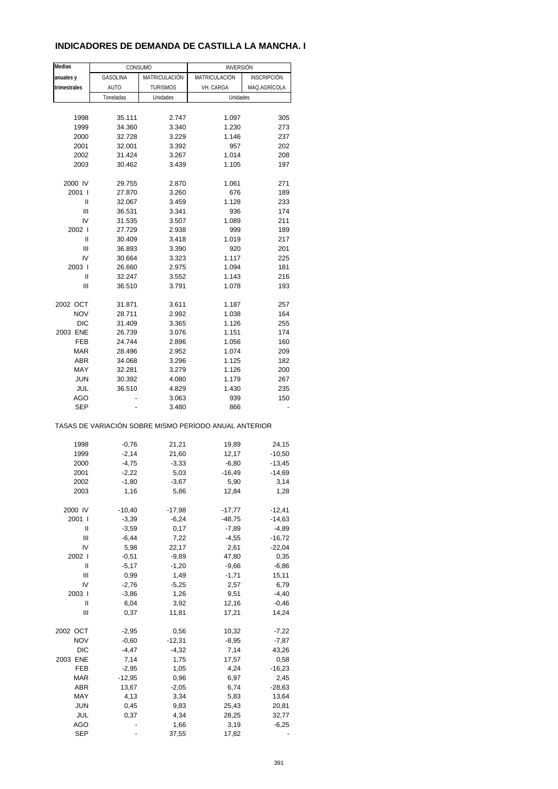# **INDICADORES DE DEMANDA DE CASTILLA LA MANCHA. I**

| Medias            | CONSUMO             |                     | <b>INVERSIÓN</b>                                      |                      |
|-------------------|---------------------|---------------------|-------------------------------------------------------|----------------------|
| anuales y         | <b>GASOLINA</b>     | MATRICULACIÓN       | MATRICULACIÓN                                         | <b>INSCRIPCIÓN</b>   |
| trimestrales      | <b>AUTO</b>         | <b>TURISMOS</b>     | VH. CARGA                                             | MAQ.AGRÍCOLA         |
|                   | Toneladas           | Unidades            | Unidades                                              |                      |
|                   |                     |                     |                                                       |                      |
| 1998              | 35.111              | 2.747               | 1.097                                                 | 305                  |
| 1999              | 34.360              | 3.340               | 1.230                                                 | 273                  |
| 2000              | 32.728              | 3.229               | 1.146                                                 | 237                  |
| 2001              | 32.001              | 3.392               | 957                                                   | 202                  |
| 2002              | 31.424              | 3.267               | 1.014                                                 | 208                  |
|                   | 30.462              | 3.439               |                                                       |                      |
| 2003              |                     |                     | 1.105                                                 | 197                  |
| 2000 IV           | 29.755              | 2.870               | 1.061                                                 | 271                  |
| 2001 l            | 27.870              | 3.260               | 676                                                   | 189                  |
| Ш                 | 32.067              | 3.459               | 1.128                                                 | 233                  |
| Ш                 | 36.531              | 3.341               | 936                                                   | 174                  |
| IV                | 31.535              | 3.507               | 1.089                                                 | 211                  |
| 2002              | 27.729              | 2.938               | 999                                                   | 189                  |
| Ш                 | 30.409              | 3.418               | 1.019                                                 | 217                  |
| Ш                 | 36.893              | 3.390               | 920                                                   | 201                  |
| IV                | 30.664              | 3.323               | 1.117                                                 | 225                  |
| 2003              | 26.660              | 2.975               | 1.094                                                 | 181                  |
| Ш                 | 32.247              | 3.552               | 1.143                                                 | 216                  |
| Ш                 | 36.510              | 3.791               | 1.078                                                 | 193                  |
|                   |                     |                     |                                                       |                      |
| 2002 OCT          | 31.871              | 3.611               | 1.187                                                 | 257                  |
| <b>NOV</b>        | 28.711              | 2.992               | 1.038                                                 | 164                  |
| DIC               | 31.409              | 3.365               | 1.126                                                 | 255                  |
| 2003 ENE          | 26.739              | 3.076               | 1.151                                                 | 174                  |
| FEB               | 24.744              | 2.896               | 1.056                                                 | 160                  |
| <b>MAR</b>        | 28.496              | 2.952               | 1.074                                                 | 209                  |
| <b>ABR</b>        | 34.068              | 3.296               | 1.125                                                 | 182                  |
| MAY               | 32.281              | 3.279               | 1.126                                                 | 200                  |
| <b>JUN</b>        | 30.392              | 4.080               | 1.179                                                 | 267                  |
| JUL               | 36.510              | 4.829               | 1.430                                                 | 235                  |
| <b>AGO</b>        |                     | 3.063               | 939                                                   | 150                  |
| <b>SEP</b>        |                     | 3.480               | 866                                                   |                      |
|                   |                     |                     | TASAS DE VARIACIÓN SOBRE MISMO PERÍODO ANUAL ANTERIOR |                      |
| 1998              | $-0,76$             | 21,21               | 19,89                                                 | 24,15                |
| 1999              | $-2,14$             | 21,60               | 12,17                                                 | $-10,50$             |
| 2000              | $-4,75$             | $-3,33$             | $-6,80$                                               | $-13,45$             |
| 2001              | $-2,22$             | 5,03                | $-16,49$                                              | $-14,69$             |
| 2002              | $-1,80$             | $-3,67$             | 5,90                                                  | 3,14                 |
| 2003              | 1,16                | 5,86                | 12,84                                                 | 1,28                 |
|                   |                     |                     |                                                       |                      |
| 2000 IV<br>2001 l | $-10,40$<br>$-3,39$ | $-17,98$<br>$-6,24$ | $-17,77$<br>$-48,75$                                  | $-12,41$<br>$-14,63$ |
| Ш                 | $-3,59$             | 0,17                | $-7,89$                                               | $-4,89$              |
| Ш                 | $-6,44$             | 7,22                | $-4,55$                                               | $-16,72$             |
| IV                | 5,98                | 22,17               | 2,61                                                  |                      |
| 2002 l            | $-0,51$             | $-9,89$             | 47,80                                                 | $-22,04$<br>0,35     |
|                   |                     |                     |                                                       |                      |
| Ш                 | $-5,17$             | $-1,20$             | $-9,66$                                               | $-6,86$              |
| Ш                 | 0,99                | 1,49                | $-1,71$                                               | 15,11                |
| IV                | $-2,76$             | $-5,25$             | 2,57                                                  | 6,79                 |
| 2003              | $-3,86$             | 1,26                | 9,51                                                  | $-4,40$              |
| Ш                 | 6,04                | 3,92                | 12,16                                                 | $-0,46$              |
| Ш                 | 0,37                | 11,81               | 17,21                                                 | 14,24                |
| 2002 OCT          | $-2,95$             | 0,56                | 10,32                                                 | $-7,22$              |
| <b>NOV</b>        | $-0,60$             | $-12,31$            | $-8,95$                                               | $-7,87$              |
| <b>DIC</b>        | $-4,47$             | $-4,32$             | 7,14                                                  | 43,26                |
| 2003 ENE          | 7,14                | 1,75                | 17,57                                                 | 0,58                 |
| FEB               | $-2,95$             | 1,05                | 4,24                                                  | $-16,23$             |
| <b>MAR</b>        | $-12,95$            | 0,96                | 6,97                                                  | 2,45                 |
| ABR               | 13,67               | $-2,05$             | 6,74                                                  | $-28,63$             |
| MAY               |                     |                     |                                                       |                      |
| <b>JUN</b>        | 4,13                | 3,34                | 5,83                                                  | 13,64                |
|                   | 0,45                | 9,83                | 25,43                                                 | 20,81                |
| JUL               | 0,37                | 4,34                | 28,25                                                 | 32,77                |
| AGO               |                     | 1,66                | 3,19                                                  | $-6,25$              |
| <b>SEP</b>        |                     | 37,55               | 17,82                                                 |                      |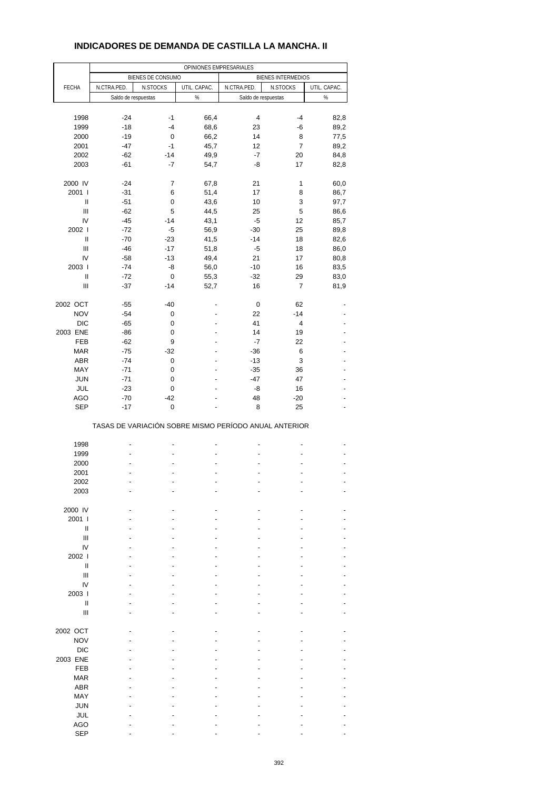# **INDICADORES DE DEMANDA DE CASTILLA LA MANCHA. II**

| BIENES DE CONSUMO<br>BIENES INTERMEDIOS<br>N.CTRA.PED.<br>UTIL. CAPAC.<br>N.CTRA.PED.<br>N.STOCKS<br>UTIL. CAPAC.<br><b>FECHA</b><br>N.STOCKS<br>$\%$<br>$\%$<br>Saldo de respuestas<br>Saldo de respuestas<br>1998<br>$-24$<br>$-1$<br>66,4<br>4<br>$-4$<br>82,8<br>1999<br>$-18$<br>$-4$<br>68,6<br>23<br>-6<br>89,2<br>$-19$<br>2000<br>0<br>66,2<br>14<br>8<br>77,5<br>2001<br>$-47$<br>$-1$<br>45,7<br>12<br>7<br>89,2<br>$-14$<br>$-7$<br>2002<br>$-62$<br>49,9<br>20<br>84,8<br>$-7$<br>-8<br>2003<br>$-61$<br>54,7<br>17<br>82,8<br>2000 IV<br>$-24$<br>7<br>21<br>1<br>67,8<br>60,0<br>2001 l<br>$-31$<br>6<br>51,4<br>17<br>8<br>86,7<br>$\mathsf{I}$<br>$-51$<br>0<br>43,6<br>10<br>3<br>97,7<br>$\ensuremath{\mathsf{III}}\xspace$<br>$-62$<br>5<br>25<br>5<br>44,5<br>86,6<br>IV<br>$-45$<br>$-14$<br>43,1<br>$-5$<br>12<br>85,7<br>2002  <br>$-72$<br>$-5$<br>56,9<br>$-30$<br>25<br>89,8<br>$\mathbf{I}$<br>$-14$<br>$-70$<br>$-23$<br>41,5<br>18<br>82,6<br>Ш<br>$-46$<br>$-17$<br>51,8<br>-5<br>18<br>86,0<br>IV<br>$-13$<br>49,4<br>21<br>17<br>80,8<br>$-58$<br>-8<br>$-10$<br>2003  <br>$-74$<br>56,0<br>16<br>83,5<br>$\ensuremath{\mathsf{II}}$<br>$-32$<br>$-72$<br>0<br>55,3<br>29<br>83,0<br>$\ensuremath{\mathsf{III}}\xspace$<br>$-37$<br>$-14$<br>52,7<br>16<br>7<br>81,9<br>2002 OCT<br>$-55$<br>$-40$<br>0<br>62<br>-<br><b>NOV</b><br>$-54$<br>22<br>$-14$<br>0<br>$\overline{a}$<br><b>DIC</b><br>$-65$<br>41<br>$\overline{\mathbf{4}}$<br>0<br>2003 ENE<br>14<br>$-86$<br>0<br>19<br>$\overline{a}$<br>$\overline{a}$<br>FEB<br>$-7$<br>22<br>$-62$<br>9<br><b>MAR</b><br>$-75$<br>$-32$<br>$-36$<br>6<br>$-13$<br>3<br><b>ABR</b><br>$-74$<br>0<br>$\overline{a}$<br>$\overline{a}$<br>MAY<br>$-71$<br>0<br>$-35$<br>36<br>$\overline{a}$<br><b>JUN</b><br>$-71$<br>$-47$<br>47<br>0<br><b>JUL</b><br>$-23$<br>0<br>-8<br>16<br>$\overline{a}$<br><b>AGO</b><br>48<br>$-70$<br>$-42$<br>$-20$<br><b>SEP</b><br>$\mathbf 0$<br>8<br>25<br>$-17$<br>$\overline{a}$<br>TASAS DE VARIACIÓN SOBRE MISMO PERÍODO ANUAL ANTERIOR<br>1998<br>$\overline{a}$<br>$\overline{a}$<br>٠<br>1999<br>2000<br>٠<br>2001<br>2002<br>2003<br>2000 IV<br>2001 l<br>Ш<br>Ш<br>IV<br>2002 l<br>$\mathsf{I}$<br>Ш<br>IV<br>2003  <br>$\mathsf{I}$<br>Ш<br>2002 OCT<br><b>NOV</b><br><b>DIC</b><br>2003 ENE<br><b>FEB</b><br><b>MAR</b><br><b>ABR</b><br>MAY<br><b>JUN</b><br>JUL<br>AGO<br><b>SEP</b> |  |  | OPINIONES EMPRESARIALES |  |  |
|--------------------------------------------------------------------------------------------------------------------------------------------------------------------------------------------------------------------------------------------------------------------------------------------------------------------------------------------------------------------------------------------------------------------------------------------------------------------------------------------------------------------------------------------------------------------------------------------------------------------------------------------------------------------------------------------------------------------------------------------------------------------------------------------------------------------------------------------------------------------------------------------------------------------------------------------------------------------------------------------------------------------------------------------------------------------------------------------------------------------------------------------------------------------------------------------------------------------------------------------------------------------------------------------------------------------------------------------------------------------------------------------------------------------------------------------------------------------------------------------------------------------------------------------------------------------------------------------------------------------------------------------------------------------------------------------------------------------------------------------------------------------------------------------------------------------------------------------------------------------------------------------------------------------------------------------------------------------------------------------------------------------------------------------------------------------------------------------------------------------------------------------------------------------------------------------------------------------------------------------------------------------------------------------------------------------------------------------------------------------------------------------------------------------|--|--|-------------------------|--|--|
|                                                                                                                                                                                                                                                                                                                                                                                                                                                                                                                                                                                                                                                                                                                                                                                                                                                                                                                                                                                                                                                                                                                                                                                                                                                                                                                                                                                                                                                                                                                                                                                                                                                                                                                                                                                                                                                                                                                                                                                                                                                                                                                                                                                                                                                                                                                                                                                                                    |  |  |                         |  |  |
|                                                                                                                                                                                                                                                                                                                                                                                                                                                                                                                                                                                                                                                                                                                                                                                                                                                                                                                                                                                                                                                                                                                                                                                                                                                                                                                                                                                                                                                                                                                                                                                                                                                                                                                                                                                                                                                                                                                                                                                                                                                                                                                                                                                                                                                                                                                                                                                                                    |  |  |                         |  |  |
|                                                                                                                                                                                                                                                                                                                                                                                                                                                                                                                                                                                                                                                                                                                                                                                                                                                                                                                                                                                                                                                                                                                                                                                                                                                                                                                                                                                                                                                                                                                                                                                                                                                                                                                                                                                                                                                                                                                                                                                                                                                                                                                                                                                                                                                                                                                                                                                                                    |  |  |                         |  |  |
|                                                                                                                                                                                                                                                                                                                                                                                                                                                                                                                                                                                                                                                                                                                                                                                                                                                                                                                                                                                                                                                                                                                                                                                                                                                                                                                                                                                                                                                                                                                                                                                                                                                                                                                                                                                                                                                                                                                                                                                                                                                                                                                                                                                                                                                                                                                                                                                                                    |  |  |                         |  |  |
|                                                                                                                                                                                                                                                                                                                                                                                                                                                                                                                                                                                                                                                                                                                                                                                                                                                                                                                                                                                                                                                                                                                                                                                                                                                                                                                                                                                                                                                                                                                                                                                                                                                                                                                                                                                                                                                                                                                                                                                                                                                                                                                                                                                                                                                                                                                                                                                                                    |  |  |                         |  |  |
|                                                                                                                                                                                                                                                                                                                                                                                                                                                                                                                                                                                                                                                                                                                                                                                                                                                                                                                                                                                                                                                                                                                                                                                                                                                                                                                                                                                                                                                                                                                                                                                                                                                                                                                                                                                                                                                                                                                                                                                                                                                                                                                                                                                                                                                                                                                                                                                                                    |  |  |                         |  |  |
|                                                                                                                                                                                                                                                                                                                                                                                                                                                                                                                                                                                                                                                                                                                                                                                                                                                                                                                                                                                                                                                                                                                                                                                                                                                                                                                                                                                                                                                                                                                                                                                                                                                                                                                                                                                                                                                                                                                                                                                                                                                                                                                                                                                                                                                                                                                                                                                                                    |  |  |                         |  |  |
|                                                                                                                                                                                                                                                                                                                                                                                                                                                                                                                                                                                                                                                                                                                                                                                                                                                                                                                                                                                                                                                                                                                                                                                                                                                                                                                                                                                                                                                                                                                                                                                                                                                                                                                                                                                                                                                                                                                                                                                                                                                                                                                                                                                                                                                                                                                                                                                                                    |  |  |                         |  |  |
|                                                                                                                                                                                                                                                                                                                                                                                                                                                                                                                                                                                                                                                                                                                                                                                                                                                                                                                                                                                                                                                                                                                                                                                                                                                                                                                                                                                                                                                                                                                                                                                                                                                                                                                                                                                                                                                                                                                                                                                                                                                                                                                                                                                                                                                                                                                                                                                                                    |  |  |                         |  |  |
|                                                                                                                                                                                                                                                                                                                                                                                                                                                                                                                                                                                                                                                                                                                                                                                                                                                                                                                                                                                                                                                                                                                                                                                                                                                                                                                                                                                                                                                                                                                                                                                                                                                                                                                                                                                                                                                                                                                                                                                                                                                                                                                                                                                                                                                                                                                                                                                                                    |  |  |                         |  |  |
|                                                                                                                                                                                                                                                                                                                                                                                                                                                                                                                                                                                                                                                                                                                                                                                                                                                                                                                                                                                                                                                                                                                                                                                                                                                                                                                                                                                                                                                                                                                                                                                                                                                                                                                                                                                                                                                                                                                                                                                                                                                                                                                                                                                                                                                                                                                                                                                                                    |  |  |                         |  |  |
|                                                                                                                                                                                                                                                                                                                                                                                                                                                                                                                                                                                                                                                                                                                                                                                                                                                                                                                                                                                                                                                                                                                                                                                                                                                                                                                                                                                                                                                                                                                                                                                                                                                                                                                                                                                                                                                                                                                                                                                                                                                                                                                                                                                                                                                                                                                                                                                                                    |  |  |                         |  |  |
|                                                                                                                                                                                                                                                                                                                                                                                                                                                                                                                                                                                                                                                                                                                                                                                                                                                                                                                                                                                                                                                                                                                                                                                                                                                                                                                                                                                                                                                                                                                                                                                                                                                                                                                                                                                                                                                                                                                                                                                                                                                                                                                                                                                                                                                                                                                                                                                                                    |  |  |                         |  |  |
|                                                                                                                                                                                                                                                                                                                                                                                                                                                                                                                                                                                                                                                                                                                                                                                                                                                                                                                                                                                                                                                                                                                                                                                                                                                                                                                                                                                                                                                                                                                                                                                                                                                                                                                                                                                                                                                                                                                                                                                                                                                                                                                                                                                                                                                                                                                                                                                                                    |  |  |                         |  |  |
|                                                                                                                                                                                                                                                                                                                                                                                                                                                                                                                                                                                                                                                                                                                                                                                                                                                                                                                                                                                                                                                                                                                                                                                                                                                                                                                                                                                                                                                                                                                                                                                                                                                                                                                                                                                                                                                                                                                                                                                                                                                                                                                                                                                                                                                                                                                                                                                                                    |  |  |                         |  |  |
|                                                                                                                                                                                                                                                                                                                                                                                                                                                                                                                                                                                                                                                                                                                                                                                                                                                                                                                                                                                                                                                                                                                                                                                                                                                                                                                                                                                                                                                                                                                                                                                                                                                                                                                                                                                                                                                                                                                                                                                                                                                                                                                                                                                                                                                                                                                                                                                                                    |  |  |                         |  |  |
|                                                                                                                                                                                                                                                                                                                                                                                                                                                                                                                                                                                                                                                                                                                                                                                                                                                                                                                                                                                                                                                                                                                                                                                                                                                                                                                                                                                                                                                                                                                                                                                                                                                                                                                                                                                                                                                                                                                                                                                                                                                                                                                                                                                                                                                                                                                                                                                                                    |  |  |                         |  |  |
|                                                                                                                                                                                                                                                                                                                                                                                                                                                                                                                                                                                                                                                                                                                                                                                                                                                                                                                                                                                                                                                                                                                                                                                                                                                                                                                                                                                                                                                                                                                                                                                                                                                                                                                                                                                                                                                                                                                                                                                                                                                                                                                                                                                                                                                                                                                                                                                                                    |  |  |                         |  |  |
|                                                                                                                                                                                                                                                                                                                                                                                                                                                                                                                                                                                                                                                                                                                                                                                                                                                                                                                                                                                                                                                                                                                                                                                                                                                                                                                                                                                                                                                                                                                                                                                                                                                                                                                                                                                                                                                                                                                                                                                                                                                                                                                                                                                                                                                                                                                                                                                                                    |  |  |                         |  |  |
|                                                                                                                                                                                                                                                                                                                                                                                                                                                                                                                                                                                                                                                                                                                                                                                                                                                                                                                                                                                                                                                                                                                                                                                                                                                                                                                                                                                                                                                                                                                                                                                                                                                                                                                                                                                                                                                                                                                                                                                                                                                                                                                                                                                                                                                                                                                                                                                                                    |  |  |                         |  |  |
|                                                                                                                                                                                                                                                                                                                                                                                                                                                                                                                                                                                                                                                                                                                                                                                                                                                                                                                                                                                                                                                                                                                                                                                                                                                                                                                                                                                                                                                                                                                                                                                                                                                                                                                                                                                                                                                                                                                                                                                                                                                                                                                                                                                                                                                                                                                                                                                                                    |  |  |                         |  |  |
|                                                                                                                                                                                                                                                                                                                                                                                                                                                                                                                                                                                                                                                                                                                                                                                                                                                                                                                                                                                                                                                                                                                                                                                                                                                                                                                                                                                                                                                                                                                                                                                                                                                                                                                                                                                                                                                                                                                                                                                                                                                                                                                                                                                                                                                                                                                                                                                                                    |  |  |                         |  |  |
|                                                                                                                                                                                                                                                                                                                                                                                                                                                                                                                                                                                                                                                                                                                                                                                                                                                                                                                                                                                                                                                                                                                                                                                                                                                                                                                                                                                                                                                                                                                                                                                                                                                                                                                                                                                                                                                                                                                                                                                                                                                                                                                                                                                                                                                                                                                                                                                                                    |  |  |                         |  |  |
|                                                                                                                                                                                                                                                                                                                                                                                                                                                                                                                                                                                                                                                                                                                                                                                                                                                                                                                                                                                                                                                                                                                                                                                                                                                                                                                                                                                                                                                                                                                                                                                                                                                                                                                                                                                                                                                                                                                                                                                                                                                                                                                                                                                                                                                                                                                                                                                                                    |  |  |                         |  |  |
|                                                                                                                                                                                                                                                                                                                                                                                                                                                                                                                                                                                                                                                                                                                                                                                                                                                                                                                                                                                                                                                                                                                                                                                                                                                                                                                                                                                                                                                                                                                                                                                                                                                                                                                                                                                                                                                                                                                                                                                                                                                                                                                                                                                                                                                                                                                                                                                                                    |  |  |                         |  |  |
|                                                                                                                                                                                                                                                                                                                                                                                                                                                                                                                                                                                                                                                                                                                                                                                                                                                                                                                                                                                                                                                                                                                                                                                                                                                                                                                                                                                                                                                                                                                                                                                                                                                                                                                                                                                                                                                                                                                                                                                                                                                                                                                                                                                                                                                                                                                                                                                                                    |  |  |                         |  |  |
|                                                                                                                                                                                                                                                                                                                                                                                                                                                                                                                                                                                                                                                                                                                                                                                                                                                                                                                                                                                                                                                                                                                                                                                                                                                                                                                                                                                                                                                                                                                                                                                                                                                                                                                                                                                                                                                                                                                                                                                                                                                                                                                                                                                                                                                                                                                                                                                                                    |  |  |                         |  |  |
|                                                                                                                                                                                                                                                                                                                                                                                                                                                                                                                                                                                                                                                                                                                                                                                                                                                                                                                                                                                                                                                                                                                                                                                                                                                                                                                                                                                                                                                                                                                                                                                                                                                                                                                                                                                                                                                                                                                                                                                                                                                                                                                                                                                                                                                                                                                                                                                                                    |  |  |                         |  |  |
|                                                                                                                                                                                                                                                                                                                                                                                                                                                                                                                                                                                                                                                                                                                                                                                                                                                                                                                                                                                                                                                                                                                                                                                                                                                                                                                                                                                                                                                                                                                                                                                                                                                                                                                                                                                                                                                                                                                                                                                                                                                                                                                                                                                                                                                                                                                                                                                                                    |  |  |                         |  |  |
|                                                                                                                                                                                                                                                                                                                                                                                                                                                                                                                                                                                                                                                                                                                                                                                                                                                                                                                                                                                                                                                                                                                                                                                                                                                                                                                                                                                                                                                                                                                                                                                                                                                                                                                                                                                                                                                                                                                                                                                                                                                                                                                                                                                                                                                                                                                                                                                                                    |  |  |                         |  |  |
|                                                                                                                                                                                                                                                                                                                                                                                                                                                                                                                                                                                                                                                                                                                                                                                                                                                                                                                                                                                                                                                                                                                                                                                                                                                                                                                                                                                                                                                                                                                                                                                                                                                                                                                                                                                                                                                                                                                                                                                                                                                                                                                                                                                                                                                                                                                                                                                                                    |  |  |                         |  |  |
|                                                                                                                                                                                                                                                                                                                                                                                                                                                                                                                                                                                                                                                                                                                                                                                                                                                                                                                                                                                                                                                                                                                                                                                                                                                                                                                                                                                                                                                                                                                                                                                                                                                                                                                                                                                                                                                                                                                                                                                                                                                                                                                                                                                                                                                                                                                                                                                                                    |  |  |                         |  |  |
|                                                                                                                                                                                                                                                                                                                                                                                                                                                                                                                                                                                                                                                                                                                                                                                                                                                                                                                                                                                                                                                                                                                                                                                                                                                                                                                                                                                                                                                                                                                                                                                                                                                                                                                                                                                                                                                                                                                                                                                                                                                                                                                                                                                                                                                                                                                                                                                                                    |  |  |                         |  |  |
|                                                                                                                                                                                                                                                                                                                                                                                                                                                                                                                                                                                                                                                                                                                                                                                                                                                                                                                                                                                                                                                                                                                                                                                                                                                                                                                                                                                                                                                                                                                                                                                                                                                                                                                                                                                                                                                                                                                                                                                                                                                                                                                                                                                                                                                                                                                                                                                                                    |  |  |                         |  |  |
|                                                                                                                                                                                                                                                                                                                                                                                                                                                                                                                                                                                                                                                                                                                                                                                                                                                                                                                                                                                                                                                                                                                                                                                                                                                                                                                                                                                                                                                                                                                                                                                                                                                                                                                                                                                                                                                                                                                                                                                                                                                                                                                                                                                                                                                                                                                                                                                                                    |  |  |                         |  |  |
|                                                                                                                                                                                                                                                                                                                                                                                                                                                                                                                                                                                                                                                                                                                                                                                                                                                                                                                                                                                                                                                                                                                                                                                                                                                                                                                                                                                                                                                                                                                                                                                                                                                                                                                                                                                                                                                                                                                                                                                                                                                                                                                                                                                                                                                                                                                                                                                                                    |  |  |                         |  |  |
|                                                                                                                                                                                                                                                                                                                                                                                                                                                                                                                                                                                                                                                                                                                                                                                                                                                                                                                                                                                                                                                                                                                                                                                                                                                                                                                                                                                                                                                                                                                                                                                                                                                                                                                                                                                                                                                                                                                                                                                                                                                                                                                                                                                                                                                                                                                                                                                                                    |  |  |                         |  |  |
|                                                                                                                                                                                                                                                                                                                                                                                                                                                                                                                                                                                                                                                                                                                                                                                                                                                                                                                                                                                                                                                                                                                                                                                                                                                                                                                                                                                                                                                                                                                                                                                                                                                                                                                                                                                                                                                                                                                                                                                                                                                                                                                                                                                                                                                                                                                                                                                                                    |  |  |                         |  |  |
|                                                                                                                                                                                                                                                                                                                                                                                                                                                                                                                                                                                                                                                                                                                                                                                                                                                                                                                                                                                                                                                                                                                                                                                                                                                                                                                                                                                                                                                                                                                                                                                                                                                                                                                                                                                                                                                                                                                                                                                                                                                                                                                                                                                                                                                                                                                                                                                                                    |  |  |                         |  |  |
|                                                                                                                                                                                                                                                                                                                                                                                                                                                                                                                                                                                                                                                                                                                                                                                                                                                                                                                                                                                                                                                                                                                                                                                                                                                                                                                                                                                                                                                                                                                                                                                                                                                                                                                                                                                                                                                                                                                                                                                                                                                                                                                                                                                                                                                                                                                                                                                                                    |  |  |                         |  |  |
|                                                                                                                                                                                                                                                                                                                                                                                                                                                                                                                                                                                                                                                                                                                                                                                                                                                                                                                                                                                                                                                                                                                                                                                                                                                                                                                                                                                                                                                                                                                                                                                                                                                                                                                                                                                                                                                                                                                                                                                                                                                                                                                                                                                                                                                                                                                                                                                                                    |  |  |                         |  |  |
|                                                                                                                                                                                                                                                                                                                                                                                                                                                                                                                                                                                                                                                                                                                                                                                                                                                                                                                                                                                                                                                                                                                                                                                                                                                                                                                                                                                                                                                                                                                                                                                                                                                                                                                                                                                                                                                                                                                                                                                                                                                                                                                                                                                                                                                                                                                                                                                                                    |  |  |                         |  |  |
|                                                                                                                                                                                                                                                                                                                                                                                                                                                                                                                                                                                                                                                                                                                                                                                                                                                                                                                                                                                                                                                                                                                                                                                                                                                                                                                                                                                                                                                                                                                                                                                                                                                                                                                                                                                                                                                                                                                                                                                                                                                                                                                                                                                                                                                                                                                                                                                                                    |  |  |                         |  |  |
|                                                                                                                                                                                                                                                                                                                                                                                                                                                                                                                                                                                                                                                                                                                                                                                                                                                                                                                                                                                                                                                                                                                                                                                                                                                                                                                                                                                                                                                                                                                                                                                                                                                                                                                                                                                                                                                                                                                                                                                                                                                                                                                                                                                                                                                                                                                                                                                                                    |  |  |                         |  |  |
|                                                                                                                                                                                                                                                                                                                                                                                                                                                                                                                                                                                                                                                                                                                                                                                                                                                                                                                                                                                                                                                                                                                                                                                                                                                                                                                                                                                                                                                                                                                                                                                                                                                                                                                                                                                                                                                                                                                                                                                                                                                                                                                                                                                                                                                                                                                                                                                                                    |  |  |                         |  |  |
|                                                                                                                                                                                                                                                                                                                                                                                                                                                                                                                                                                                                                                                                                                                                                                                                                                                                                                                                                                                                                                                                                                                                                                                                                                                                                                                                                                                                                                                                                                                                                                                                                                                                                                                                                                                                                                                                                                                                                                                                                                                                                                                                                                                                                                                                                                                                                                                                                    |  |  |                         |  |  |
|                                                                                                                                                                                                                                                                                                                                                                                                                                                                                                                                                                                                                                                                                                                                                                                                                                                                                                                                                                                                                                                                                                                                                                                                                                                                                                                                                                                                                                                                                                                                                                                                                                                                                                                                                                                                                                                                                                                                                                                                                                                                                                                                                                                                                                                                                                                                                                                                                    |  |  |                         |  |  |
|                                                                                                                                                                                                                                                                                                                                                                                                                                                                                                                                                                                                                                                                                                                                                                                                                                                                                                                                                                                                                                                                                                                                                                                                                                                                                                                                                                                                                                                                                                                                                                                                                                                                                                                                                                                                                                                                                                                                                                                                                                                                                                                                                                                                                                                                                                                                                                                                                    |  |  |                         |  |  |
|                                                                                                                                                                                                                                                                                                                                                                                                                                                                                                                                                                                                                                                                                                                                                                                                                                                                                                                                                                                                                                                                                                                                                                                                                                                                                                                                                                                                                                                                                                                                                                                                                                                                                                                                                                                                                                                                                                                                                                                                                                                                                                                                                                                                                                                                                                                                                                                                                    |  |  |                         |  |  |
|                                                                                                                                                                                                                                                                                                                                                                                                                                                                                                                                                                                                                                                                                                                                                                                                                                                                                                                                                                                                                                                                                                                                                                                                                                                                                                                                                                                                                                                                                                                                                                                                                                                                                                                                                                                                                                                                                                                                                                                                                                                                                                                                                                                                                                                                                                                                                                                                                    |  |  |                         |  |  |
|                                                                                                                                                                                                                                                                                                                                                                                                                                                                                                                                                                                                                                                                                                                                                                                                                                                                                                                                                                                                                                                                                                                                                                                                                                                                                                                                                                                                                                                                                                                                                                                                                                                                                                                                                                                                                                                                                                                                                                                                                                                                                                                                                                                                                                                                                                                                                                                                                    |  |  |                         |  |  |
|                                                                                                                                                                                                                                                                                                                                                                                                                                                                                                                                                                                                                                                                                                                                                                                                                                                                                                                                                                                                                                                                                                                                                                                                                                                                                                                                                                                                                                                                                                                                                                                                                                                                                                                                                                                                                                                                                                                                                                                                                                                                                                                                                                                                                                                                                                                                                                                                                    |  |  |                         |  |  |
|                                                                                                                                                                                                                                                                                                                                                                                                                                                                                                                                                                                                                                                                                                                                                                                                                                                                                                                                                                                                                                                                                                                                                                                                                                                                                                                                                                                                                                                                                                                                                                                                                                                                                                                                                                                                                                                                                                                                                                                                                                                                                                                                                                                                                                                                                                                                                                                                                    |  |  |                         |  |  |
|                                                                                                                                                                                                                                                                                                                                                                                                                                                                                                                                                                                                                                                                                                                                                                                                                                                                                                                                                                                                                                                                                                                                                                                                                                                                                                                                                                                                                                                                                                                                                                                                                                                                                                                                                                                                                                                                                                                                                                                                                                                                                                                                                                                                                                                                                                                                                                                                                    |  |  |                         |  |  |
|                                                                                                                                                                                                                                                                                                                                                                                                                                                                                                                                                                                                                                                                                                                                                                                                                                                                                                                                                                                                                                                                                                                                                                                                                                                                                                                                                                                                                                                                                                                                                                                                                                                                                                                                                                                                                                                                                                                                                                                                                                                                                                                                                                                                                                                                                                                                                                                                                    |  |  |                         |  |  |
|                                                                                                                                                                                                                                                                                                                                                                                                                                                                                                                                                                                                                                                                                                                                                                                                                                                                                                                                                                                                                                                                                                                                                                                                                                                                                                                                                                                                                                                                                                                                                                                                                                                                                                                                                                                                                                                                                                                                                                                                                                                                                                                                                                                                                                                                                                                                                                                                                    |  |  |                         |  |  |
|                                                                                                                                                                                                                                                                                                                                                                                                                                                                                                                                                                                                                                                                                                                                                                                                                                                                                                                                                                                                                                                                                                                                                                                                                                                                                                                                                                                                                                                                                                                                                                                                                                                                                                                                                                                                                                                                                                                                                                                                                                                                                                                                                                                                                                                                                                                                                                                                                    |  |  |                         |  |  |
|                                                                                                                                                                                                                                                                                                                                                                                                                                                                                                                                                                                                                                                                                                                                                                                                                                                                                                                                                                                                                                                                                                                                                                                                                                                                                                                                                                                                                                                                                                                                                                                                                                                                                                                                                                                                                                                                                                                                                                                                                                                                                                                                                                                                                                                                                                                                                                                                                    |  |  |                         |  |  |
|                                                                                                                                                                                                                                                                                                                                                                                                                                                                                                                                                                                                                                                                                                                                                                                                                                                                                                                                                                                                                                                                                                                                                                                                                                                                                                                                                                                                                                                                                                                                                                                                                                                                                                                                                                                                                                                                                                                                                                                                                                                                                                                                                                                                                                                                                                                                                                                                                    |  |  |                         |  |  |
|                                                                                                                                                                                                                                                                                                                                                                                                                                                                                                                                                                                                                                                                                                                                                                                                                                                                                                                                                                                                                                                                                                                                                                                                                                                                                                                                                                                                                                                                                                                                                                                                                                                                                                                                                                                                                                                                                                                                                                                                                                                                                                                                                                                                                                                                                                                                                                                                                    |  |  |                         |  |  |
|                                                                                                                                                                                                                                                                                                                                                                                                                                                                                                                                                                                                                                                                                                                                                                                                                                                                                                                                                                                                                                                                                                                                                                                                                                                                                                                                                                                                                                                                                                                                                                                                                                                                                                                                                                                                                                                                                                                                                                                                                                                                                                                                                                                                                                                                                                                                                                                                                    |  |  |                         |  |  |
|                                                                                                                                                                                                                                                                                                                                                                                                                                                                                                                                                                                                                                                                                                                                                                                                                                                                                                                                                                                                                                                                                                                                                                                                                                                                                                                                                                                                                                                                                                                                                                                                                                                                                                                                                                                                                                                                                                                                                                                                                                                                                                                                                                                                                                                                                                                                                                                                                    |  |  |                         |  |  |
|                                                                                                                                                                                                                                                                                                                                                                                                                                                                                                                                                                                                                                                                                                                                                                                                                                                                                                                                                                                                                                                                                                                                                                                                                                                                                                                                                                                                                                                                                                                                                                                                                                                                                                                                                                                                                                                                                                                                                                                                                                                                                                                                                                                                                                                                                                                                                                                                                    |  |  |                         |  |  |
|                                                                                                                                                                                                                                                                                                                                                                                                                                                                                                                                                                                                                                                                                                                                                                                                                                                                                                                                                                                                                                                                                                                                                                                                                                                                                                                                                                                                                                                                                                                                                                                                                                                                                                                                                                                                                                                                                                                                                                                                                                                                                                                                                                                                                                                                                                                                                                                                                    |  |  |                         |  |  |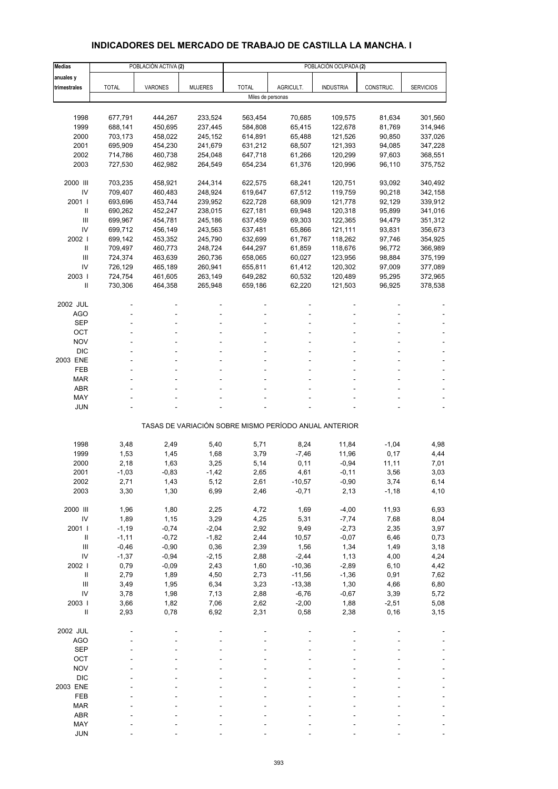# **INDICADORES DEL MERCADO DE TRABAJO DE CASTILLA LA MANCHA. I**

| <b>Medias</b>  |              | POBLACIÓN ACTIVA (2) |                |                   |                                                       | POBLACIÓN OCUPADA (2) |           |                  |
|----------------|--------------|----------------------|----------------|-------------------|-------------------------------------------------------|-----------------------|-----------|------------------|
| anuales y      |              |                      |                |                   |                                                       |                       |           |                  |
| trimestrales   | <b>TOTAL</b> | <b>VARONES</b>       | <b>MUJERES</b> | <b>TOTAL</b>      | AGRICULT.                                             | <b>INDUSTRIA</b>      | CONSTRUC. | <b>SERVICIOS</b> |
|                |              |                      |                | Miles de personas |                                                       |                       |           |                  |
|                |              |                      |                |                   |                                                       |                       |           |                  |
| 1998           | 677,791      | 444,267              | 233,524        | 563,454           | 70,685                                                | 109,575               | 81,634    | 301,560          |
| 1999           | 688,141      | 450,695              | 237,445        | 584,808           | 65,415                                                | 122,678               | 81,769    | 314,946          |
| 2000           | 703,173      | 458,022              | 245,152        | 614,891           | 65,488                                                | 121,526               | 90,850    | 337,026          |
| 2001           | 695,909      | 454,230              | 241,679        | 631,212           | 68,507                                                | 121,393               | 94,085    | 347,228          |
| 2002           | 714,786      | 460,738              | 254,048        | 647,718           | 61,266                                                | 120,299               | 97,603    | 368,551          |
| 2003           | 727,530      | 462,982              | 264,549        | 654,234           | 61,376                                                | 120,996               | 96,110    | 375,752          |
|                |              |                      |                |                   |                                                       |                       |           |                  |
| 2000 III       | 703,235      | 458,921              | 244,314        | 622,575           | 68,241                                                | 120,751               | 93,092    | 340,492          |
| IV             | 709,407      | 460,483              | 248,924        | 619,647           | 67,512                                                | 119,759               | 90,218    | 342,158          |
| 2001 l         | 693,696      | 453,744              | 239,952        | 622,728           | 68,909                                                | 121,778               | 92,129    | 339,912          |
| $\mathbf{II}$  | 690,262      | 452,247              | 238,015        | 627,181           | 69,948                                                | 120,318               | 95,899    | 341,016          |
| $\mathbf{III}$ | 699,967      | 454,781              | 245,186        | 637,459           | 69,303                                                | 122,365               | 94,479    | 351,312          |
| IV             | 699,712      | 456,149              | 243,563        | 637,481           | 65,866                                                | 121,111               | 93,831    | 356,673          |
| 2002           | 699,142      | 453,352              | 245,790        | 632,699           | 61,767                                                | 118,262               | 97,746    | 354,925          |
| Ш              | 709,497      | 460,773              | 248,724        | 644,297           | 61,859                                                | 118,676               | 96,772    | 366,989          |
| $\mathbf{III}$ | 724,374      | 463,639              | 260,736        | 658,065           | 60,027                                                | 123,956               | 98,884    | 375,199          |
| IV             | 726,129      | 465,189              | 260,941        | 655,811           | 61,412                                                | 120,302               | 97,009    | 377,089          |
| 2003           | 724,754      | 461,605              | 263,149        | 649,282           | 60,532                                                | 120,489               | 95,295    | 372,965          |
| $\mathbf{I}$   | 730,306      | 464,358              | 265,948        | 659,186           | 62,220                                                | 121,503               | 96,925    | 378,538          |
|                |              |                      |                |                   |                                                       |                       |           |                  |
| 2002 JUL       |              |                      |                |                   |                                                       |                       |           |                  |
| AGO            |              |                      |                |                   |                                                       |                       |           |                  |
| <b>SEP</b>     |              |                      |                |                   |                                                       |                       |           |                  |
| OCT            |              |                      |                |                   |                                                       |                       |           |                  |
| <b>NOV</b>     |              |                      |                |                   |                                                       |                       |           |                  |
| <b>DIC</b>     |              |                      |                |                   |                                                       |                       |           |                  |
| 2003 ENE       |              |                      | ÷.             |                   |                                                       |                       |           |                  |
| <b>FEB</b>     |              |                      |                |                   |                                                       |                       |           |                  |
| <b>MAR</b>     |              |                      |                |                   |                                                       |                       |           |                  |
| <b>ABR</b>     |              |                      |                |                   |                                                       |                       |           |                  |
| MAY            |              |                      |                |                   |                                                       |                       |           |                  |
| <b>JUN</b>     |              |                      |                |                   |                                                       |                       |           |                  |
|                |              |                      |                |                   |                                                       |                       |           |                  |
|                |              |                      |                |                   | TASAS DE VARIACIÓN SOBRE MISMO PERÍODO ANUAL ANTERIOR |                       |           |                  |
|                |              |                      |                |                   |                                                       |                       |           |                  |
| 1998           | 3,48         | 2,49                 | 5,40           | 5,71              | 8,24                                                  | 11,84                 | $-1,04$   | 4,98             |
| 1999           | 1,53         | 1,45                 | 1,68           | 3,79              | $-7,46$                                               | 11,96                 | 0,17      | 4,44             |
| 2000           | 2,18         | 1,63                 | 3,25           | 5,14              | 0,11                                                  | $-0,94$               | 11,11     | 7,01             |
| 2001           | $-1,03$      | $-0,83$              | $-1,42$        | 2,65              | 4,61                                                  | $-0,11$               | 3,56      | 3,03             |
| 2002           | 2,71         | 1,43                 | 5,12           | 2,61              | -10,57                                                | -0,90                 | 3,74      | 6,14             |
| 2003           | 3,30         | 1,30                 | 6,99           | 2,46              | $-0,71$                                               | 2,13                  | $-1,18$   | 4,10             |
|                |              |                      |                |                   |                                                       |                       |           |                  |
| 2000 III       | 1,96         | 1,80                 | 2,25           | 4,72              | 1,69                                                  | $-4,00$               | 11,93     | 6,93             |
| IV             | 1,89         | 1,15                 | 3,29           | 4,25              | 5,31                                                  | $-7,74$               | 7,68      | 8,04             |
| 2001 l         | $-1,19$      | $-0,74$              | $-2,04$        | 2,92              | 9,49                                                  | $-2,73$               | 2,35      | 3,97             |
| $\, \parallel$ | $-1, 11$     | $-0,72$              | $-1,82$        | 2,44              | 10,57                                                 | $-0,07$               | 6,46      | 0,73             |
| $\mathbf{III}$ | $-0,46$      | $-0,90$              | 0,36           | 2,39              | 1,56                                                  | 1,34                  | 1,49      | 3,18             |
| IV             | $-1,37$      | $-0,94$              | $-2,15$        | 2,88              | $-2,44$                                               | 1,13                  | 4,00      | 4,24             |
| 2002 l         | 0,79         | $-0,09$              | 2,43           | 1,60              | $-10,36$                                              | $-2,89$               | 6, 10     | 4,42             |
| $\, \parallel$ | 2,79         | 1,89                 | 4,50           | 2,73              | $-11,56$                                              | $-1,36$               | 0,91      | 7,62             |
| Ш              | 3,49         | 1,95                 | 6,34           | 3,23              | $-13,38$                                              | 1,30                  | 4,66      | 6,80             |
| IV             | 3,78         | 1,98                 | 7,13           | 2,88              | $-6,76$                                               | $-0,67$               | 3,39      | 5,72             |
| 2003 l         | 3,66         | 1,82                 | 7,06           | 2,62              | $-2,00$                                               | 1,88                  | $-2,51$   | 5,08             |
| $\, \parallel$ | 2,93         | 0,78                 | 6,92           | 2,31              | 0,58                                                  | 2,38                  | 0, 16     | 3,15             |
|                |              |                      |                |                   |                                                       |                       |           |                  |
| 2002 JUL       |              |                      |                |                   |                                                       |                       |           |                  |
| <b>AGO</b>     |              |                      |                |                   |                                                       |                       |           |                  |
| <b>SEP</b>     |              |                      |                |                   |                                                       |                       |           |                  |
| OCT            |              |                      |                |                   |                                                       |                       |           |                  |
| <b>NOV</b>     |              |                      |                |                   |                                                       |                       |           |                  |
| <b>DIC</b>     |              |                      |                |                   |                                                       |                       |           |                  |
| 2003 ENE       |              |                      |                |                   |                                                       |                       |           |                  |
| FEB            |              |                      |                |                   |                                                       |                       |           |                  |
| <b>MAR</b>     |              |                      |                |                   |                                                       |                       |           |                  |
| ABR            |              |                      |                |                   |                                                       |                       |           |                  |
| MAY            |              |                      |                |                   |                                                       |                       |           |                  |
| <b>JUN</b>     |              |                      |                |                   |                                                       |                       |           |                  |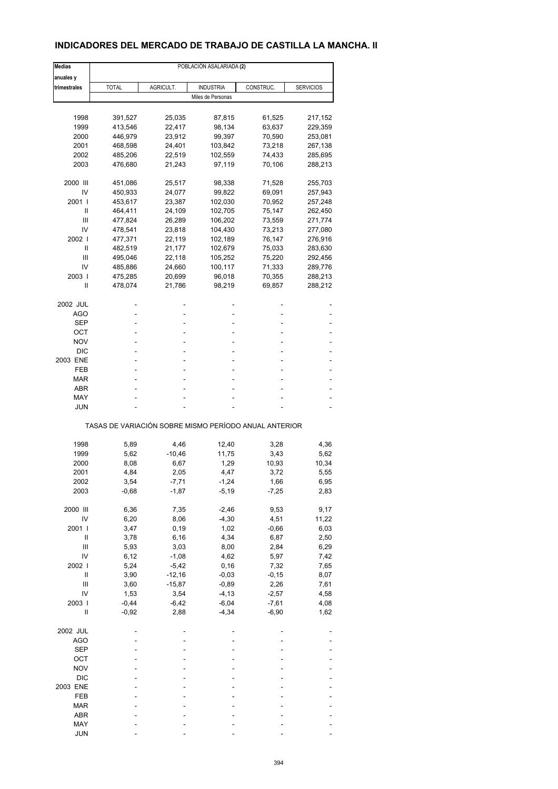## **INDICADORES DEL MERCADO DE TRABAJO DE CASTILLA LA MANCHA. II**

| <b>Medias</b> |              |           | POBLACIÓN ASALARIADA (2)                              |           |                  |
|---------------|--------------|-----------|-------------------------------------------------------|-----------|------------------|
| anuales y     |              |           |                                                       |           |                  |
| trimestrales  | <b>TOTAL</b> | AGRICULT. | <b>INDUSTRIA</b>                                      | CONSTRUC. | <b>SERVICIOS</b> |
|               |              |           | Miles de Personas                                     |           |                  |
|               |              |           |                                                       |           |                  |
| 1998          | 391,527      | 25,035    | 87,815                                                | 61,525    | 217,152          |
| 1999          | 413,546      | 22,417    | 98,134                                                | 63,637    | 229,359          |
| 2000          | 446,979      | 23,912    | 99,397                                                | 70,590    | 253,081          |
| 2001          | 468,598      | 24,401    | 103,842                                               | 73,218    | 267,138          |
| 2002          | 485,206      | 22,519    | 102,559                                               | 74,433    | 285,695          |
| 2003          | 476,680      | 21,243    | 97,119                                                | 70,106    | 288,213          |
| 2000 III      | 451,086      | 25,517    | 98,338                                                | 71,528    | 255,703          |
| IV            | 450,933      | 24,077    | 99,822                                                | 69,091    | 257,943          |
| 2001 l        | 453,617      | 23,387    | 102,030                                               | 70,952    | 257,248          |
| Ш             | 464,411      | 24,109    | 102,705                                               | 75,147    | 262,450          |
| Ш             | 477,824      | 26,289    | 106,202                                               | 73,559    | 271,774          |
| IV            | 478,541      | 23,818    | 104,430                                               | 73,213    | 277,080          |
| 2002          | 477,371      | 22,119    | 102,189                                               | 76,147    | 276,916          |
| Ш             | 482,519      | 21,177    | 102,679                                               | 75,033    | 283,630          |
| Ш             | 495,046      | 22,118    | 105,252                                               | 75,220    | 292,456          |
| IV            | 485,886      | 24,660    | 100,117                                               | 71,333    | 289,776          |
| 2003          | 475,285      | 20,699    | 96,018                                                | 70,355    | 288,213          |
| Ш             | 478,074      | 21,786    | 98,219                                                | 69,857    | 288,212          |
| 2002 JUL      |              |           |                                                       |           |                  |
| <b>AGO</b>    |              |           |                                                       |           |                  |
| SEP           |              |           | ٠                                                     |           |                  |
| ост           |              |           |                                                       |           |                  |
| NOV           |              |           |                                                       |           |                  |
| <b>DIC</b>    |              |           |                                                       |           |                  |
| 2003 ENE      |              |           |                                                       |           |                  |
|               |              |           |                                                       |           |                  |
| FEB           |              |           |                                                       |           |                  |
| MAR           |              |           |                                                       |           |                  |
| ABR           |              |           |                                                       |           |                  |
| MAY           |              |           |                                                       |           |                  |
| JUN           |              |           |                                                       |           |                  |
|               |              |           | TASAS DE VARIACIÓN SOBRE MISMO PERÍODO ANUAL ANTERIOR |           |                  |
|               |              |           |                                                       |           |                  |
| 1998          | 5,89         | 4,46      | 12,40                                                 | 3,28      | 4,36             |
| 1999          | 5,62         | $-10,46$  | 11,75                                                 | 3,43      | 5,62             |
| 2000          | 8,08         | 6,67      | 1,29                                                  | 10,93     | 10,34            |
| 2001          | 4,84         | 2,05      | 4,47                                                  | 3,72      | 5,55             |
| 2002          | 3,54         | -7,71     | -1,24                                                 | 1,66      | 6,95             |
| 2003          | $-0,68$      | $-1,87$   | $-5,19$                                               | $-7,25$   | 2,83             |
| 2000 III      | 6,36         | 7,35      | $-2,46$                                               | 9,53      | 9,17             |
| IV            | 6,20         | 8,06      | $-4,30$                                               | 4,51      | 11,22            |
| 2001 l        | 3,47         | 0,19      | 1,02                                                  | $-0,66$   | 6,03             |
| Ш             | 3,78         | 6, 16     | 4,34                                                  | 6,87      | 2,50             |
| Ш             | 5,93         | 3,03      | 8,00                                                  | 2,84      | 6,29             |
| IV            | 6, 12        | $-1,08$   | 4,62                                                  | 5,97      | 7,42             |
| 2002 l        | 5,24         | $-5,42$   | 0, 16                                                 | 7,32      | 7,65             |
| Ш             | 3,90         | $-12,16$  | $-0,03$                                               | $-0, 15$  | 8,07             |
| Ш             | 3,60         | $-15,87$  | $-0,89$                                               | 2,26      | 7,61             |
| IV            | 1,53         | 3,54      | $-4, 13$                                              | $-2,57$   | 4,58             |
| 2003          | $-0,44$      | $-6,42$   | $-6,04$                                               | $-7,61$   | 4,08             |
| $\mathsf{I}$  | $-0,92$      | 2,88      | $-4,34$                                               | $-6,90$   | 1,62             |
|               |              |           |                                                       |           |                  |
| 2002 JUL      |              |           |                                                       |           |                  |
| AGO           |              |           |                                                       |           |                  |
| <b>SEP</b>    |              |           |                                                       |           |                  |
| OCT           |              |           |                                                       |           |                  |
| <b>NOV</b>    |              |           |                                                       |           |                  |
| $DIC$         |              |           |                                                       |           |                  |
| 2003 ENE      |              |           |                                                       |           |                  |
| FEB           |              |           |                                                       |           |                  |
| <b>MAR</b>    |              |           |                                                       |           |                  |
| ABR           |              |           |                                                       |           |                  |
| MAY           |              |           |                                                       |           |                  |
| <b>JUN</b>    |              |           |                                                       |           |                  |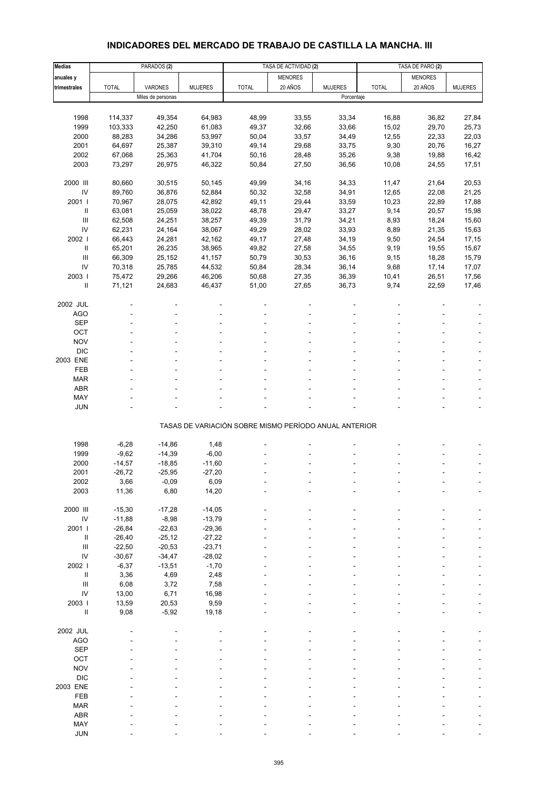#### **Medias** PARADOS **(2)** TASA DE ACTIVIDAD **(2)** TASA DE PARO **(2) anuales y** MENORES MENORES NEWSPORES NEWSPORES **trimestrales |** TOTAL | VARONES | MUJERES | TOTAL | 20 AÑOS | MUJERES | TOTAL | 20 AÑOS | MUJERES Miles de personas Porcentaje 1998 114,337 49,354 64,983 48,99 33,55 33,34 16,88 36,82 27,84 1999 103,333 42,250 61,083 49,37 32,66 33,66 15,02 29,70 25,73 2000 88,283 34,286 53,997 50,04 33,57 34,49 12,55 22,33 22,03 2001 64,697 25,387 39,310 49,14 29,68 33,75 9,30 20,76 16,27 2002 67,068 25,363 41,704 50,16 28,48 35,26 9,38 19,88 16,42 2003 73,297 26,975 46,322 50,84 27,50 36,56 10,08 24,55 17,51 2000 III 80,660 30,515 50,145 49,99 34,16 34,33 11,47 21,64 20,53 IV 89,760 36,876 52,884 50,32 32,58 34,91 12,65 22,08 21,25 2001 I 70,967 28,075 42,892 49,11 29,44 33,59 10,23 22,89 17,88 II 63,081 25,059 38,022 48,78 29,47 33,27 9,14 20,57 15,98 III 62,508 24,251 38,257 49,39 31,79 34,21 8,93 18,24 15,60 IV 62,231 24,164 38,067 49,29 28,02 33,93 8,89 21,35 15,63 2002 I 66,443 24,281 42,162 49,17 27,48 34,19 9,50 24,54 17,15 II 65,201 26,235 38,965 49,82 27,58 34,55 9,19 19,55 15,67 III 66,309 25,152 41,157 50,79 30,53 36,16 9,15 18,28 15,79 IV 70,318 25,785 44,532 50,84 28,34 36,14 9,68 17,14 17,07 2003 I 75,472 29,266 46,206 50,68 27,35 36,39 10,41 26,51 17,56 II 71,121 24,683 46,437 51,00 27,65 36,73 9,74 22,59 17,46 2002 JUL - - - - - - - --  $\overline{A}\overline{G}O$  , and the set of the set of the set of the set of the set of the set of the set of the set of the set of the set of the set of the set of the set of the set of the set of the set of the set of the set of th  $\begin{array}{lllllllllllll} \text{SEP} & \text{---} & \text{---} & \text{---} & \text{---} & \text{---} & \text{---} & \text{---} & \text{---} & \text{---} & \text{---} & \text{---} & \text{---} & \text{---} & \text{---} & \text{---} & \text{---} & \text{---} & \text{---} & \text{---} & \text{---} & \text{---} & \text{---} & \text{---} & \text{---} & \text{---} & \text{---} & \text{---} & \text{---} & \text{---} & \text{---} & \text{---} & \text{---} & \text{---} & \text{$ OCT the set of the set of the set of the set of the set of the set of the set of the set of the set of the set  $NOV$  , and  $S$  -  $S$  -  $S$  -  $S$  -  $S$  -  $S$  -  $S$  -  $S$  -  $S$  -  $S$  -  $S$  -  $S$  -  $S$  -  $S$  -  $S$  -  $S$  -  $S$  -  $S$  -  $S$  -  $S$  -  $S$  -  $S$  -  $S$  -  $S$  -  $S$  -  $S$  -  $S$  -  $S$  -  $S$  -  $S$  -  $S$  -  $S$  -  $S$  -  $S$  -  $S$  - DIC - - - - - - - - - 2003 ENE - - - - - - - -- FEB - - - - - - - - - MAR - - - - - - - - -  $ABR$  , and the set of the set of the set of the set of the set of the set of the set of the set of the set of the set of the set of the set of the set of the set of the set of the set of the set of the set of the set of t MAY - - - - - - - - - JUN - - - - - - - - - TASAS DE VARIACIÓN SOBRE MISMO PERÍODO ANUAL ANTERIOR 1998 -6,28 -14,86 1,48 - - - - -- 1999 -9,62 -14,39 -6,00 - - - - -- 2000 -14,57 -18,85 -11,60 - - - - -- 2001 -26,72 -25,95 -27,20 - - - - -- 2002 3,66 -0,09 6,09 - - - - -- 2003 11,36 6,80 14,20 - - - - -- 2000 III -15,30 -17,28 -14,05 - - - - -- IV -11,88 -8,98 -13,79 - - - - -- 2001 I -26,84 -22,63 -29,36 - - - - --  $\frac{11}{26.40}$  -25,12 -27,22 - - - - - - - - - - III -22,50 -20,53 -23,71 - - - - -- IV -30,67 -34,47 -28,02 - - - - -- 2002 I -6,37 -13,51 -1,70 - - - - -- II 3,36 4,69 2,48 - - - - -- III 6,08 3,72 7,58 - - - - -- IV 13,00 6,71 16,98 - - - - -- 2003 I 13,59 20,53 9,59 - - - - -- II 9,08 -5,92 19,18 - - - - -- 2002 JUL - - - - - - - --  $\overline{A}\overline{G}O$  , and the set of the set of the set of the set of the set of the set of the set of the set of the set of the set of the set of the set of the set of the set of the set of the set of the set of the set of th  $\begin{array}{lllllllllllll} \text{SEP} & \text{---} & \text{---} & \text{---} & \text{---} & \text{---} & \text{---} & \text{---} & \text{---} & \text{---} & \text{---} & \text{---} & \text{---} & \text{---} & \text{---} & \text{---} & \text{---} & \text{---} & \text{---} & \text{---} & \text{---} & \text{---} & \text{---} & \text{---} & \text{---} & \text{---} & \text{---} & \text{---} & \text{---} & \text{---} & \text{---} & \text{---} & \text{---} & \text{---} & \text{$ OCT the set of the set of the set of the set of the set of the set of the set of the set of the set of the set  $NOV$  , and  $S$  -  $S$  -  $S$  -  $S$  -  $S$  -  $S$  -  $S$  -  $S$  -  $S$  -  $S$  -  $S$  -  $S$  -  $S$  -  $S$  -  $S$  -  $S$  -  $S$  -  $S$  -  $S$  -  $S$  -  $S$  -  $S$  -  $S$  -  $S$  -  $S$  -  $S$  -  $S$  -  $S$  -  $S$  -  $S$  -  $S$  -  $S$  -  $S$  -  $S$  -  $S$  -

## **INDICADORES DEL MERCADO DE TRABAJO DE CASTILLA LA MANCHA. III**

 DIC - - - - - - - - - 2003 ENE - - - - - - - -- FEB - - - - - - - - - MAR - - - - - - - - - ABR - - - - - - - - - MAY - - - - - - - - - JUN - - - - - - - - -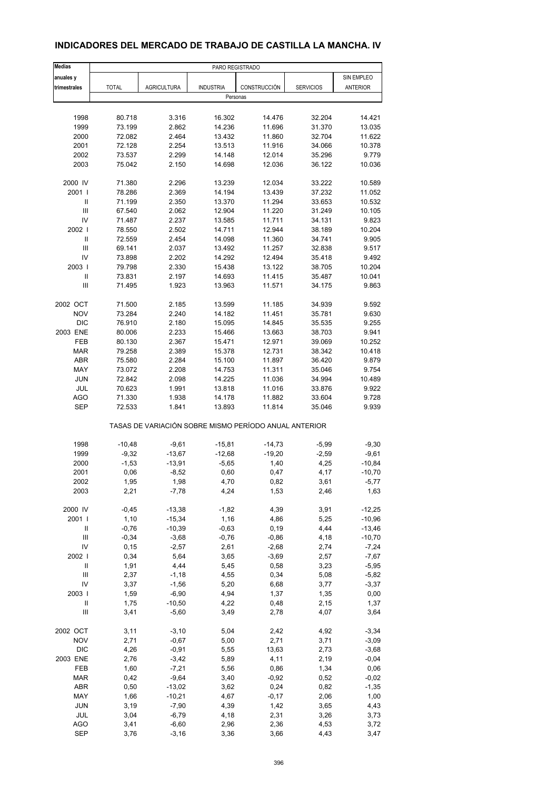| <b>Medias</b>  | PARO REGISTRADO |                                                       |                  |              |                  |                 |
|----------------|-----------------|-------------------------------------------------------|------------------|--------------|------------------|-----------------|
| anuales y      |                 |                                                       |                  |              |                  | SIN EMPLEO      |
| trimestrales   | <b>TOTAL</b>    | <b>AGRICULTURA</b>                                    | <b>INDUSTRIA</b> | CONSTRUCCIÓN | <b>SERVICIOS</b> | <b>ANTERIOR</b> |
|                |                 |                                                       | Personas         |              |                  |                 |
|                |                 |                                                       |                  |              |                  |                 |
| 1998           | 80.718          | 3.316                                                 | 16.302           | 14.476       | 32.204           | 14.421          |
| 1999           | 73.199          | 2.862                                                 | 14.236           | 11.696       | 31.370           | 13.035          |
| 2000           | 72.082          | 2.464                                                 | 13.432           | 11.860       | 32.704           | 11.622          |
| 2001           | 72.128          | 2.254                                                 | 13.513           | 11.916       | 34.066           | 10.378          |
| 2002           | 73.537          | 2.299                                                 | 14.148           | 12.014       | 35.296           | 9.779           |
| 2003           | 75.042          | 2.150                                                 | 14.698           | 12.036       | 36.122           | 10.036          |
|                |                 |                                                       |                  |              |                  |                 |
| 2000 IV        | 71.380          | 2.296                                                 | 13.239           | 12.034       | 33.222           | 10.589          |
| 2001 l         | 78.286          | 2.369                                                 | 14.194           | 13.439       | 37.232           | 11.052          |
| $\sf II$       | 71.199          | 2.350                                                 | 13.370           | 11.294       | 33.653           | 10.532          |
| Ш              | 67.540          | 2.062                                                 | 12.904           | 11.220       | 31.249           | 10.105          |
| IV             | 71.487          | 2.237                                                 | 13.585           | 11.711       | 34.131           | 9.823           |
| 2002           | 78.550          | 2.502                                                 | 14.711           | 12.944       | 38.189           | 10.204          |
| Ш              | 72.559          | 2.454                                                 | 14.098           | 11.360       | 34.741           | 9.905           |
| Ш              | 69.141          | 2.037                                                 | 13.492           | 11.257       | 32.838           | 9.517           |
|                |                 |                                                       |                  |              |                  |                 |
| IV             | 73.898          | 2.202                                                 | 14.292           | 12.494       | 35.418           | 9.492           |
| 2003           | 79.798          | 2.330                                                 | 15.438           | 13.122       | 38.705           | 10.204          |
| Ш              | 73.831          | 2.197                                                 | 14.693           | 11.415       | 35.487           | 10.041          |
| Ш              | 71.495          | 1.923                                                 | 13.963           | 11.571       | 34.175           | 9.863           |
| 2002 OCT       | 71.500          | 2.185                                                 | 13.599           | 11.185       | 34.939           | 9.592           |
| <b>NOV</b>     | 73.284          | 2.240                                                 | 14.182           | 11.451       | 35.781           | 9.630           |
| <b>DIC</b>     |                 |                                                       |                  |              |                  |                 |
|                | 76.910          | 2.180                                                 | 15.095           | 14.845       | 35.535           | 9.255           |
| 2003 ENE       | 80.006          | 2.233                                                 | 15.466           | 13.663       | 38.703           | 9.941           |
| FEB            | 80.130          | 2.367                                                 | 15.471           | 12.971       | 39.069           | 10.252          |
| <b>MAR</b>     | 79.258          | 2.389                                                 | 15.378           | 12.731       | 38.342           | 10.418          |
| ABR            | 75.580          | 2.284                                                 | 15.100           | 11.897       | 36.420           | 9.879           |
| MAY            | 73.072          | 2.208                                                 | 14.753           | 11.311       | 35.046           | 9.754           |
| <b>JUN</b>     | 72.842          | 2.098                                                 | 14.225           | 11.036       | 34.994           | 10.489          |
| JUL            | 70.623          | 1.991                                                 | 13.818           | 11.016       | 33.876           | 9.922           |
| AGO            | 71.330          | 1.938                                                 | 14.178           | 11.882       | 33.604           | 9.728           |
| <b>SEP</b>     | 72.533          | 1.841                                                 | 13.893           | 11.814       | 35.046           | 9.939           |
|                |                 | TASAS DE VARIACIÓN SOBRE MISMO PERÍODO ANUAL ANTERIOR |                  |              |                  |                 |
|                |                 |                                                       |                  |              |                  |                 |
| 1998           | $-10,48$        | $-9,61$                                               | $-15,81$         | $-14,73$     | $-5,99$          | $-9,30$         |
| 1999           | $-9,32$         | $-13,67$                                              | $-12,68$         | $-19,20$     | $-2,59$          | $-9,61$         |
| 2000           | $-1,53$         | $-13,91$                                              | $-5,65$          | 1,40         | 4,25             | $-10,84$        |
| 2001           | 0,06            | $-8,52$                                               | 0,60             | 0,47         | 4,17             | $-10,70$        |
| 2002           | 1,95            | 1,98                                                  | 4,70             | 0,82         | 3,61             | $-5,77$         |
| 2003           | 2,21            | $-7,78$                                               | 4,24             | 1,53         | 2,46             | 1,63            |
| 2000 IV        | $-0,45$         | $-13,38$                                              | $-1,82$          | 4,39         | 3,91             | $-12,25$        |
| 2001 l         | 1,10            | $-15,34$                                              | 1,16             | 4,86         | 5,25             | $-10,96$        |
|                |                 |                                                       |                  |              |                  |                 |
| Ш              | $-0,76$         | $-10,39$                                              | $-0,63$          | 0, 19        | 4,44             | $-13,46$        |
| $\mathbf{III}$ | $-0,34$         | $-3,68$                                               | $-0,76$          | $-0,86$      | 4,18             | $-10,70$        |
| IV             | 0, 15           | $-2,57$                                               | 2,61             | $-2,68$      | 2,74             | $-7,24$         |
| 2002           | 0,34            | 5,64                                                  | 3,65             | $-3,69$      | 2,57             | $-7,67$         |
| Ш              | 1,91            | 4,44                                                  | 5,45             | 0,58         | 3,23             | $-5,95$         |
| Ш              | 2,37            | $-1,18$                                               | 4,55             | 0,34         | 5,08             | $-5,82$         |
| IV             | 3,37            | $-1,56$                                               | 5,20             | 6,68         | 3,77             | $-3,37$         |
| 2003           | 1,59            | $-6,90$                                               | 4,94             | 1,37         | 1,35             | 0,00            |
| Ш              | 1,75            | $-10,50$                                              | 4,22             | 0,48         | 2,15             | 1,37            |
| Ш              | 3,41            | $-5,60$                                               | 3,49             | 2,78         | 4,07             | 3,64            |
|                |                 |                                                       |                  |              |                  |                 |
| 2002 OCT       | 3,11            | $-3,10$                                               | 5,04             | 2,42         | 4,92             | $-3,34$         |
| <b>NOV</b>     | 2,71            | $-0,67$                                               | 5,00             | 2,71         | 3,71             | $-3,09$         |
| <b>DIC</b>     | 4,26            | $-0,91$                                               | 5,55             | 13,63        | 2,73             | $-3,68$         |
| 2003 ENE       | 2,76            | $-3,42$                                               | 5,89             | 4,11         | 2,19             | $-0,04$         |
| FEB            | 1,60            | $-7,21$                                               | 5,56             | 0,86         | 1,34             | 0,06            |
| <b>MAR</b>     | 0,42            | $-9,64$                                               | 3,40             | $-0,92$      | 0,52             | $-0,02$         |
| ABR            | 0,50            | $-13,02$                                              | 3,62             | 0,24         | 0,82             | $-1,35$         |
| MAY            | 1,66            | $-10,21$                                              | 4,67             | $-0,17$      | 2,06             | 1,00            |
| JUN            | 3,19            | $-7,90$                                               | 4,39             | 1,42         | 3,65             | 4,43            |
| JUL            | 3,04            | $-6,79$                                               | 4,18             | 2,31         | 3,26             | 3,73            |
| AGO            |                 |                                                       |                  |              |                  |                 |
|                | 3,41            | $-6,60$                                               | 2,96             | 2,36         | 4,53             | 3,72            |
| <b>SEP</b>     | 3,76            | $-3,16$                                               | 3,36             | 3,66         | 4,43             | 3,47            |

## **INDICADORES DEL MERCADO DE TRABAJO DE CASTILLA LA MANCHA. IV**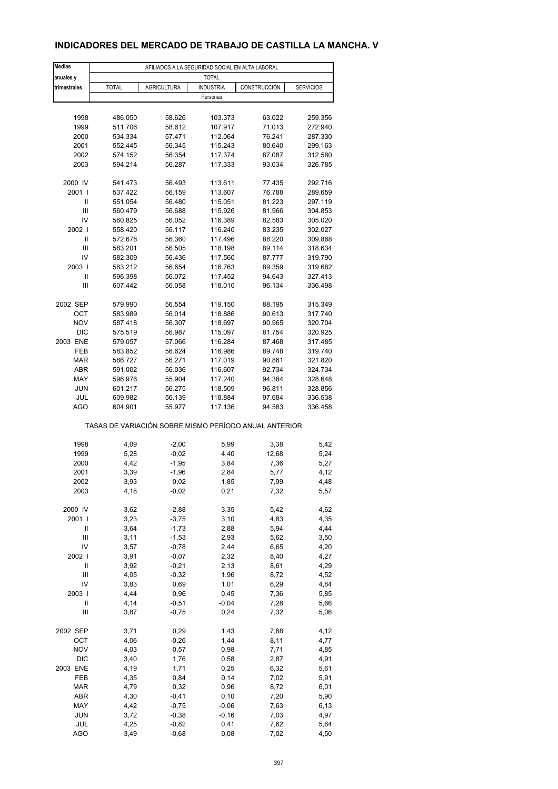## **INDICADORES DEL MERCADO DE TRABAJO DE CASTILLA LA MANCHA. V**

| <b>Medias</b>     |                                                       | AFILIADOS A LA SEGURIDAD SOCIAL EN ALTA LABORAL |                    |                  |                    |
|-------------------|-------------------------------------------------------|-------------------------------------------------|--------------------|------------------|--------------------|
| anuales y         |                                                       |                                                 | <b>TOTAL</b>       |                  |                    |
| trimestrales      | <b>TOTAL</b>                                          | <b>AGRICULTURA</b>                              | <b>INDUSTRIA</b>   | CONSTRUCCIÓN     | <b>SERVICIOS</b>   |
|                   |                                                       |                                                 | Personas           |                  |                    |
|                   |                                                       |                                                 |                    |                  |                    |
| 1998              | 486.050                                               | 58.626                                          | 103.373            | 63.022           | 259.356            |
| 1999              | 511.706                                               | 58.612                                          | 107.917            | 71.013           | 272.940            |
| 2000              | 534.334                                               | 57.471                                          | 112.064            | 76.241           | 287.330            |
| 2001              | 552.445                                               | 56.345                                          | 115.243            | 80.640           | 299.163            |
| 2002              | 574.152                                               | 56.354                                          | 117.374            | 87.087           | 312.580            |
| 2003              | 594.214                                               | 56.287                                          | 117.333            | 93.034           | 326.785            |
|                   |                                                       |                                                 |                    |                  |                    |
| 2000 IV           | 541.473                                               | 56.493                                          | 113.611            | 77.435           | 292.716            |
| 2001 l            | 537.422                                               | 56.159                                          | 113.607            | 76.788           | 289.659            |
| Ш                 | 551.054                                               | 56.480                                          | 115.051            | 81.223           | 297.119            |
| Ш                 | 560.479                                               | 56.688                                          | 115.926            | 81.966           | 304.853            |
| IV                | 560.825                                               | 56.052                                          | 116.389            | 82.583           | 305.020            |
| 2002              | 558.420                                               | 56.117                                          | 116.240            | 83.235           | 302.027            |
| $\mathbf{I}$      | 572.678                                               | 56.360                                          | 117.496            | 88.220           | 309.868            |
| Ш                 | 583.201                                               | 56.505                                          | 118.198            | 89.114           | 318.634            |
| IV                | 582.309                                               | 56.436                                          | 117.560            | 87.777           | 319.790            |
| 2003              | 583.212                                               | 56.654                                          | 116.763            | 89.359           | 319.682            |
| Ш                 | 596.398                                               | 56.072                                          | 117.452            | 94.643           | 327.413            |
| Ш                 | 607.442                                               | 56.058                                          | 118.010            | 96.134           | 336.498            |
|                   |                                                       |                                                 |                    |                  |                    |
| 2002 SEP          |                                                       |                                                 |                    |                  |                    |
| ОСТ               | 579.990<br>583.989                                    | 56.554<br>56.014                                | 119.150<br>118.886 | 88.195<br>90.613 | 315.349<br>317.740 |
| <b>NOV</b>        |                                                       |                                                 | 118.697            |                  | 320.704            |
|                   | 587.418                                               | 56.307                                          |                    | 90.965           |                    |
| <b>DIC</b>        | 575.519                                               | 56.987                                          | 115.097            | 81.754           | 320.925            |
| 2003 ENE          | 579.057                                               | 57.066                                          | 116.284            | 87.468           | 317.485            |
| FEB               | 583.852                                               | 56.624                                          | 116.986            | 89.748           | 319.740            |
| <b>MAR</b>        | 586.727                                               | 56.271                                          | 117.019            | 90.861           | 321.820            |
| <b>ABR</b>        | 591.002                                               | 56.036                                          | 116.607            | 92.734           | 324.734            |
| MAY               | 596.976                                               | 55.904                                          | 117.240            | 94.384           | 328.648            |
| <b>JUN</b>        | 601.217                                               | 56.275                                          | 118.509            | 96.811           | 328.856            |
| JUL<br><b>AGO</b> | 609.982                                               | 56.139                                          | 118.884            | 97.684           | 336.538            |
|                   | 604.901                                               | 55.977                                          | 117.136            | 94.583           | 336.458            |
|                   | TASAS DE VARIACIÓN SOBRE MISMO PERÍODO ANUAL ANTERIOR |                                                 |                    |                  |                    |
|                   |                                                       |                                                 |                    |                  |                    |
| 1998              | 4,09                                                  | $-2,00$                                         | 5,99               | 3,38             | 5,42               |
| 1999              | 5,28                                                  | $-0,02$                                         | 4,40               | 12,68            | 5,24               |
| 2000              | 4,42                                                  | $-1,95$<br>$-1,96$                              | 3,84               | 7,36             | 5,27               |
| 2001              | 3,39                                                  |                                                 | 2,84               | 5,77             | 4,12               |
| 2002              | 3,93                                                  | 0,02                                            | 1,85               | 7,99             | 4,48               |
| 2003              | 4,18                                                  | $-0,02$                                         | 0,21               | 7,32             | 5,57               |
| 2000 IV           | 3,62                                                  | $-2,88$                                         | 3,35               | 5,42             | 4,62               |
|                   |                                                       |                                                 |                    |                  | 4,35               |
| 2001  <br>Ш       | 3,23<br>3,64                                          | $-3,75$<br>$-1,73$                              | 3,10<br>2,88       | 4,83<br>5,94     |                    |
|                   |                                                       |                                                 |                    |                  | 4,44               |
| Ш<br>IV           | 3,11<br>3,57                                          | $-1,53$<br>$-0,78$                              | 2,93               | 5,62<br>6,65     | 3,50<br>4,20       |
| 2002              |                                                       |                                                 | 2,44               |                  |                    |
| $\sf II$          | 3,91                                                  | $-0,07$                                         | 2,32               | 8,40             | 4,27               |
|                   | 3,92                                                  | $-0,21$                                         | 2,13               | 8,61             | 4,29               |
| Ш                 | 4,05                                                  | $-0,32$                                         | 1,96               | 8,72             | 4,52               |
| IV                | 3,83                                                  | 0,69                                            | 1,01               | 6,29             | 4,84               |
| 2003              | 4,44                                                  | 0,96                                            | 0,45               | 7,36             | 5,85               |
| $\mathsf{I}$      | 4,14                                                  | $-0,51$                                         | $-0,04$            | 7,28             | 5,66               |
| Ш                 | 3,87                                                  | $-0,75$                                         | 0,24               | 7,32             | 5,06               |
| 2002 SEP          | 3,71                                                  | 0,29                                            | 1,43               | 7,88             | 4,12               |
| OCT               | 4,06                                                  | $-0,26$                                         | 1,44               | 8,11             | 4,77               |
| <b>NOV</b>        | 4,03                                                  | 0,57                                            | 0,98               | 7,71             | 4,85               |
| DIC               | 3,40                                                  | 1,76                                            | 0,58               | 2,87             | 4,91               |
| 2003 ENE          | 4,19                                                  | 1,71                                            | 0,25               | 6,32             | 5,61               |
| FEB               | 4,35                                                  | 0,84                                            | 0,14               | 7,02             | 5,91               |
| <b>MAR</b>        | 4,79                                                  | 0,32                                            | 0,96               | 8,72             | 6,01               |
| ABR               | 4,30                                                  | $-0,41$                                         | 0, 10              | 7,20             | 5,90               |
| MAY               | 4,42                                                  | $-0,75$                                         | $-0,06$            | 7,63             | 6,13               |
| <b>JUN</b>        | 3,72                                                  | $-0,38$                                         | $-0,16$            | 7,03             | 4,97               |
| JUL               | 4,25                                                  | $-0,82$                                         | 0,41               | 7,62             | 5,64               |
| <b>AGO</b>        | 3,49                                                  | $-0,68$                                         | 0,08               | 7,02             | 4,50               |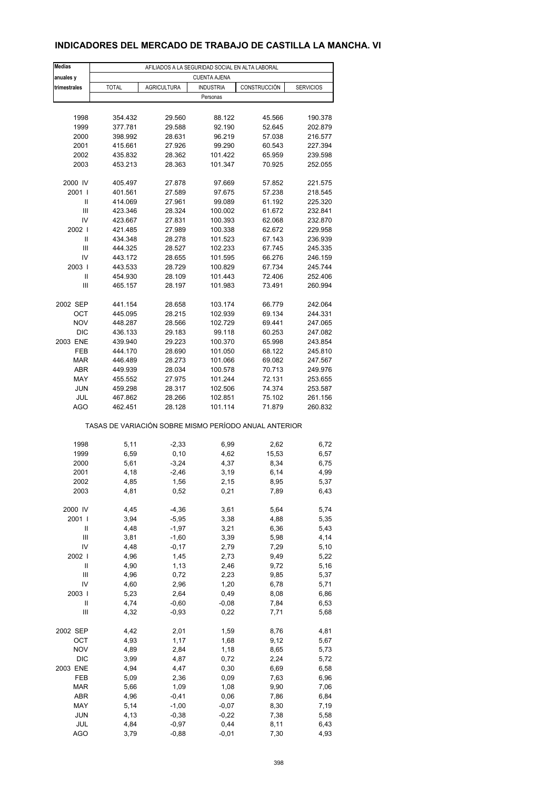## **INDICADORES DEL MERCADO DE TRABAJO DE CASTILLA LA MANCHA. VI**

| <b>Medias</b>        |                                                       |                    | AFILIADOS A LA SEGURIDAD SOCIAL EN ALTA LABORAL |                  |                    |  |  |  |  |
|----------------------|-------------------------------------------------------|--------------------|-------------------------------------------------|------------------|--------------------|--|--|--|--|
| anuales y            | <b>CUENTA AJENA</b>                                   |                    |                                                 |                  |                    |  |  |  |  |
| trimestrales         | <b>TOTAL</b>                                          | <b>AGRICULTURA</b> | <b>INDUSTRIA</b>                                | CONSTRUCCIÓN     | <b>SERVICIOS</b>   |  |  |  |  |
|                      |                                                       |                    | Personas                                        |                  |                    |  |  |  |  |
|                      |                                                       |                    |                                                 |                  |                    |  |  |  |  |
| 1998                 | 354.432                                               | 29.560             | 88.122                                          | 45.566           | 190.378            |  |  |  |  |
| 1999                 | 377.781                                               | 29.588             | 92.190                                          | 52.645           | 202.879            |  |  |  |  |
| 2000                 | 398.992                                               | 28.631             | 96.219                                          | 57.038           | 216.577            |  |  |  |  |
| 2001                 | 415.661                                               | 27.926             | 99.290                                          | 60.543           | 227.394            |  |  |  |  |
| 2002                 | 435.832                                               | 28.362             | 101.422                                         | 65.959           | 239.598            |  |  |  |  |
| 2003                 | 453.213                                               | 28.363             | 101.347                                         | 70.925           | 252.055            |  |  |  |  |
|                      |                                                       |                    |                                                 |                  |                    |  |  |  |  |
| 2000 IV              | 405.497                                               | 27.878             | 97.669                                          | 57.852           | 221.575            |  |  |  |  |
| 2001 l               | 401.561                                               | 27.589             | 97.675                                          | 57.238           | 218.545            |  |  |  |  |
| Ш                    | 414.069                                               | 27.961             | 99.089                                          | 61.192           | 225.320            |  |  |  |  |
| $\mathsf{III}$<br>IV | 423.346<br>423.667                                    | 28.324<br>27.831   | 100.002<br>100.393                              | 61.672<br>62.068 | 232.841<br>232.870 |  |  |  |  |
| 2002                 | 421.485                                               | 27.989             | 100.338                                         | 62.672           | 229.958            |  |  |  |  |
| Ш                    | 434.348                                               | 28.278             | 101.523                                         | 67.143           | 236.939            |  |  |  |  |
| Ш                    | 444.325                                               | 28.527             | 102.233                                         | 67.745           | 245.335            |  |  |  |  |
| IV                   | 443.172                                               | 28.655             | 101.595                                         | 66.276           | 246.159            |  |  |  |  |
| 2003                 | 443.533                                               | 28.729             | 100.829                                         | 67.734           | 245.744            |  |  |  |  |
| Ш                    | 454.930                                               | 28.109             | 101.443                                         | 72.406           | 252.406            |  |  |  |  |
| Ш                    | 465.157                                               | 28.197             | 101.983                                         | 73.491           | 260.994            |  |  |  |  |
|                      |                                                       |                    |                                                 |                  |                    |  |  |  |  |
| 2002 SEP             | 441.154                                               | 28.658             | 103.174                                         | 66.779           | 242.064            |  |  |  |  |
| OCT                  | 445.095                                               | 28.215             | 102.939                                         | 69.134           | 244.331            |  |  |  |  |
| <b>NOV</b>           | 448.287                                               | 28.566             | 102.729                                         | 69.441           | 247.065            |  |  |  |  |
| <b>DIC</b>           | 436.133                                               | 29.183             | 99.118                                          | 60.253           | 247.082            |  |  |  |  |
| 2003 ENE             | 439.940                                               | 29.223             | 100.370                                         | 65.998           | 243.854            |  |  |  |  |
| <b>FEB</b>           | 444.170                                               | 28.690             | 101.050                                         | 68.122           | 245.810            |  |  |  |  |
| <b>MAR</b>           | 446.489                                               | 28.273             | 101.066                                         | 69.082           | 247.567            |  |  |  |  |
| ABR                  | 449.939                                               | 28.034             | 100.578                                         | 70.713           | 249.976            |  |  |  |  |
| MAY                  | 455.552                                               | 27.975             | 101.244                                         | 72.131           | 253.655            |  |  |  |  |
| <b>JUN</b>           | 459.298                                               | 28.317             | 102.506                                         | 74.374           | 253.587            |  |  |  |  |
| JUL                  | 467.862                                               | 28.266             | 102.851                                         | 75.102           | 261.156            |  |  |  |  |
| <b>AGO</b>           | 462.451                                               | 28.128             | 101.114                                         | 71.879           | 260.832            |  |  |  |  |
|                      | TASAS DE VARIACIÓN SOBRE MISMO PERÍODO ANUAL ANTERIOR |                    |                                                 |                  |                    |  |  |  |  |
|                      |                                                       |                    |                                                 |                  |                    |  |  |  |  |
| 1998<br>1999         | 5,11<br>6,59                                          | $-2,33$<br>0, 10   | 6,99<br>4,62                                    | 2,62<br>15,53    | 6,72<br>6,57       |  |  |  |  |
| 2000                 | 5,61                                                  | $-3,24$            | 4,37                                            | 8,34             | 6,75               |  |  |  |  |
| 2001                 | 4,18                                                  | $-2,46$            | 3,19                                            | 6,14             | 4,99               |  |  |  |  |
| 2002                 | 4,85                                                  | 1,56               | 2,15                                            | 8,95             | 5,37               |  |  |  |  |
| 2003                 | 4,81                                                  | 0,52               | 0,21                                            | 7,89             | 6,43               |  |  |  |  |
|                      |                                                       |                    |                                                 |                  |                    |  |  |  |  |
| 2000 IV              | 4,45                                                  | $-4,36$            | 3,61                                            | 5,64             | 5,74               |  |  |  |  |
| 2001 l               | 3,94                                                  | $-5,95$            | 3,38                                            | 4,88             | 5,35               |  |  |  |  |
| Ш                    | 4,48                                                  | $-1,97$            | 3,21                                            | 6,36             | 5,43               |  |  |  |  |
| Ш                    | 3,81                                                  | $-1,60$            | 3,39                                            | 5,98             | 4,14               |  |  |  |  |
| IV                   | 4,48                                                  | $-0,17$            | 2,79                                            | 7,29             | 5,10               |  |  |  |  |
| 2002                 | 4,96                                                  | 1,45               | 2,73                                            | 9,49             | 5,22               |  |  |  |  |
| $\mathsf{I}$         | 4,90                                                  | 1,13               | 2,46                                            | 9,72             | 5,16               |  |  |  |  |
| $\mathsf{III}$       | 4,96                                                  | 0,72               | 2,23                                            | 9,85             | 5,37               |  |  |  |  |
| IV                   | 4,60                                                  | 2,96               | 1,20                                            | 6,78             | 5,71               |  |  |  |  |
| 2003                 | 5,23                                                  | 2,64               | 0,49                                            | 8,08             | 6,86               |  |  |  |  |
| $\mathsf{I}$         | 4,74                                                  | $-0,60$            | $-0,08$                                         | 7,84             | 6,53               |  |  |  |  |
| Ш                    | 4,32                                                  | $-0,93$            | 0,22                                            | 7,71             | 5,68               |  |  |  |  |
| 2002 SEP             | 4,42                                                  | 2,01               | 1,59                                            | 8,76             | 4,81               |  |  |  |  |
| OCT                  | 4,93                                                  | 1,17               | 1,68                                            | 9,12             | 5,67               |  |  |  |  |
| <b>NOV</b>           | 4,89                                                  | 2,84               | 1,18                                            | 8,65             | 5,73               |  |  |  |  |
| DIC                  | 3,99                                                  | 4,87               | 0,72                                            | 2,24             | 5,72               |  |  |  |  |
| 2003 ENE             | 4,94                                                  | 4,47               | 0,30                                            | 6,69             | 6,58               |  |  |  |  |
| FEB                  | 5,09                                                  | 2,36               | 0,09                                            | 7,63             | 6,96               |  |  |  |  |
| <b>MAR</b>           | 5,66                                                  | 1,09               | 1,08                                            | 9,90             | 7,06               |  |  |  |  |
| ABR                  | 4,96                                                  | $-0,41$            | 0,06                                            | 7,86             | 6,84               |  |  |  |  |
| MAY                  | 5,14                                                  | $-1,00$            | $-0,07$                                         | 8,30             | 7,19               |  |  |  |  |
| <b>JUN</b>           | 4,13                                                  | $-0,38$            | $-0,22$                                         | 7,38             | 5,58               |  |  |  |  |
| JUL                  | 4,84                                                  | $-0,97$            | 0,44                                            | 8,11             | 6,43               |  |  |  |  |
| <b>AGO</b>           | 3,79                                                  | $-0,88$            | $-0,01$                                         | 7,30             | 4,93               |  |  |  |  |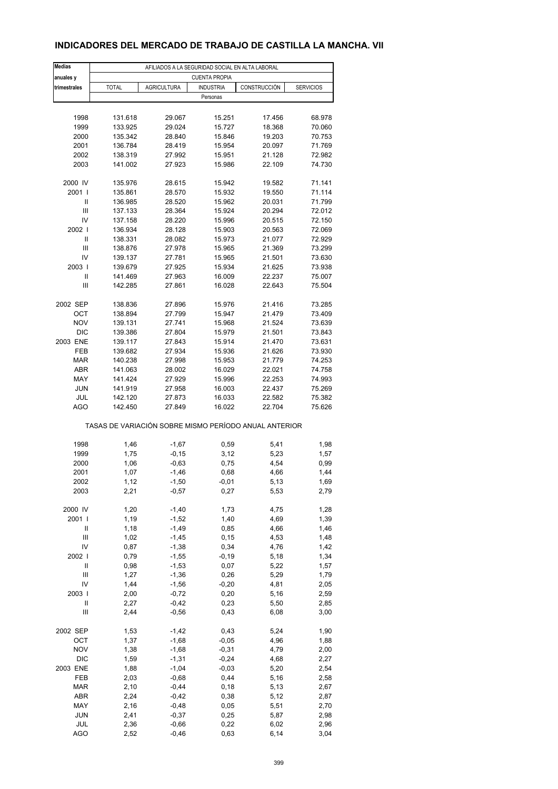## **INDICADORES DEL MERCADO DE TRABAJO DE CASTILLA LA MANCHA. VII**

| <b>Medias</b>            |                                                       | AFILIADOS A LA SEGURIDAD SOCIAL EN ALTA LABORAL |                      |                  |                  |
|--------------------------|-------------------------------------------------------|-------------------------------------------------|----------------------|------------------|------------------|
| anuales y                |                                                       |                                                 | <b>CUENTA PROPIA</b> |                  |                  |
| trimestrales             | <b>TOTAL</b>                                          | <b>AGRICULTURA</b>                              | <b>INDUSTRIA</b>     | CONSTRUCCIÓN     | <b>SERVICIOS</b> |
|                          |                                                       |                                                 | Personas             |                  |                  |
|                          |                                                       |                                                 |                      |                  |                  |
| 1998                     | 131.618                                               | 29.067                                          | 15.251               | 17.456           | 68.978           |
| 1999                     | 133.925                                               | 29.024                                          | 15.727               | 18.368           | 70.060           |
| 2000                     | 135.342                                               | 28.840                                          | 15.846               | 19.203           | 70.753           |
| 2001                     | 136.784                                               | 28.419                                          | 15.954               | 20.097           | 71.769           |
| 2002                     | 138.319                                               | 27.992                                          | 15.951               | 21.128           | 72.982           |
| 2003                     | 141.002                                               | 27.923                                          | 15.986               | 22.109           | 74.730           |
|                          |                                                       |                                                 |                      |                  |                  |
| 2000 IV                  | 135.976                                               | 28.615                                          | 15.942               | 19.582           | 71.141           |
| 2001 l                   | 135.861                                               | 28.570                                          | 15.932               | 19.550           | 71.114           |
| Ш<br>Ш                   | 136.985<br>137.133                                    | 28.520<br>28.364                                | 15.962<br>15.924     | 20.031<br>20.294 | 71.799<br>72.012 |
| IV                       | 137.158                                               | 28.220                                          | 15.996               | 20.515           | 72.150           |
| 2002                     | 136.934                                               | 28.128                                          | 15.903               | 20.563           | 72.069           |
| Ш                        | 138.331                                               | 28.082                                          | 15.973               | 21.077           | 72.929           |
| Ш                        | 138.876                                               | 27.978                                          | 15.965               | 21.369           | 73.299           |
| IV                       | 139.137                                               | 27.781                                          | 15.965               | 21.501           | 73.630           |
| 2003                     | 139.679                                               | 27.925                                          | 15.934               | 21.625           | 73.938           |
| Ш                        | 141.469                                               | 27.963                                          | 16.009               | 22.237           | 75.007           |
| Ш                        | 142.285                                               | 27.861                                          | 16.028               | 22.643           | 75.504           |
|                          |                                                       |                                                 |                      |                  |                  |
| 2002 SEP                 | 138.836                                               | 27.896                                          | 15.976               | 21.416           | 73.285           |
| ОСТ                      | 138.894                                               | 27.799                                          | 15.947               | 21.479           | 73.409           |
| <b>NOV</b>               | 139.131                                               | 27.741                                          | 15.968               | 21.524           | 73.639           |
| <b>DIC</b>               | 139.386                                               | 27.804                                          | 15.979               | 21.501           | 73.843           |
| 2003 ENE                 | 139.117                                               | 27.843                                          | 15.914               | 21.470           | 73.631           |
| FEB                      | 139.682                                               | 27.934                                          | 15.936               | 21.626           | 73.930           |
| <b>MAR</b><br><b>ABR</b> | 140.238<br>141.063                                    | 27.998<br>28.002                                | 15.953<br>16.029     | 21.779<br>22.021 | 74.253<br>74.758 |
| MAY                      | 141.424                                               | 27.929                                          | 15.996               | 22.253           | 74.993           |
| <b>JUN</b>               | 141.919                                               | 27.958                                          | 16.003               | 22.437           | 75.269           |
| JUL                      | 142.120                                               | 27.873                                          | 16.033               | 22.582           | 75.382           |
| <b>AGO</b>               | 142.450                                               | 27.849                                          | 16.022               | 22.704           | 75.626           |
|                          | TASAS DE VARIACIÓN SOBRE MISMO PERÍODO ANUAL ANTERIOR |                                                 |                      |                  |                  |
|                          |                                                       |                                                 |                      |                  |                  |
| 1998                     | 1,46                                                  | $-1,67$                                         | 0,59                 | 5,41             | 1,98             |
| 1999                     | 1,75                                                  | $-0,15$                                         | 3,12                 | 5,23             | 1,57             |
| 2000                     | 1,06                                                  | $-0,63$                                         | 0,75                 | 4,54             | 0,99             |
| 2001                     | 1,07                                                  | $-1,46$                                         | 0,68                 | 4,66             | 1,44             |
| 2002                     | 1,12                                                  | $-1,50$                                         | -0,01                | 5,13             | 1,69             |
| 2003                     | 2,21                                                  | $-0,57$                                         | 0,27                 | 5,53             | 2,79             |
| 2000 IV                  | 1,20                                                  | $-1,40$                                         | 1,73                 | 4,75             | 1,28             |
| 2001 l                   | 1,19                                                  | $-1,52$                                         | 1,40                 | 4,69             | 1,39             |
| Ш                        | 1,18                                                  | $-1,49$                                         | 0,85                 | 4,66             | 1,46             |
| Ш                        | 1,02                                                  | $-1,45$                                         | 0, 15                | 4,53             | 1,48             |
| IV                       | 0,87                                                  | $-1,38$                                         | 0,34                 | 4,76             | 1,42             |
| 2002                     | 0,79                                                  | $-1,55$                                         | $-0,19$              | 5,18             | 1,34             |
| $\sf II$                 | 0,98                                                  | $-1,53$                                         | 0,07                 | 5,22             | 1,57             |
| Ш                        | 1,27                                                  | $-1,36$                                         | 0,26                 | 5,29             | 1,79             |
| IV                       | 1,44                                                  | $-1,56$                                         | $-0,20$              | 4,81             | 2,05             |
| 2003                     | 2,00                                                  | $-0,72$                                         | 0,20                 | 5,16             | 2,59             |
| $\mathsf{I}$             | 2,27                                                  | $-0,42$                                         | 0,23                 | 5,50             | 2,85             |
| Ш                        | 2,44                                                  | $-0,56$                                         | 0,43                 | 6,08             | 3,00             |
| 2002 SEP                 | 1,53                                                  | $-1,42$                                         | 0,43                 | 5,24             | 1,90             |
| OCT                      | 1,37                                                  | $-1,68$                                         | $-0,05$              | 4,96             | 1,88             |
| <b>NOV</b>               | 1,38                                                  | $-1,68$                                         | $-0,31$              | 4,79             | 2,00             |
| DIC                      | 1,59                                                  | $-1,31$                                         | $-0,24$              | 4,68             | 2,27             |
| 2003 ENE                 | 1,88                                                  | $-1,04$                                         | $-0,03$              | 5,20             | 2,54             |
| FEB                      | 2,03                                                  | $-0,68$                                         | 0,44                 | 5,16             | 2,58             |
| <b>MAR</b>               | 2,10                                                  | $-0,44$                                         | 0, 18                | 5,13             | 2,67             |
| ABR                      | 2,24                                                  | $-0,42$                                         | 0,38                 | 5,12             | 2,87             |
| MAY<br><b>JUN</b>        | 2,16                                                  | $-0,48$                                         | 0,05                 | 5,51             | 2,70             |
| JUL                      | 2,41<br>2,36                                          | $-0,37$<br>$-0,66$                              | 0,25<br>0,22         | 5,87<br>6,02     | 2,98<br>2,96     |
| <b>AGO</b>               | 2,52                                                  | $-0,46$                                         | 0,63                 | 6,14             | 3,04             |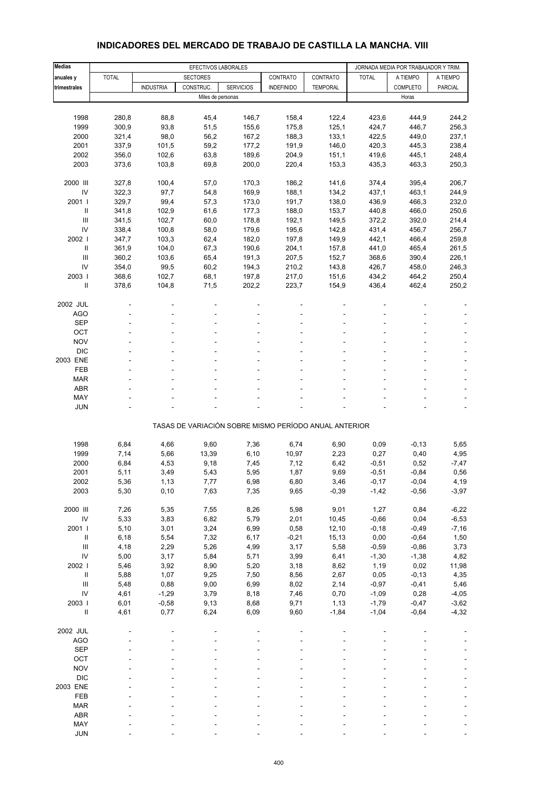| <b>Medias</b>                      | EFECTIVOS LABORALES |                  |                   |                                                       |                   | JORNADA MEDIA POR TRABAJADOR Y TRIM. |              |          |          |
|------------------------------------|---------------------|------------------|-------------------|-------------------------------------------------------|-------------------|--------------------------------------|--------------|----------|----------|
| anuales y                          | <b>TOTAL</b>        |                  | <b>SECTORES</b>   |                                                       | CONTRATO          | CONTRATO                             | <b>TOTAL</b> | A TIEMPO | A TIEMPO |
| trimestrales                       |                     | <b>INDUSTRIA</b> | CONSTRUC.         | <b>SERVICIOS</b>                                      | <b>INDEFINIDO</b> | <b>TEMPORAL</b>                      |              | COMPLETO | PARCIAL  |
|                                    |                     |                  | Miles de personas |                                                       |                   |                                      |              | Horas    |          |
|                                    |                     |                  |                   |                                                       |                   |                                      |              |          |          |
| 1998                               | 280,8               | 88,8             | 45,4              | 146,7                                                 | 158,4             | 122,4                                | 423,6        | 444,9    | 244,2    |
| 1999                               | 300,9               | 93,8             | 51,5              | 155,6                                                 | 175,8             | 125,1                                | 424,7        | 446,7    | 256,3    |
| 2000                               | 321,4               | 98,0             | 56,2              | 167,2                                                 | 188,3             | 133,1                                | 422,5        | 449,0    | 237,1    |
| 2001                               | 337,9               | 101,5            | 59,2              | 177,2                                                 | 191,9             | 146,0                                | 420,3        | 445,3    | 238,4    |
| 2002                               | 356,0               | 102,6            | 63,8              | 189,6                                                 | 204,9             | 151,1                                | 419,6        | 445,1    | 248,4    |
| 2003                               | 373,6               | 103,8            | 69,8              | 200,0                                                 | 220,4             | 153,3                                | 435,3        | 463,3    | 250,3    |
| 2000 III                           | 327,8               | 100,4            | 57,0              | 170,3                                                 | 186,2             | 141,6                                | 374,4        | 395,4    | 206,7    |
| IV                                 | 322,3               | 97,7             | 54,8              | 169,9                                                 | 188,1             | 134,2                                | 437,1        | 463,1    | 244,9    |
| 2001 l                             | 329,7               | 99,4             | 57,3              | 173,0                                                 | 191,7             | 138,0                                | 436,9        | 466,3    | 232,0    |
| Ш                                  | 341,8               | 102,9            | 61,6              | 177,3                                                 | 188,0             | 153,7                                | 440,8        | 466,0    | 250,6    |
| Ш                                  | 341,5               | 102,7            | 60,0              | 178,8                                                 | 192,1             | 149,5                                | 372,2        | 392,0    | 214,4    |
| IV                                 | 338,4               | 100,8            | 58,0              | 179,6                                                 | 195,6             | 142,8                                | 431,4        | 456,7    | 256,7    |
| 2002                               | 347,7               | 103,3            | 62,4              | 182,0                                                 | 197,8             | 149,9                                | 442,1        | 466,4    | 259,8    |
| Ш                                  | 361,9               | 104,0            | 67,3              | 190,6                                                 | 204,1             | 157,8                                | 441,0        | 465,4    | 261,5    |
| Ш                                  | 360,2               | 103,6            | 65,4              | 191,3                                                 | 207,5             | 152,7                                | 368,6        | 390,4    | 226,1    |
| IV                                 | 354,0               | 99,5             | 60,2              | 194,3                                                 | 210,2             | 143,8                                | 426,7        | 458,0    | 246,3    |
| 2003                               | 368,6               | 102,7            | 68,1              | 197,8                                                 | 217,0             | 151,6                                | 434,2        | 464,2    | 250,4    |
| Ш                                  | 378,6               | 104,8            | 71,5              | 202,2                                                 | 223,7             | 154,9                                | 436,4        | 462,4    | 250,2    |
| 2002 JUL                           |                     |                  |                   |                                                       |                   |                                      |              |          |          |
| <b>AGO</b>                         |                     |                  |                   |                                                       |                   |                                      |              |          |          |
| <b>SEP</b>                         |                     |                  |                   |                                                       |                   |                                      |              |          |          |
| OCT                                |                     |                  |                   |                                                       |                   |                                      |              |          |          |
| <b>NOV</b>                         |                     |                  |                   |                                                       |                   |                                      |              |          |          |
| <b>DIC</b>                         |                     |                  |                   |                                                       |                   |                                      |              |          |          |
| 2003 ENE                           |                     |                  |                   |                                                       |                   |                                      |              |          |          |
| <b>FEB</b>                         |                     |                  |                   |                                                       |                   |                                      |              |          |          |
| <b>MAR</b>                         |                     |                  |                   |                                                       |                   |                                      |              |          |          |
| <b>ABR</b>                         |                     |                  |                   |                                                       |                   |                                      |              |          |          |
| MAY                                |                     |                  |                   |                                                       |                   |                                      |              |          |          |
| <b>JUN</b>                         |                     |                  |                   |                                                       |                   |                                      |              |          |          |
|                                    |                     |                  |                   | TASAS DE VARIACIÓN SOBRE MISMO PERÍODO ANUAL ANTERIOR |                   |                                      |              |          |          |
| 1998                               | 6,84                | 4,66             | 9,60              | 7,36                                                  | 6,74              | 6,90                                 | 0,09         | $-0, 13$ | 5,65     |
| 1999                               | 7,14                | 5,66             | 13,39             | 6, 10                                                 | 10,97             | 2,23                                 | 0,27         | 0,40     | 4,95     |
| 2000                               | 6,84                | 4,53             | 9,18              | 7,45                                                  | 7,12              | 6,42                                 | $-0,51$      | 0,52     | $-7,47$  |
| 2001                               | 5,11                | 3,49             | 5,43              | 5,95                                                  | 1,87              | 9,69                                 | $-0,51$      | $-0,84$  | 0,56     |
| 2002                               | 5,36                | 1,13             | 7,77              | 6,98                                                  | 6,80              | 3,46                                 | $-0,17$      | $-0,04$  | 4,19     |
| 2003                               | 5,30                | 0, 10            | 7,63              | 7,35                                                  | 9,65              | $-0,39$                              | $-1,42$      | $-0,56$  | $-3,97$  |
| 2000 III                           | 7,26                | 5,35             | 7,55              | 8,26                                                  | 5,98              | 9,01                                 | 1,27         | 0,84     | $-6,22$  |
| ${\sf IV}$                         | 5,33                | 3,83             | 6,82              | 5,79                                                  | 2,01              | 10,45                                | $-0,66$      | 0,04     | $-6,53$  |
| 2001 l                             | 5,10                | 3,01             | 3,24              | 6,99                                                  | 0,58              | 12,10                                | $-0,18$      | $-0,49$  | $-7,16$  |
| $\ensuremath{\mathsf{II}}$         | 6, 18               | 5,54             | 7,32              | 6,17                                                  | $-0,21$           | 15,13                                | 0,00         | $-0,64$  | 1,50     |
| $\ensuremath{\mathsf{III}}\xspace$ | 4,18                | 2,29             | 5,26              | 4,99                                                  | 3,17              | 5,58                                 | $-0,59$      | $-0,86$  | 3,73     |
| IV                                 | 5,00                | 3,17             | 5,84              | 5,71                                                  | 3,99              | 6,41                                 | $-1,30$      | $-1,38$  | 4,82     |
| 2002                               | 5,46                | 3,92             | 8,90              | 5,20                                                  | 3,18              | 8,62                                 | 1,19         | 0,02     | 11,98    |
| $\sf II$                           | 5,88                | 1,07             | 9,25              | 7,50                                                  | 8,56              | 2,67                                 | 0,05         | $-0, 13$ | 4,35     |
| Ш                                  | 5,48                | 0,88             | 9,00              | 6,99                                                  | 8,02              | 2,14                                 | $-0,97$      | $-0,41$  | 5,46     |
| IV                                 | 4,61                | $-1,29$          | 3,79              | 8,18                                                  | 7,46              | 0,70                                 | $-1,09$      | 0,28     | $-4,05$  |
| 2003 l                             | 6,01                | $-0,58$          | 9,13              | 8,68                                                  | 9,71              | 1,13                                 | $-1,79$      | $-0,47$  | $-3,62$  |
| $\rm{II}$                          | 4,61                | 0,77             | 6,24              | 6,09                                                  | 9,60              | $-1,84$                              | $-1,04$      | $-0,64$  | $-4,32$  |
| 2002 JUL                           |                     |                  |                   |                                                       |                   |                                      |              |          |          |
| AGO                                |                     |                  |                   |                                                       |                   |                                      |              |          |          |
| <b>SEP</b>                         |                     |                  |                   |                                                       |                   |                                      |              |          |          |
| OCT                                |                     |                  |                   |                                                       |                   |                                      |              |          |          |
| <b>NOV</b>                         |                     |                  |                   |                                                       |                   |                                      |              |          |          |
| <b>DIC</b>                         |                     |                  |                   |                                                       |                   |                                      |              |          |          |
| 2003 ENE                           |                     |                  |                   |                                                       |                   |                                      |              |          |          |
| FEB                                |                     |                  |                   |                                                       |                   |                                      |              |          |          |
| <b>MAR</b>                         |                     |                  |                   |                                                       |                   |                                      |              |          |          |
| ABR                                |                     |                  |                   |                                                       |                   |                                      |              |          |          |
| MAY                                |                     |                  |                   |                                                       |                   |                                      |              |          |          |

#### **INDICADORES DEL MERCADO DE TRABAJO DE CASTILLA LA MANCHA. VIII**

JUN - - - - - ----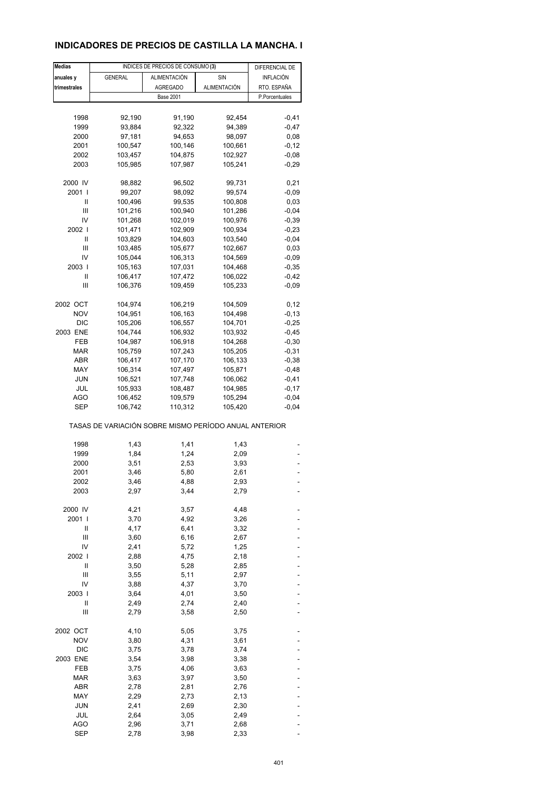## **INDICADORES DE PRECIOS DE CASTILLA LA MANCHA. I**

| <b>Medias</b> |                | INDICES DE PRECIOS DE CONSUMO (3)                     |                     | DIFERENCIAL DE |
|---------------|----------------|-------------------------------------------------------|---------------------|----------------|
| anuales y     | <b>GENERAL</b> | ALIMENTACIÓN                                          | SIN                 | INFLACIÓN      |
| trimestrales  |                | <b>AGREGADO</b>                                       | <b>ALIMENTACIÓN</b> | RTO. ESPAÑA    |
|               |                | <b>Base 2001</b>                                      |                     | P.Porcentuales |
|               |                |                                                       |                     |                |
|               |                |                                                       |                     |                |
| 1998          | 92,190         | 91,190                                                | 92,454              | $-0,41$        |
| 1999          | 93,884         | 92,322                                                | 94,389              | $-0,47$        |
| 2000          | 97,181         | 94,653                                                | 98,097              | 0,08           |
| 2001          | 100,547        | 100,146                                               | 100,661             | $-0,12$        |
| 2002          | 103,457        | 104,875                                               | 102,927             | $-0,08$        |
| 2003          | 105,985        | 107,987                                               | 105,241             | $-0.29$        |
| 2000 IV       | 98,882         | 96,502                                                | 99,731              | 0,21           |
| 2001 l        | 99,207         | 98,092                                                | 99,574              | $-0,09$        |
| Ш             | 100,496        | 99,535                                                | 100,808             | 0,03           |
| Ш             | 101,216        | 100,940                                               | 101,286             | $-0,04$        |
| IV            | 101,268        | 102,019                                               |                     | $-0,39$        |
|               |                |                                                       | 100,976             |                |
| 2002          | 101,471        | 102,909                                               | 100,934             | $-0,23$        |
| Ш             | 103,829        | 104,603                                               | 103,540             | $-0,04$        |
| Ш             | 103,485        | 105,677                                               | 102,667             | 0,03           |
| IV            | 105,044        | 106,313                                               | 104,569             | $-0,09$        |
| 2003          | 105,163        | 107,031                                               | 104,468             | $-0,35$        |
| Ш             | 106,417        | 107,472                                               | 106,022             | $-0,42$        |
| Ш             | 106,376        | 109,459                                               | 105,233             | $-0,09$        |
|               |                |                                                       |                     |                |
| 2002 OCT      | 104,974        | 106,219                                               | 104,509             | 0,12           |
| <b>NOV</b>    | 104,951        | 106,163                                               | 104,498             | $-0, 13$       |
| <b>DIC</b>    | 105,206        | 106,557                                               | 104,701             | $-0,25$        |
| 2003 ENE      | 104,744        | 106,932                                               | 103,932             | $-0,45$        |
| FEB           | 104,987        | 106,918                                               | 104,268             | $-0,30$        |
| MAR           | 105,759        | 107,243                                               | 105,205             | $-0,31$        |
| ABR           | 106,417        | 107,170                                               | 106,133             | $-0,38$        |
| MAY           | 106,314        | 107,497                                               | 105,871             | $-0,48$        |
| <b>JUN</b>    | 106,521        | 107,748                                               | 106,062             | $-0,41$        |
| JUL           | 105,933        | 108,487                                               | 104,985             | $-0,17$        |
| AGO           | 106,452        | 109,579                                               | 105,294             | $-0,04$        |
| SEP           | 106,742        | 110,312                                               | 105,420             | $-0,04$        |
|               |                | TASAS DE VARIACIÓN SOBRE MISMO PERÍODO ANUAL ANTERIOR |                     |                |
|               |                |                                                       |                     |                |
| 1998          | 1,43           | 1,41                                                  | 1,43                |                |
| 1999          | 1,84           | 1,24                                                  | 2,09                |                |
| 2000          | 3,51           | 2,53                                                  | 3,93                |                |
| 2001          | 3,46           | 5,80                                                  | 2,61                | ٠              |
| 2002          | 3,46           | 4,88                                                  | 2,93                |                |
| 2003          | 2,97           | 3,44                                                  | 2,79                |                |
| 2000 IV       | 4,21           | 3,57                                                  | 4,48                |                |
|               |                |                                                       |                     |                |
| 2001 l        | 3,70           | 4,92                                                  | 3,26                |                |
| Ш             | 4,17           | 6,41                                                  | 3,32                |                |
| Ш             | 3,60           | 6, 16                                                 | 2,67                |                |
| IV            | 2,41           | 5,72                                                  | 1,25                |                |
| 2002          | 2,88           | 4,75                                                  | 2,18                |                |
| Ш             | 3,50           | 5,28                                                  | 2,85                |                |
| Ш             | 3,55           | 5,11                                                  | 2,97                |                |
| IV            | 3,88           | 4,37                                                  | 3,70                |                |
| 2003          | 3,64           | 4,01                                                  | 3,50                |                |
| Ш             | 2,49           | 2,74                                                  | 2,40                |                |
| Ш             | 2,79           | 3,58                                                  | 2,50                |                |
| 2002 OCT      | 4,10           | 5,05                                                  | 3,75                |                |
| <b>NOV</b>    | 3,80           | 4,31                                                  | 3,61                |                |
| DIC           | 3,75           | 3,78                                                  | 3,74                |                |
| 2003 ENE      | 3,54           | 3,98                                                  | 3,38                |                |
| FEB           | 3,75           | 4,06                                                  | 3,63                |                |
|               |                |                                                       |                     |                |
| <b>MAR</b>    | 3,63           | 3,97                                                  | 3,50                |                |
| ABR           | 2,78           | 2,81                                                  | 2,76                |                |
| MAY           | 2,29           | 2,73                                                  | 2,13                |                |
| <b>JUN</b>    | 2,41           | 2,69                                                  | 2,30                |                |
| JUL           | 2,64           | 3,05                                                  | 2,49                |                |
| <b>AGO</b>    | 2,96           | 3,71                                                  | 2,68                |                |
| <b>SEP</b>    | 2,78           | 3,98                                                  | 2,33                |                |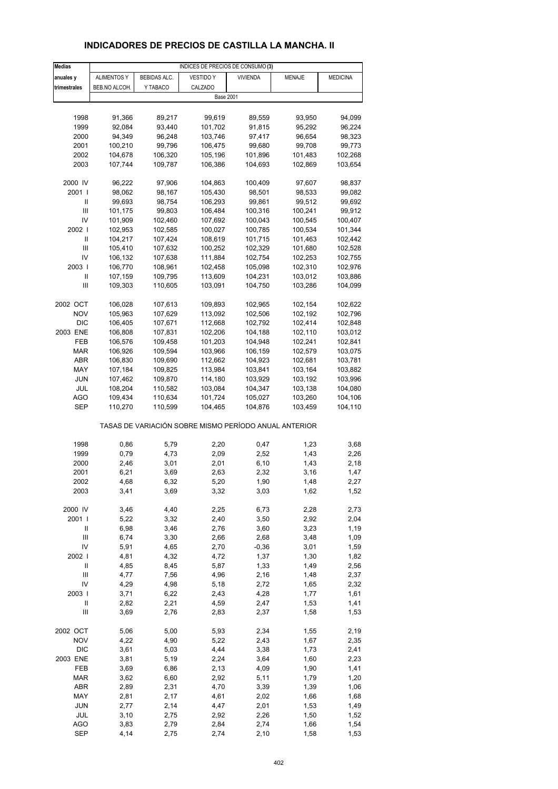# **INDICADORES DE PRECIOS DE CASTILLA LA MANCHA. II**

| <b>Medias</b>  | INDICES DE PRECIOS DE CONSUMO (3) |              |                                                       |                 |         |                 |  |
|----------------|-----------------------------------|--------------|-------------------------------------------------------|-----------------|---------|-----------------|--|
| anuales y      | <b>ALIMENTOS Y</b>                | BEBIDAS ALC. | <b>VESTIDO Y</b>                                      | <b>VIVIENDA</b> | MENAJE  | <b>MEDICINA</b> |  |
| trimestrales   | BEB.NO ALCOH.                     | Y TABACO     | CALZADO                                               |                 |         |                 |  |
|                |                                   |              | <b>Base 2001</b>                                      |                 |         |                 |  |
|                |                                   |              |                                                       |                 |         |                 |  |
| 1998           | 91,366                            | 89,217       | 99,619                                                | 89,559          | 93,950  | 94,099          |  |
| 1999           | 92,084                            | 93,440       | 101,702                                               | 91,815          | 95,292  | 96,224          |  |
| 2000           | 94,349                            | 96,248       | 103,746                                               | 97,417          | 96,654  | 98,323          |  |
| 2001           | 100,210                           | 99,796       | 106,475                                               | 99,680          | 99,708  | 99,773          |  |
| 2002           | 104,678                           | 106,320      | 105,196                                               | 101,896         | 101,483 | 102,268         |  |
| 2003           | 107,744                           | 109,787      | 106,386                                               | 104,693         | 102,869 | 103,654         |  |
|                |                                   |              |                                                       |                 |         |                 |  |
| 2000 IV        | 96,222                            | 97,906       | 104,863                                               | 100,409         | 97,607  | 98,837          |  |
| 2001 l         | 98,062                            | 98,167       | 105,430                                               | 98,501          | 98,533  | 99,082          |  |
| Ш              | 99,693                            | 98,754       | 106,293                                               | 99,861          | 99,512  | 99,692          |  |
| $\mathbf{III}$ | 101,175                           | 99,803       | 106,484                                               | 100,316         | 100,241 | 99,912          |  |
| IV             | 101,909                           | 102,460      | 107,692                                               | 100,043         | 100,545 | 100,407         |  |
| 2002           | 102,953                           | 102,585      | 100,027                                               | 100,785         | 100,534 | 101,344         |  |
| Ш              | 104,217                           | 107,424      | 108,619                                               | 101,715         | 101,463 | 102,442         |  |
| $\mathbf{III}$ | 105,410                           | 107,632      | 100,252                                               | 102,329         | 101,680 | 102,528         |  |
| IV             | 106,132                           | 107,638      | 111,884                                               | 102,754         |         | 102,755         |  |
| 2003           | 106,770                           |              |                                                       |                 | 102,253 | 102,976         |  |
|                |                                   | 108,961      | 102,458                                               | 105,098         | 102,310 |                 |  |
| Ш<br>Ш         | 107,159                           | 109,795      | 113,609                                               | 104,231         | 103,012 | 103,886         |  |
|                | 109,303                           | 110,605      | 103,091                                               | 104,750         | 103,286 | 104,099         |  |
|                |                                   |              |                                                       |                 |         |                 |  |
| 2002 OCT       | 106,028                           | 107,613      | 109,893                                               | 102,965         | 102,154 | 102,622         |  |
| <b>NOV</b>     | 105,963                           | 107,629      | 113,092                                               | 102,506         | 102,192 | 102,796         |  |
| <b>DIC</b>     | 106,405                           | 107,671      | 112,668                                               | 102,792         | 102,414 | 102,848         |  |
| 2003 ENE       | 106,808                           | 107,831      | 102,206                                               | 104,188         | 102,110 | 103,012         |  |
| FEB            | 106,576                           | 109,458      | 101,203                                               | 104,948         | 102,241 | 102,841         |  |
| <b>MAR</b>     | 106,926                           | 109,594      | 103,966                                               | 106,159         | 102,579 | 103,075         |  |
| ABR            | 106,830                           | 109,690      | 112,662                                               | 104,923         | 102,681 | 103,781         |  |
| MAY            | 107,184                           | 109,825      | 113,984                                               | 103,841         | 103,164 | 103,882         |  |
| JUN            | 107,462                           | 109,870      | 114,180                                               | 103,929         | 103,192 | 103,996         |  |
| JUL            | 108,204                           | 110,582      | 103,084                                               | 104,347         | 103,138 | 104,080         |  |
| AGO            | 109,434                           | 110,634      | 101,724                                               | 105,027         | 103,260 | 104,106         |  |
| SEP            | 110,270                           | 110,599      | 104,465                                               | 104,876         | 103,459 | 104,110         |  |
|                |                                   |              | TASAS DE VARIACIÓN SOBRE MISMO PERÍODO ANUAL ANTERIOR |                 |         |                 |  |
|                |                                   |              |                                                       |                 |         |                 |  |
| 1998           | 0,86                              | 5,79         | 2,20                                                  | 0,47            | 1,23    | 3,68            |  |
| 1999           | 0,79                              | 4,73         | 2,09                                                  | 2,52            | 1,43    | 2,26            |  |
| 2000           | 2,46                              | 3,01         | 2,01                                                  | 6, 10           | 1,43    | 2,18            |  |
| 2001           | 6,21                              | 3,69         | 2,63                                                  | 2,32            | 3,16    | 1,47            |  |
| 2002           | 4,68                              | 6,32         | 5,20                                                  | 1,90            | 1,48    | 2,27            |  |
| 2003           | 3,41                              | 3,69         | 3,32                                                  | 3,03            | 1,62    | 1,52            |  |
| 2000 IV        | 3,46                              | 4,40         | 2,25                                                  | 6,73            | 2,28    | 2,73            |  |
| 2001           | 5,22                              | 3,32         | 2,40                                                  | 3,50            | 2,92    | 2,04            |  |
| Ш              | 6,98                              | 3,46         | 2,76                                                  | 3,60            | 3,23    | 1,19            |  |
| $\mathsf{III}$ | 6,74                              | 3,30         | 2,66                                                  | 2,68            | 3,48    | 1,09            |  |
| IV             | 5,91                              | 4,65         | 2,70                                                  | $-0,36$         | 3,01    | 1,59            |  |
| 2002           | 4,81                              | 4,32         | 4,72                                                  | 1,37            | 1,30    | 1,82            |  |
| $\sf II$       | 4,85                              | 8,45         | 5,87                                                  | 1,33            | 1,49    | 2,56            |  |
| $\mathsf{III}$ | 4,77                              | 7,56         | 4,96                                                  | 2,16            | 1,48    | 2,37            |  |
| IV             | 4,29                              | 4,98         | 5,18                                                  | 2,72            | 1,65    | 2,32            |  |
| 2003           | 3,71                              | 6,22         | 2,43                                                  | 4,28            | 1,77    | 1,61            |  |
| $\sf II$       | 2,82                              | 2,21         | 4,59                                                  | 2,47            | 1,53    | 1,41            |  |
| Ш              | 3,69                              | 2,76         | 2,83                                                  | 2,37            | 1,58    | 1,53            |  |
|                |                                   |              |                                                       |                 |         |                 |  |
| 2002 OCT       | 5,06                              | 5,00         | 5,93                                                  | 2,34            | 1,55    | 2,19            |  |
| <b>NOV</b>     | 4,22                              | 4,90         | 5,22                                                  | 2,43            | 1,67    | 2,35            |  |
| <b>DIC</b>     | 3,61                              | 5,03         | 4,44                                                  | 3,38            | 1,73    | 2,41            |  |
| 2003 ENE       | 3,81                              | 5,19         | 2,24                                                  | 3,64            | 1,60    | 2,23            |  |
| FEB            | 3,69                              | 6,86         | 2,13                                                  | 4,09            | 1,90    | 1,41            |  |
| <b>MAR</b>     | 3,62                              | 6,60         | 2,92                                                  | 5,11            | 1,79    | 1,20            |  |
| ABR            | 2,89                              | 2,31         | 4,70                                                  | 3,39            | 1,39    | 1,06            |  |
| MAY            | 2,81                              | 2,17         | 4,61                                                  | 2,02            | 1,66    | 1,68            |  |
| JUN            | 2,77                              | 2,14         | 4,47                                                  | 2,01            | 1,53    | 1,49            |  |
| JUL            | 3,10                              | 2,75         | 2,92                                                  | 2,26            | 1,50    | 1,52            |  |
| <b>AGO</b>     | 3,83                              | 2,79         | 2,84                                                  | 2,74            | 1,66    | 1,54            |  |
| <b>SEP</b>     | 4,14                              | 2,75         | 2,74                                                  | 2,10            | 1,58    | 1,53            |  |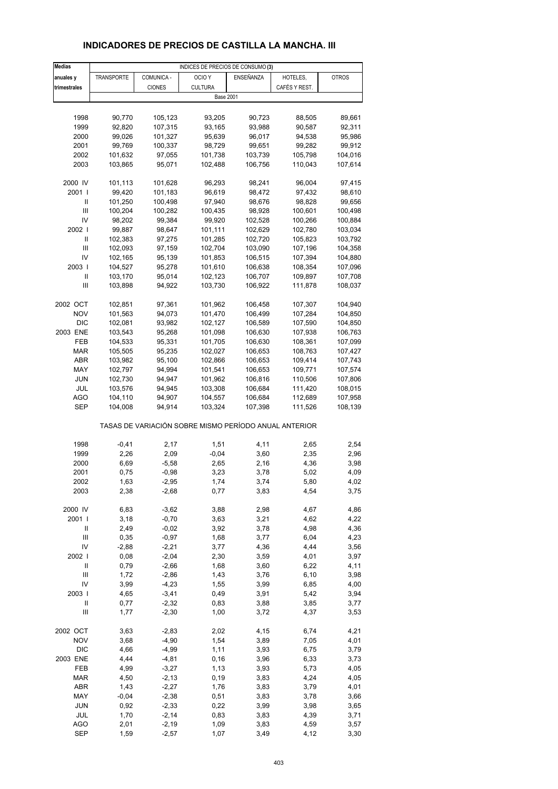# **INDICADORES DE PRECIOS DE CASTILLA LA MANCHA. III**

| <b>Medias</b>              |            |               | INDICES DE PRECIOS DE CONSUMO (3)                     |           |               |              |
|----------------------------|------------|---------------|-------------------------------------------------------|-----------|---------------|--------------|
| anuales y                  | TRANSPORTE | COMUNICA -    | OCIO <sub>Y</sub>                                     | ENSEÑANZA | HOTELES,      | <b>OTROS</b> |
| trimestrales               |            | <b>CIONES</b> | <b>CULTURA</b>                                        |           | CAFÉS Y REST. |              |
|                            |            |               | <b>Base 2001</b>                                      |           |               |              |
|                            |            |               |                                                       |           |               |              |
|                            |            |               |                                                       |           |               |              |
| 1998                       | 90,770     | 105,123       | 93,205                                                | 90,723    | 88,505        | 89,661       |
| 1999                       | 92,820     | 107,315       | 93,165                                                | 93,988    | 90,587        | 92,311       |
| 2000                       | 99,026     | 101,327       | 95,639                                                | 96,017    | 94,538        | 95,986       |
| 2001                       | 99,769     | 100,337       | 98,729                                                | 99,651    | 99,282        | 99,912       |
| 2002                       | 101,632    | 97,055        | 101,738                                               | 103,739   | 105,798       | 104,016      |
| 2003                       | 103,865    | 95,071        | 102,488                                               | 106,756   | 110,043       | 107,614      |
|                            |            |               |                                                       |           |               |              |
| 2000 IV                    | 101,113    | 101,628       | 96,293                                                | 98,241    | 96,004        | 97,415       |
| 2001 l                     | 99,420     | 101,183       | 96,619                                                | 98,472    | 97,432        | 98,610       |
| Ш                          | 101,250    | 100,498       | 97,940                                                | 98,676    | 98,828        | 99,656       |
| Ш                          | 100,204    | 100,282       | 100,435                                               | 98,928    | 100,601       | 100,498      |
| IV                         | 98,202     | 99,384        | 99,920                                                | 102,528   | 100,266       | 100,884      |
| 2002                       | 99,887     | 98,647        | 101,111                                               | 102,629   | 102,780       | 103,034      |
| Ш                          | 102,383    | 97,275        | 101,285                                               | 102,720   | 105,823       | 103,792      |
| $\mathsf{III}$             | 102,093    | 97,159        | 102,704                                               | 103,090   | 107,196       | 104,358      |
| IV                         | 102,165    | 95,139        | 101,853                                               | 106,515   | 107,394       | 104,880      |
| 2003                       | 104,527    | 95,278        | 101,610                                               |           | 108,354       |              |
|                            |            |               | 102,123                                               | 106,638   |               | 107,096      |
| Ш                          | 103,170    | 95,014        |                                                       | 106,707   | 109,897       | 107,708      |
| $\mathsf{III}$             | 103,898    | 94,922        | 103,730                                               | 106,922   | 111,878       | 108,037      |
|                            |            |               |                                                       |           |               |              |
| 2002 OCT                   | 102,851    | 97,361        | 101,962                                               | 106,458   | 107,307       | 104,940      |
| <b>NOV</b>                 | 101,563    | 94,073        | 101,470                                               | 106,499   | 107,284       | 104,850      |
| <b>DIC</b>                 | 102,081    | 93,982        | 102,127                                               | 106,589   | 107,590       | 104,850      |
| 2003 ENE                   | 103,543    | 95,268        | 101,098                                               | 106,630   | 107,938       | 106,763      |
| FEB                        | 104,533    | 95,331        | 101,705                                               | 106,630   | 108,361       | 107,099      |
| <b>MAR</b>                 | 105,505    | 95,235        | 102,027                                               | 106,653   | 108,763       | 107,427      |
| ABR                        | 103,982    | 95,100        | 102,866                                               | 106,653   | 109,414       | 107,743      |
| MAY                        | 102,797    | 94,994        | 101,541                                               | 106,653   | 109,771       | 107,574      |
| <b>JUN</b>                 | 102,730    | 94,947        | 101,962                                               | 106,816   | 110,506       | 107,806      |
| JUL                        | 103,576    | 94,945        | 103,308                                               | 106,684   | 111,420       | 108,015      |
| AGO                        | 104,110    | 94,907        | 104,557                                               | 106,684   | 112,689       | 107,958      |
| SEP                        | 104,008    | 94,914        | 103,324                                               | 107,398   | 111,526       | 108,139      |
|                            |            |               |                                                       |           |               |              |
|                            |            |               | TASAS DE VARIACIÓN SOBRE MISMO PERÍODO ANUAL ANTERIOR |           |               |              |
| 1998                       | $-0,41$    | 2,17          | 1,51                                                  | 4,11      | 2,65          | 2,54         |
|                            |            |               |                                                       |           |               |              |
| 1999                       | 2,26       | 2,09          | $-0,04$                                               | 3,60      | 2,35          | 2,96         |
| 2000                       | 6,69       | $-5,58$       | 2,65                                                  | 2,16      | 4,36          | 3,98         |
| 2001                       | 0,75       | $-0,98$       | 3,23                                                  | 3,78      | 5,02          | 4,09         |
| 2002                       | 1,63       | $-2,95$       | 1,74                                                  | 3,74      | 5,80          | 4,02         |
| 2003                       | 2,38       | $-2,68$       | 0,77                                                  | 3,83      | 4,54          | 3,75         |
|                            |            |               |                                                       |           |               |              |
| 2000 IV                    | 6,83       | $-3,62$       | 3,88                                                  | 2,98      | 4,67          | 4,86         |
| 2001 l                     | 3,18       | $-0,70$       | 3,63                                                  | 3,21      | 4,62          | 4,22         |
| Ш                          | 2,49       | $-0,02$       | 3,92                                                  | 3,78      | 4,98          | 4,36         |
| $\mathsf{III}$             | 0,35       | $-0,97$       | 1,68                                                  | 3,77      | 6,04          | 4,23         |
| IV                         | $-2,88$    | $-2,21$       | 3,77                                                  | 4,36      | 4,44          | 3,56         |
| 2002                       | 0,08       | $-2,04$       | 2,30                                                  | 3,59      | 4,01          | 3,97         |
| $\ensuremath{\mathsf{II}}$ | 0,79       | $-2,66$       | 1,68                                                  | 3,60      | 6,22          | 4,11         |
| $\mathsf{III}$             | 1,72       | $-2,86$       | 1,43                                                  | 3,76      | 6, 10         | 3,98         |
| IV                         | 3,99       | $-4,23$       | 1,55                                                  | 3,99      | 6,85          | 4,00         |
| 2003                       | 4,65       | $-3,41$       | 0,49                                                  | 3,91      | 5,42          | 3,94         |
| Ш                          | 0,77       | $-2,32$       | 0,83                                                  | 3,88      | 3,85          | 3,77         |
| Ш                          | 1,77       | $-2,30$       | 1,00                                                  | 3,72      | 4,37          | 3,53         |
|                            |            |               |                                                       |           |               |              |
| 2002 OCT                   | 3,63       | $-2,83$       | 2,02                                                  | 4,15      | 6,74          | 4,21         |
| <b>NOV</b>                 | 3,68       | $-4,90$       | 1,54                                                  | 3,89      | 7,05          | 4,01         |
| <b>DIC</b>                 | 4,66       | $-4,99$       | 1,11                                                  | 3,93      | 6,75          | 3,79         |
| 2003 ENE                   | 4,44       | $-4,81$       | 0, 16                                                 | 3,96      | 6,33          | 3,73         |
| FEB                        | 4,99       | $-3,27$       | 1,13                                                  | 3,93      | 5,73          | 4,05         |
| MAR                        | 4,50       | $-2,13$       | 0, 19                                                 | 3,83      | 4,24          | 4,05         |
| ABR                        | 1,43       | $-2,27$       | 1,76                                                  | 3,83      | 3,79          | 4,01         |
| MAY                        |            | $-2,38$       |                                                       | 3,83      | 3,78          | 3,66         |
|                            | $-0,04$    |               | 0,51                                                  |           |               |              |
| JUN                        | 0,92       | $-2,33$       | 0,22                                                  | 3,99      | 3,98          | 3,65         |
| JUL                        | 1,70       | $-2,14$       | 0,83                                                  | 3,83      | 4,39          | 3,71         |
| <b>AGO</b>                 | 2,01       | $-2,19$       | 1,09                                                  | 3,83      | 4,59          | 3,57         |
| <b>SEP</b>                 | 1,59       | $-2,57$       | 1,07                                                  | 3,49      | 4,12          | 3,30         |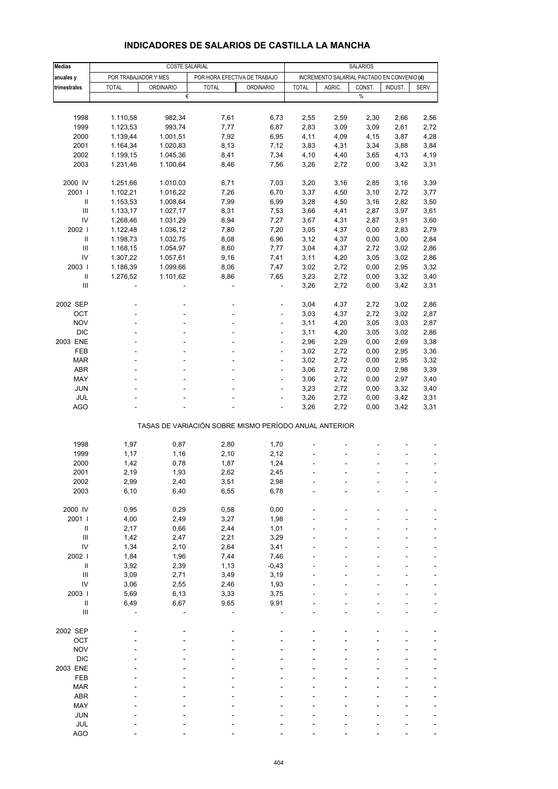| <b>Medias</b>                      |                      | <b>COSTE SALARIAL</b> |                                                       | <b>SALARIOS</b>  |                                             |        |             |         |       |
|------------------------------------|----------------------|-----------------------|-------------------------------------------------------|------------------|---------------------------------------------|--------|-------------|---------|-------|
|                                    |                      |                       |                                                       |                  | INCREMENTO SALARIAL PACTADO EN CONVENIO (4) |        |             |         |       |
| anuales y                          | POR TRABAJADOR Y MES |                       | POR HORA EFECTIVA DE TRABAJO                          |                  |                                             |        |             | INDUST. |       |
| trimestrales                       | <b>TOTAL</b>         | <b>ORDINARIO</b><br>€ | <b>TOTAL</b>                                          | <b>ORDINARIO</b> | <b>TOTAL</b>                                | AGRIC. | CONST.<br>% |         | SERV. |
|                                    |                      |                       |                                                       |                  |                                             |        |             |         |       |
|                                    |                      |                       |                                                       |                  |                                             |        |             |         |       |
| 1998                               | 1.110,58             | 982,34                | 7,61                                                  | 6,73             | 2,55                                        | 2,59   | 2,30        | 2,66    | 2,56  |
| 1999                               | 1.123,53             | 993,74                | 7,77                                                  | 6,87             | 2,83                                        | 3,09   | 3,09        | 2,61    | 2,72  |
| 2000                               | 1.139,44             | 1.001,51              | 7,92                                                  | 6,95             | 4,11                                        | 4,09   | 4,15        | 3,87    | 4,28  |
| 2001                               | 1.164,34             | 1.020,83              | 8,13                                                  | 7,12             | 3,83                                        | 4,31   | 3,34        | 3,88    | 3,84  |
| 2002                               | 1.199,15             | 1.045,36              | 8,41                                                  | 7,34             | 4,10                                        | 4,40   | 3,65        | 4,13    | 4,19  |
| 2003                               | 1.231,46             | 1.100,64              | 8,46                                                  | 7,56             | 3,26                                        | 2,72   | 0,00        | 3,42    | 3,31  |
|                                    |                      |                       |                                                       |                  |                                             |        |             |         |       |
| 2000 IV                            | 1.251,66             | 1.010,03              | 8,71                                                  | 7,03             | 3,20                                        | 3,16   | 2,85        | 3,16    | 3,39  |
| 2001 l                             | 1.102,21             | 1.016,22              | 7,26                                                  | 6,70             | 3,37                                        | 4,50   | 3,10        | 2,72    | 3,77  |
| Ш                                  | 1.153,53             | 1.008,64              | 7,99                                                  | 6,99             | 3,28                                        | 4,50   | 3,16        | 2,82    | 3,50  |
| Ш                                  | 1.133,17             | 1.027,17              | 8,31                                                  | 7,53             | 3,66                                        | 4,41   | 2,87        | 3,97    | 3,61  |
| IV                                 | 1.268,46             | 1.031,29              | 8,94                                                  | 7,27             | 3,67                                        | 4,31   | 2,87        | 3,91    | 3,60  |
| 2002                               | 1.122,48             | 1.036,12              | 7,80                                                  | 7,20             | 3,05                                        | 4,37   | 0,00        | 2,83    | 2,79  |
| Ш                                  | 1.198,73             | 1.032,75              | 8,08                                                  | 6,96             | 3,12                                        | 4,37   | 0,00        | 3,00    | 2,84  |
| Ш                                  | 1.168,15             | 1.054,97              | 8,60                                                  | 7,77             | 3,04                                        | 4,37   | 2,72        | 3,02    | 2,86  |
| IV                                 | 1.307,22             | 1.057,61              | 9,16                                                  | 7,41             | 3,11                                        | 4,20   | 3,05        | 3,02    | 2,86  |
| 2003                               | 1.186,39             | 1.099,66              | 8,06                                                  | 7,47             | 3,02                                        | 2,72   | 0,00        | 2,95    | 3,32  |
| $\ensuremath{\mathsf{II}}$         | 1.276,52             | 1.101,62              | 8,86                                                  | 7,65             | 3,23                                        | 2,72   | 0,00        | 3,32    | 3,40  |
| Ш                                  |                      |                       |                                                       | $\frac{1}{2}$    | 3,26                                        | 2,72   | 0,00        | 3,42    | 3,31  |
|                                    |                      |                       |                                                       |                  |                                             |        |             |         |       |
| 2002 SEP                           |                      |                       |                                                       |                  | 3,04                                        | 4,37   | 2,72        | 3,02    | 2,86  |
| OCT                                |                      |                       |                                                       | ÷                | 3,03                                        | 4,37   | 2,72        | 3,02    | 2,87  |
| <b>NOV</b>                         |                      |                       |                                                       | ÷                | 3,11                                        | 4,20   | 3,05        | 3,03    | 2,87  |
| <b>DIC</b>                         |                      |                       |                                                       |                  | 3,11                                        | 4,20   | 3,05        | 3,02    | 2,86  |
| 2003 ENE                           |                      |                       |                                                       | ÷                | 2,96                                        | 2,29   | 0,00        | 2,69    | 3,38  |
| FEB                                |                      |                       |                                                       | ÷,               | 3,02                                        | 2,72   | 0,00        | 2,95    | 3,36  |
| <b>MAR</b>                         |                      |                       |                                                       | ä,               | 3,02                                        | 2,72   | 0,00        | 2,95    | 3,32  |
| <b>ABR</b>                         |                      |                       |                                                       | ÷                | 3,06                                        | 2,72   | 0,00        | 2,98    | 3,39  |
| MAY                                |                      |                       |                                                       | ÷,               | 3,06                                        | 2,72   | 0,00        | 2,97    | 3,40  |
| <b>JUN</b>                         |                      |                       |                                                       |                  | 3,23                                        | 2,72   | 0,00        | 3,32    | 3,40  |
| <b>JUL</b>                         |                      |                       |                                                       | ÷,               | 3,26                                        | 2,72   | 0,00        | 3,42    | 3,31  |
| <b>AGO</b>                         |                      |                       |                                                       |                  | 3,26                                        | 2,72   | 0,00        | 3,42    | 3,31  |
|                                    |                      |                       |                                                       |                  |                                             |        |             |         |       |
|                                    |                      |                       | TASAS DE VARIACIÓN SOBRE MISMO PERÍODO ANUAL ANTERIOR |                  |                                             |        |             |         |       |
|                                    |                      |                       |                                                       |                  |                                             |        |             |         |       |
| 1998                               | 1,97                 | 0,87                  | 2,80                                                  | 1,70             |                                             |        |             |         |       |
| 1999                               | 1,17                 | 1,16                  | 2,10                                                  | 2,12             |                                             |        |             |         |       |
| 2000                               | 1,42                 | 0,78                  | 1,87                                                  | 1,24             |                                             |        |             |         |       |
| 2001                               | 2,19                 | 1,93                  | 2,62                                                  | 2,45             |                                             |        |             |         |       |
| 2002                               | 2,99                 | 2,40                  | 3,51                                                  | 2,98             |                                             |        |             |         |       |
| 2003                               | 6, 10                | 6,40                  | 6,55                                                  | 6,78             |                                             |        |             |         |       |
| 2000 IV                            |                      |                       |                                                       |                  |                                             |        |             |         |       |
| 2001 l                             | 0,95                 | 0,29                  | 0,58                                                  | 0,00             |                                             |        |             |         |       |
|                                    | 4,00                 | 2,49                  | 3,27                                                  | 1,98             |                                             |        |             |         |       |
| $\ensuremath{\mathsf{II}}$<br>III  | 2,17                 | 0,66                  | 2,44                                                  | 1,01             |                                             |        |             |         |       |
|                                    | 1,42                 | 2,47                  | 2,21                                                  | 3,29             |                                             |        |             |         |       |
| IV                                 | 1,34                 | 2,10                  | 2,64                                                  | 3,41             |                                             |        |             |         |       |
| 2002                               | 1,84                 | 1,96                  | 7,44                                                  | 7,46             |                                             |        |             |         |       |
| $\ensuremath{\mathsf{II}}$         | 3,92                 | 2,39                  | 1,13                                                  | $-0,43$          |                                             |        |             |         |       |
| $\ensuremath{\mathsf{III}}\xspace$ | 3,09                 | 2,71                  | 3,49                                                  | 3,19             |                                             |        |             |         |       |
| IV                                 | 3,06                 | 2,55                  | 2,46                                                  | 1,93             |                                             |        |             |         |       |
| 2003                               | 5,69                 | 6,13                  | 3,33                                                  | 3,75             |                                             |        |             |         |       |
| $\ensuremath{\mathsf{II}}$         | 6,49                 | 6,67                  | 9,65                                                  | 9,91             |                                             |        |             |         |       |
| $\ensuremath{\mathsf{III}}\xspace$ |                      |                       |                                                       |                  |                                             |        |             |         | ä,    |
|                                    |                      |                       |                                                       |                  |                                             |        |             |         |       |
| 2002 SEP                           |                      |                       |                                                       |                  |                                             |        |             |         |       |
| OCT                                |                      |                       |                                                       |                  |                                             |        |             |         |       |
| <b>NOV</b>                         |                      |                       |                                                       |                  |                                             |        |             |         |       |
| <b>DIC</b>                         |                      |                       |                                                       |                  |                                             |        |             |         |       |
| 2003 ENE                           |                      |                       |                                                       |                  |                                             |        |             |         |       |
| FEB                                |                      |                       |                                                       |                  |                                             |        |             |         |       |
| <b>MAR</b>                         |                      |                       |                                                       |                  |                                             |        |             |         |       |
| ABR                                |                      |                       |                                                       |                  |                                             |        |             |         |       |
| MAY                                |                      |                       |                                                       |                  |                                             |        |             |         |       |
| <b>JUN</b>                         |                      |                       |                                                       |                  |                                             |        |             |         |       |

#### **INDICADORES DE SALARIOS DE CASTILLA LA MANCHA**

JUL - - - - - - - - - - - - - -AGO - - - - - - ---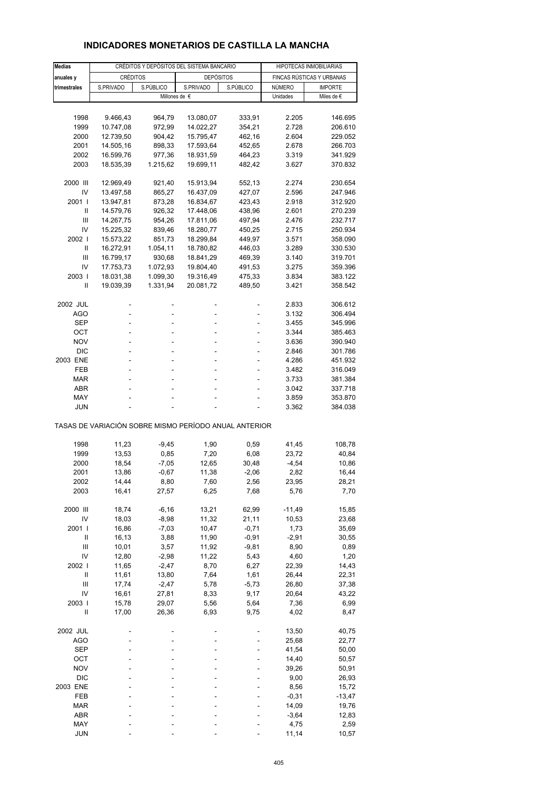| <b>Medias</b>              | CRÉDITOS Y DEPÓSITOS DEL SISTEMA BANCARIO             |           |                  |           | HIPOTECAS INMOBILIARIAS |                           |  |
|----------------------------|-------------------------------------------------------|-----------|------------------|-----------|-------------------------|---------------------------|--|
| anuales y                  | <b>CRÉDITOS</b>                                       |           | <b>DEPÓSITOS</b> |           |                         | FINCAS RÚSTICAS Y URBANAS |  |
| trimestrales               | S.PRIVADO                                             | S.PÚBLICO | S.PRIVADO        | S.PÚBLICO | NÚMERO                  | <b>IMPORTE</b>            |  |
|                            |                                                       |           | Millones de €    |           | Unidades                | Miles de $\epsilon$       |  |
|                            |                                                       |           |                  |           |                         |                           |  |
| 1998                       | 9.466,43                                              | 964,79    | 13.080,07        | 333,91    | 2.205                   | 146.695                   |  |
| 1999                       | 10.747,08                                             | 972,99    | 14.022,27        | 354,21    | 2.728                   | 206.610                   |  |
| 2000                       | 12.739,50                                             | 904,42    | 15.795,47        | 462,16    | 2.604                   | 229.052                   |  |
| 2001                       | 14.505,16                                             | 898,33    | 17.593,64        | 452,65    | 2.678                   | 266.703                   |  |
| 2002                       | 16.599,76                                             | 977,36    | 18.931,59        | 464,23    | 3.319                   | 341.929                   |  |
| 2003                       | 18.535,39                                             | 1.215,62  | 19.699,11        | 482,42    | 3.627                   | 370.832                   |  |
|                            |                                                       |           |                  |           |                         |                           |  |
| 2000 III                   | 12.969,49                                             | 921,40    | 15.913,94        | 552,13    | 2.274                   | 230.654                   |  |
| IV                         | 13.497,58                                             | 865,27    | 16.437,09        | 427,07    | 2.596                   | 247.946                   |  |
| 2001 l                     | 13.947,81                                             | 873,28    | 16.834,67        | 423,43    | 2.918                   | 312.920                   |  |
| Ш                          | 14.579,76                                             | 926,32    | 17.448,06        | 438,96    | 2.601                   | 270.239                   |  |
| Ш                          | 14.267,75                                             | 954,26    | 17.811,06        | 497,94    | 2.476                   | 232.717                   |  |
| IV                         | 15.225,32                                             | 839,46    | 18.280,77        | 450,25    | 2.715                   | 250.934                   |  |
| 2002                       | 15.573,22                                             | 851,73    | 18.299,84        | 449,97    | 3.571                   | 358.090                   |  |
| Ш                          | 16.272,91                                             | 1.054,11  | 18.780,82        | 446,03    | 3.289                   | 330.530                   |  |
| Ш                          | 16.799,17                                             | 930,68    | 18.841,29        | 469,39    | 3.140                   | 319.701                   |  |
| IV                         | 17.753,73                                             | 1.072,93  | 19.804,40        | 491,53    | 3.275                   | 359.396                   |  |
| 2003                       | 18.031,38                                             | 1.099,30  | 19.316,49        | 475,33    | 3.834                   | 383.122                   |  |
| Ш                          | 19.039,39                                             | 1.331,94  | 20.081,72        | 489,50    | 3.421                   | 358.542                   |  |
|                            |                                                       |           |                  |           |                         |                           |  |
| 2002 JUL                   |                                                       |           |                  |           | 2.833                   | 306.612                   |  |
| AGO                        | L,                                                    | ÷.        | ä,               | ٠         | 3.132                   | 306.494                   |  |
| SEP                        | L,                                                    |           |                  |           | 3.455                   | 345.996                   |  |
| OCT                        |                                                       |           |                  |           | 3.344                   | 385.463                   |  |
| <b>NOV</b>                 | ÷                                                     |           | ÷                | ٠         | 3.636                   | 390.940                   |  |
| <b>DIC</b>                 |                                                       |           |                  |           | 2.846                   | 301.786                   |  |
| 2003 ENE                   |                                                       |           |                  |           | 4.286                   | 451.932                   |  |
| FEB                        | ÷                                                     | ÷         | ÷                | ٠         | 3.482                   | 316.049                   |  |
| MAR                        |                                                       |           |                  |           | 3.733                   | 381.384                   |  |
| ABR                        |                                                       |           |                  |           | 3.042                   | 337.718                   |  |
| MAY                        |                                                       |           |                  | ۰         | 3.859                   | 353.870                   |  |
| JUN                        |                                                       |           |                  |           | 3.362                   | 384.038                   |  |
|                            |                                                       |           |                  |           |                         |                           |  |
|                            | TASAS DE VARIACIÓN SOBRE MISMO PERÍODO ANUAL ANTERIOR |           |                  |           |                         |                           |  |
|                            |                                                       |           |                  |           |                         |                           |  |
| 1998                       | 11,23                                                 | $-9,45$   | 1,90             | 0,59      | 41,45                   | 108,78                    |  |
| 1999                       | 13,53                                                 | 0,85      | 7,20             | 6,08      | 23,72                   | 40,84                     |  |
| 2000                       | 18,54                                                 | $-7,05$   | 12,65            | 30,48     | $-4,54$                 | 10,86                     |  |
| 2001                       | 13,86                                                 | $-0,67$   | 11,38            | $-2,06$   | 2,82<br>23,95           | 16,44                     |  |
| 2002                       | 14,44                                                 | 8,80      | 7,60             | 2,56      |                         | 28,21                     |  |
| 2003                       | 16,41                                                 | 27,57     | 6,25             | 7,68      | 5,76                    | 7,70                      |  |
| 2000 III                   | 18,74                                                 | $-6, 16$  | 13,21            | 62,99     | $-11,49$                | 15,85                     |  |
| IV                         | 18,03                                                 | $-8,98$   | 11,32            | 21,11     | 10,53                   | 23,68                     |  |
| 2001                       | 16,86                                                 | $-7,03$   | 10,47            | $-0,71$   | 1,73                    | 35,69                     |  |
| Ш                          | 16,13                                                 | 3,88      | 11,90            | $-0,91$   | $-2,91$                 | 30,55                     |  |
| Ш                          | 10,01                                                 | 3,57      | 11,92            | $-9,81$   | 8,90                    | 0,89                      |  |
| IV                         | 12,80                                                 | $-2,98$   | 11,22            | 5,43      | 4,60                    | 1,20                      |  |
| 2002                       | 11,65                                                 | $-2,47$   | 8,70             | 6,27      | 22,39                   | 14,43                     |  |
| $\ensuremath{\mathsf{II}}$ | 11,61                                                 | 13,80     | 7,64             | 1,61      | 26,44                   | 22,31                     |  |
| Ш                          | 17,74                                                 | $-2,47$   | 5,78             | $-5,73$   | 26,80                   | 37,38                     |  |
| IV                         | 16,61                                                 | 27,81     | 8,33             | 9,17      | 20,64                   | 43,22                     |  |
| 2003                       | 15,78                                                 | 29,07     | 5,56             | 5,64      | 7,36                    | 6,99                      |  |
| $\ensuremath{\mathsf{II}}$ | 17,00                                                 | 26,36     | 6,93             | 9,75      | 4,02                    | 8,47                      |  |
|                            |                                                       |           |                  |           |                         |                           |  |
| 2002 JUL                   |                                                       |           |                  |           | 13,50                   | 40,75                     |  |
| <b>AGO</b>                 |                                                       |           |                  |           | 25,68                   | 22,77                     |  |
| <b>SEP</b>                 |                                                       |           |                  |           | 41,54                   | 50,00                     |  |
| OCT                        |                                                       |           |                  |           | 14,40                   | 50,57                     |  |
| <b>NOV</b>                 |                                                       |           |                  |           | 39,26                   | 50,91                     |  |
| <b>DIC</b>                 |                                                       |           |                  |           | 9,00                    | 26,93                     |  |
| 2003 ENE                   |                                                       |           |                  |           | 8,56                    | 15,72                     |  |
| FEB                        |                                                       |           |                  |           | $-0,31$                 | $-13,47$                  |  |
| <b>MAR</b>                 |                                                       |           |                  |           | 14,09                   | 19,76                     |  |
| ABR                        |                                                       |           |                  |           | $-3,64$                 | 12,83                     |  |
| MAY                        |                                                       |           |                  |           | 4,75                    | 2,59                      |  |

### **INDICADORES MONETARIOS DE CASTILLA LA MANCHA**

JUN - - - - 11,14 10,57